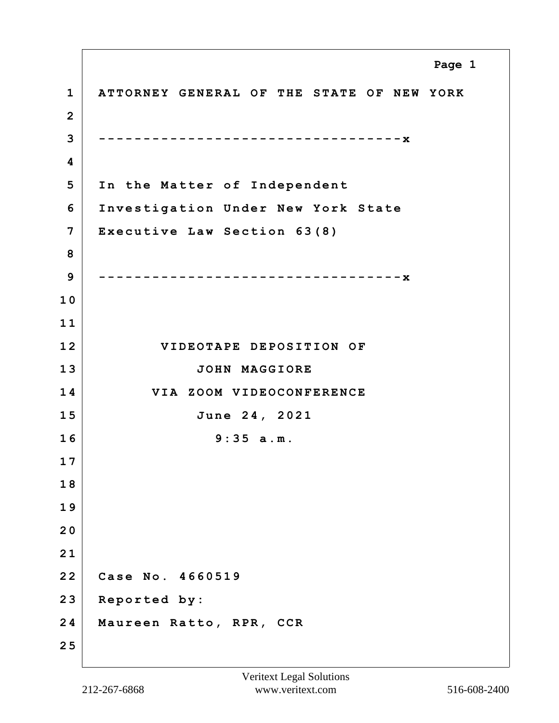**1 ATTORNEY GENERAL OF THE STATE OF NEW YORK 2 3 ----------------------------------x 4 5 In the Matter of Independent 6 Investigation Under New York State 7 Executive Law Section 63(8) 8 9 ----------------------------------x 1 0 1 1 12 VIDEOTAPE DEPOSITION OF 13 JOHN MAGGIORE 14 VIA ZOOM VIDEOCONFERENCE 15 June 24, 2021 16 9:35 a.m. 1 7 1 8 1 9 2 0 2 1 22 Case No. 4660519 23 Reported by: 24 Maureen Ratto, RPR, CCR 2 5 Page 1**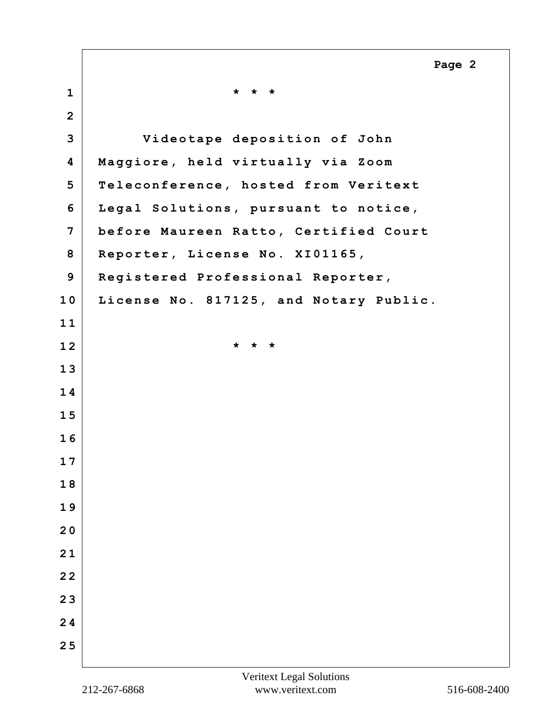|                | Page 2                                 |
|----------------|----------------------------------------|
| $\mathbf{1}$   | * * *                                  |
| $\overline{2}$ |                                        |
| 3              | Videotape deposition of John           |
| 4              | Maggiore, held virtually via Zoom      |
| 5              | Teleconference, hosted from Veritext   |
| 6              | Legal Solutions, pursuant to notice,   |
| 7              | before Maureen Ratto, Certified Court  |
| 8              | Reporter, License No. XI01165,         |
| 9              | Registered Professional Reporter,      |
| 10             | License No. 817125, and Notary Public. |
| 11             |                                        |
| 12             | * * *                                  |
| 13             |                                        |
| 14             |                                        |
| 15             |                                        |
| 16             |                                        |
| 17             |                                        |
| 18             |                                        |
| 19             |                                        |
| 20             |                                        |
| 21             |                                        |
| 22             |                                        |
| 23             |                                        |
| 24             |                                        |
| 25             |                                        |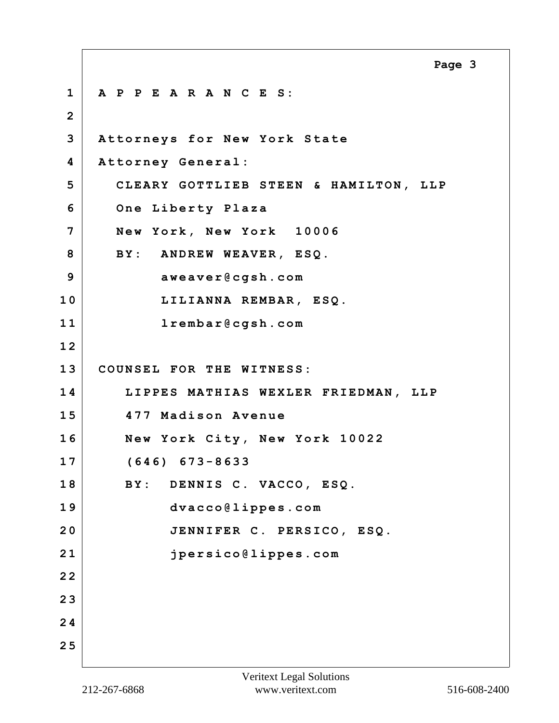**1 A P P E A R A N C E S: 2 3 Attorneys for New York State 4 Attorney General: 5 CLEARY GOTTLIEB STEEN & HAMILTON, LLP 6 One Liberty Plaza 7 New York, New York 10006 8 BY: ANDREW WEAVER, ESQ. 9 aweaver@cgsh.com 10 LILIANNA REMBAR, ESQ. 11 lrembar@cgsh.com 1 2 13 COUNSEL FOR THE WITNESS: 14 LIPPES MATHIAS WEXLER FRIEDMAN, LLP 15 477 Madison Avenue 16 New York City, New York 10022 17 (646) 673-8633 18 BY: DENNIS C. VACCO, ESQ. 19 dvacco@lippes.com 20 JENNIFER C. PERSICO, ESQ. 21 jpersico@lippes.com 2 2 2 3 2 4 2 5 Page 3**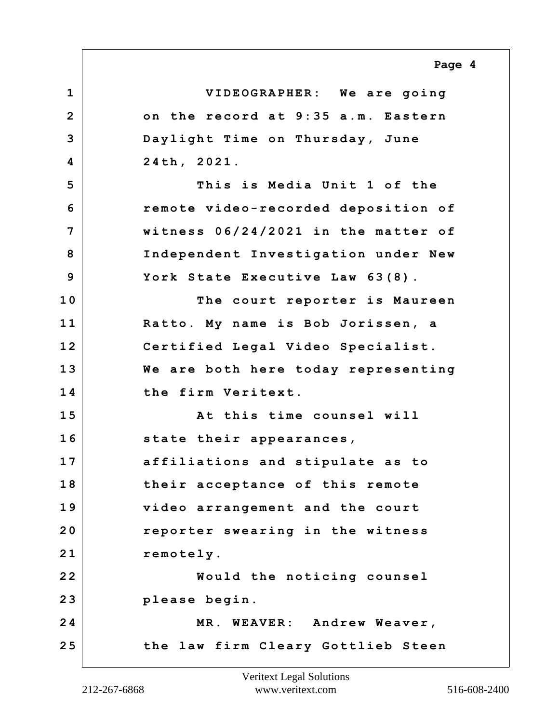## **Page 4**

**1 VIDEOGRAPHER: We are going 2 on the record at 9:35 a.m. Eastern 3 Daylight Time on Thursday, June 4 24th, 2021. 5 This is Media Unit 1 of the 6 remote video-recorded deposition of 7 witness 06/24/2021 in the matter of 8 Independent Investigation under New 9 York State Executive Law 63(8). 10 The court reporter is Maureen 11 Ratto. My name is Bob Jorissen, a 12 Certified Legal Video Specialist. 13 We are both here today representing 14 the firm Veritext. 15 At this time counsel will 16 state their appearances, 17 affiliations and stipulate as to 18 their acceptance of this remote 19 video arrangement and the court 20 reporter swearing in the witness** 21 remotely. **22 Would the noticing counsel 23 please begin. 24 MR. WEAVER: Andrew Weaver, 25 the law firm Cleary Gottlieb Steen**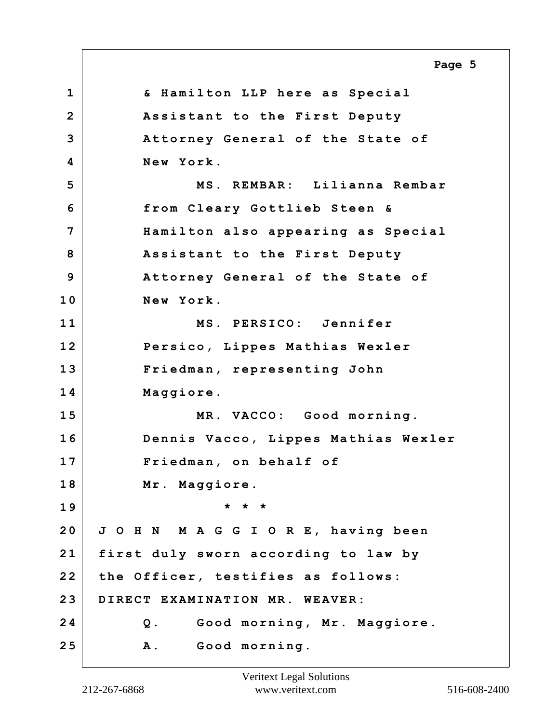**1 & Hamilton LLP here as Special 2 Assistant to the First Deputy 3 Attorney General of the State of 4 New York. 5 MS. REMBAR: Lilianna Rembar 6 from Cleary Gottlieb Steen & 7 Hamilton also appearing as Special 8 Assistant to the First Deputy 9 Attorney General of the State of 10 New York. 11 MS. PERSICO: Jennifer 12 Persico, Lippes Mathias Wexler 13 Friedman, representing John 14 Maggiore. 15 MR. VACCO: Good morning. 16 Dennis Vacco, Lippes Mathias Wexler 17 Friedman, on behalf of 18 Mr. Maggiore. 19 \* \* \* 20 J O H N M A G G I O R E, having been 21 first duly sworn according to law by 22 the Officer, testifies as follows: 23 DIRECT EXAMINATION MR. WEAVER: 24 Q. Good morning, Mr. Maggiore. 25 A. Good morning. Page 5**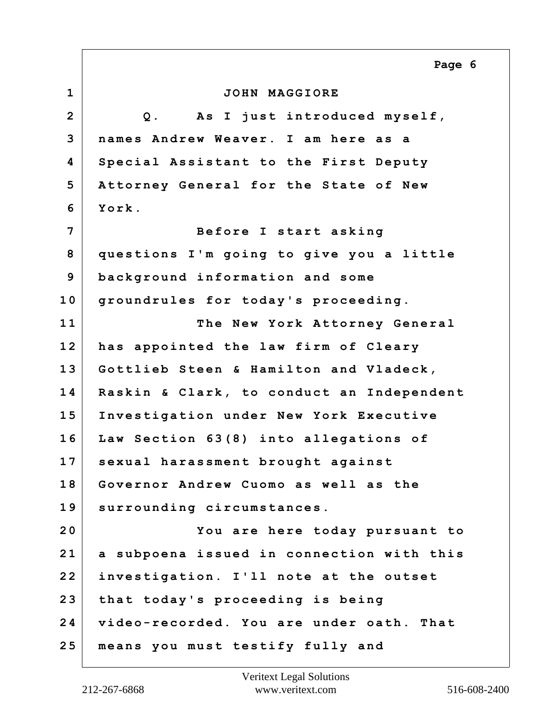|                | Page 6                                    |
|----------------|-------------------------------------------|
| $\mathbf 1$    | JOHN MAGGIORE                             |
| $\overline{2}$ | As I just introduced myself,<br>$Q$ .     |
| 3              | names Andrew Weaver. I am here as a       |
| 4              | Special Assistant to the First Deputy     |
| 5              | Attorney General for the State of New     |
| 6              | York.                                     |
| 7              | Before I start asking                     |
| 8              | questions I'm going to give you a little  |
| 9              | background information and some           |
| 10             | groundrules for today's proceeding.       |
| 11             | The New York Attorney General             |
| 12             | has appointed the law firm of Cleary      |
| 13             | Gottlieb Steen & Hamilton and Vladeck,    |
| 14             | Raskin & Clark, to conduct an Independent |
| 15             | Investigation under New York Executive    |
| 16             | Law Section 63(8) into allegations of     |
| 17             | sexual harassment brought against         |
| 18             | Governor Andrew Cuomo as well as the      |
| 19             | surrounding circumstances.                |
| 20             | You are here today pursuant to            |
| 21             | a subpoena issued in connection with this |
| 22             | investigation. I'll note at the outset    |
| 23             | that today's proceeding is being          |
| 24             | video-recorded. You are under oath. That  |
| 25             | means you must testify fully and          |

 $\Gamma$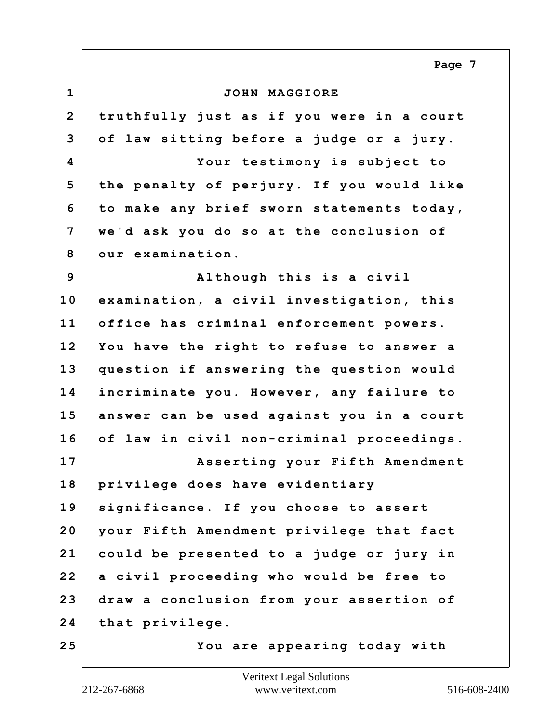|                | Page 7                                    |
|----------------|-------------------------------------------|
| $\mathbf{1}$   | JOHN MAGGIORE                             |
| $\overline{2}$ | truthfully just as if you were in a court |
| 3              | of law sitting before a judge or a jury.  |
| 4              | Your testimony is subject to              |
| 5              | the penalty of perjury. If you would like |
| 6              | to make any brief sworn statements today, |
| 7              | we'd ask you do so at the conclusion of   |
| 8              | our examination.                          |
| 9              | Although this is a civil                  |
| 10             | examination, a civil investigation, this  |
| 11             | office has criminal enforcement powers.   |
| 12             | You have the right to refuse to answer a  |
| 13             | question if answering the question would  |
| 14             | incriminate you. However, any failure to  |
| 15             | answer can be used against you in a court |
| 16             | of law in civil non-criminal proceedings. |
| 17             | Asserting your Fifth Amendment            |
| 18             | privilege does have evidentiary           |
| 19             | significance. If you choose to assert     |
| 20             | your Fifth Amendment privilege that fact  |
| 21             | could be presented to a judge or jury in  |
| 22             | a civil proceeding who would be free to   |
| 23             | draw a conclusion from your assertion of  |
| 24             | that privilege.                           |
| 25             | You are appearing today with              |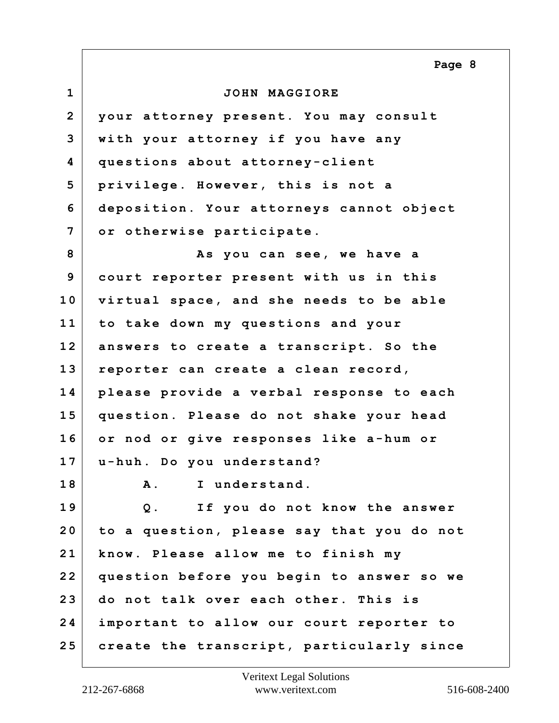**1 JOHN MAGGIORE 2 your attorney present. You may consult 3 with your attorney if you have any 4 questions about attorney-client 5 privilege. However, this is not a 6 deposition. Your attorneys cannot object 7 or otherwise participate. 8 As you can see, we have a 9 court reporter present with us in this 10 virtual space, and she needs to be able 11 to take down my questions and your 12 answers to create a transcript. So the 13 reporter can create a clean record, 14 please provide a verbal response to each 15 question. Please do not shake your head 16 or nod or give responses like a-hum or 17 u-huh. Do you understand? 18 A. I understand. 19 Q. If you do not know the answer 20 to a question, please say that you do not 21 know. Please allow me to finish my 22 question before you begin to answer so we 23 do not talk over each other. This is 24 important to allow our court reporter to 25 create the transcript, particularly since Page 8**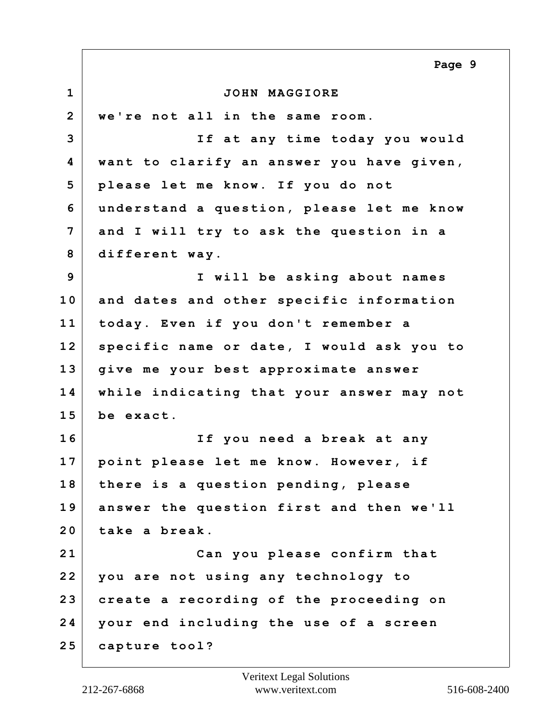**1 JOHN MAGGIORE 2 we're not all in the same room. 3 If at any time today you would 4 want to clarify an answer you have given, 5 please let me know. If you do not 6 understand a question, please let me know 7 and I will try to ask the question in a 8 different way. 9 I will be asking about names 10 and dates and other specific information 11 today. Even if you don't remember a 12 specific name or date, I would ask you to 13 give me your best approximate answer 14 while indicating that your answer may not 15 be exact. 16 If you need a break at any 17 point please let me know. However, if 18 there is a question pending, please 19 answer the question first and then we'll 20 take a break. 21 Can you please confirm that 22 you are not using any technology to 23 create a recording of the proceeding on 24 your end including the use of a screen 25 capture tool? Page 9**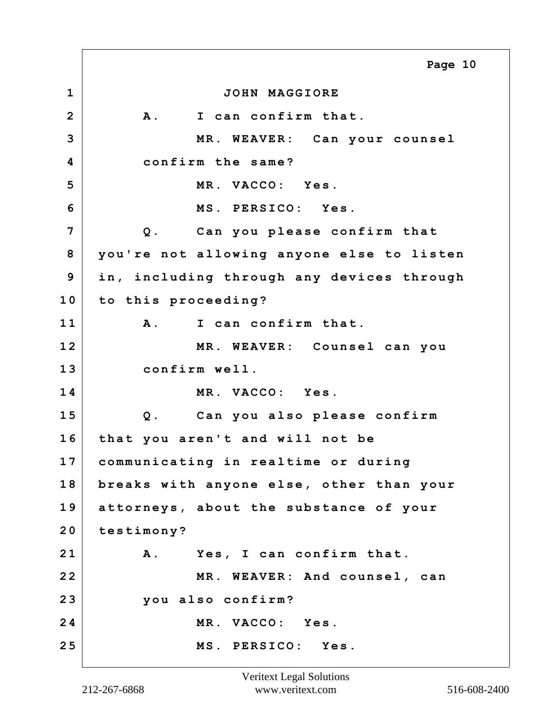**1 JOHN MAGGIORE 2 A. I can confirm that. 3 MR. WEAVER: Can your counsel 4 confirm the same? 5 MR. VACCO: Yes. 6 MS. PERSICO: Yes. 7 Q. Can you please confirm that 8 you're not allowing anyone else to listen 9 in, including through any devices through 10 to this proceeding? 11 A. I can confirm that. 12 MR. WEAVER: Counsel can you 13 confirm well. 14 MR. VACCO: Yes. 15 Q. Can you also please confirm 16 that you aren't and will not be 17 communicating in realtime or during 18 breaks with anyone else, other than your 19 attorneys, about the substance of your 20 testimony? 21 A. Yes, I can confirm that. 22 MR. WEAVER: And counsel, can 23 you also confirm? 24 MR. VACCO: Yes. 25 MS. PERSICO: Yes. Page 10**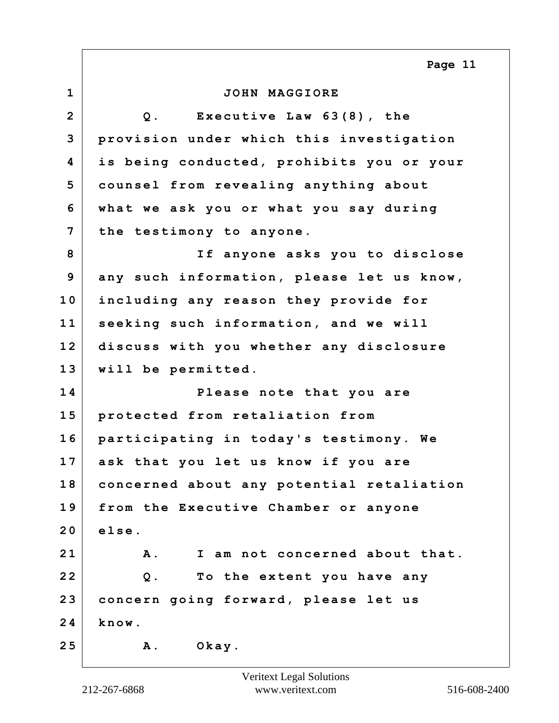**1 JOHN MAGGIORE 2 Q. Executive Law 63(8), the 3 provision under which this investigation 4 is being conducted, prohibits you or your 5 counsel from revealing anything about 6 what we ask you or what you say during 7 the testimony to anyone. 8 If anyone asks you to disclose 9 any such information, please let us know, 10 including any reason they provide for 11 seeking such information, and we will 12 discuss with you whether any disclosure 13 will be permitted. 14 Please note that you are 15 protected from retaliation from 16 participating in today's testimony. We 17 ask that you let us know if you are 18 concerned about any potential retaliation 19 from the Executive Chamber or anyone 20 else. 21 A. I am not concerned about that. 22 Q. To the extent you have any 23 concern going forward, please let us 24 know. 25 A. Okay. Page 11**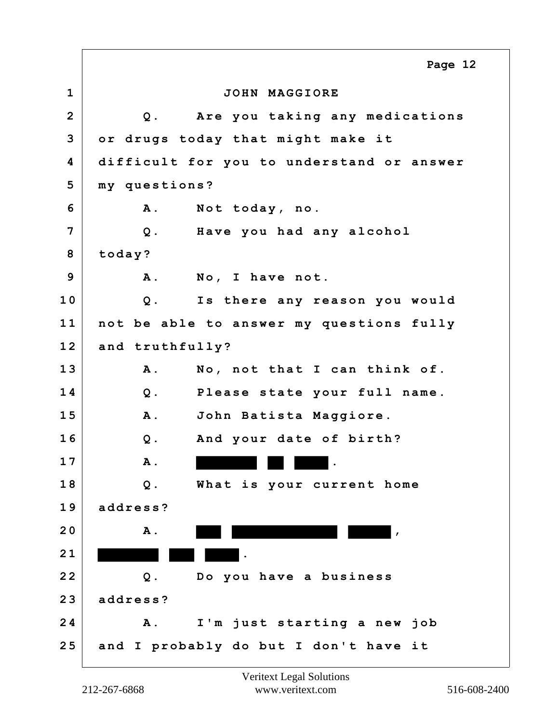**1 JOHN MAGGIORE 2 Q. Are you taking any medications 3 or drugs today that might make it 4 difficult for you to understand or answer 5 my questions? 6 A. Not today, no. 7 Q. Have you had any alcohol 8 today? 9 A. No, I have not. 10 Q. Is there any reason you would 11 not be able to answer my questions fully 12 and truthfully? 13 A. No, not that I can think of. 14 Q. Please state your full name. 15 A. John Batista Maggiore. 16 Q. And your date of birth? 17 A. . 18 Q. What is your current home 19 address? 20 A.**  $\blacksquare$ **21** . **22 Q. Do you have a business 23 address? 24 A. I'm just starting a new job 25 and I probably do but I don't have it Page 12**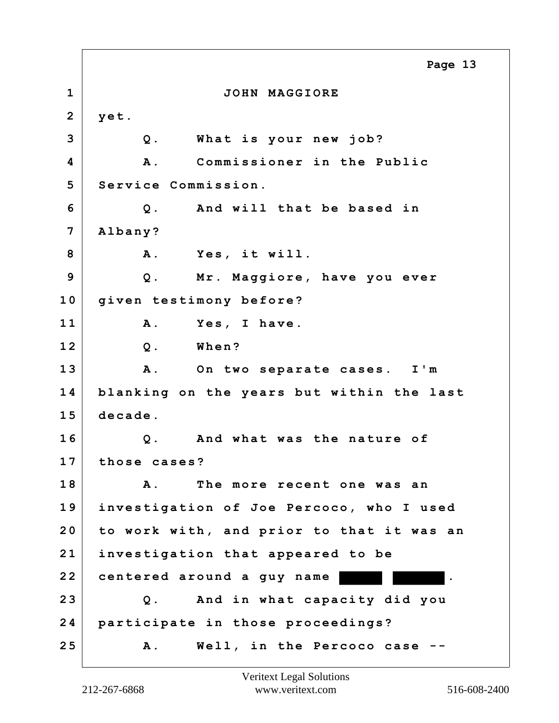**1 JOHN MAGGIORE 2 yet. 3 Q. What is your new job? 4 A. Commissioner in the Public 5 Service Commission. 6 Q. And will that be based in 7 Albany? 8 A. Yes, it will. 9 Q. Mr. Maggiore, have you ever 10 given testimony before? 11 A. Yes, I have. 12 Q. When? 13 A. On two separate cases. I'm 14 blanking on the years but within the last 15 decade. 16 Q. And what was the nature of 17 those cases? 18 A. The more recent one was an 19 investigation of Joe Percoco, who I used 20 to work with, and prior to that it was an 21 investigation that appeared to be 22 centered around a guy name . 23 Q. And in what capacity did you 24 participate in those proceedings? 25 A. Well, in the Percoco case -- Page 13**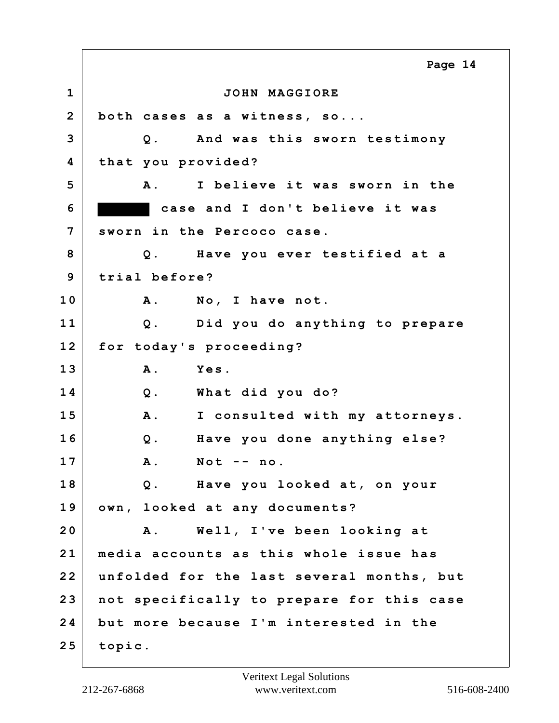**1 JOHN MAGGIORE 2 both cases as a witness, so... 3 Q. And was this sworn testimony 4 that you provided? 5 A. I believe it was sworn in the 6 case and I don't believe it was 7 sworn in the Percoco case. 8 Q. Have you ever testified at a 9 trial before? 10 A. No, I have not. 11 Q. Did you do anything to prepare 12 for today's proceeding? 13 A. Yes. 14 Q. What did you do? 15 A. I consulted with my attorneys. 16 Q. Have you done anything else? 17 A. Not -- no. 18 Q. Have you looked at, on your 19 own, looked at any documents? 20 A. Well, I've been looking at 21 media accounts as this whole issue has 22 unfolded for the last several months, but 23 not specifically to prepare for this case 24 but more because I'm interested in the 25 topic. Page 14**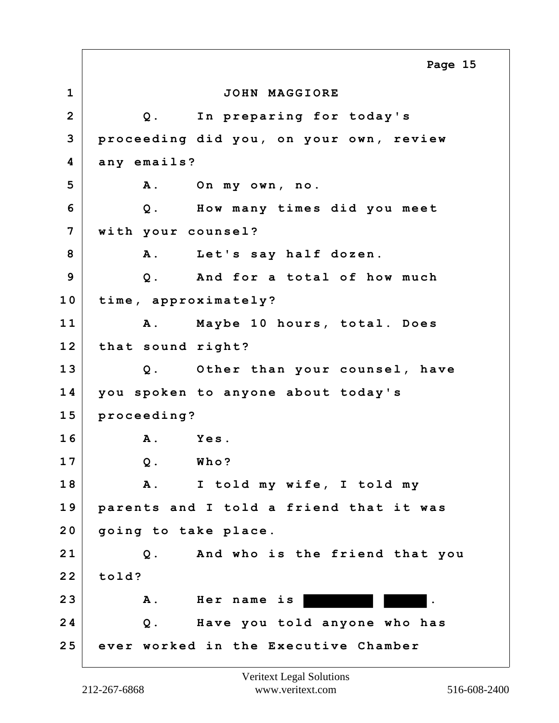**1 JOHN MAGGIORE 2 Q. In preparing for today's 3 proceeding did you, on your own, review 4 any emails? 5 A. On my own, no. 6 Q. How many times did you meet 7 with your counsel? 8 A. Let's say half dozen. 9 Q. And for a total of how much 10 time, approximately? 11 A. Maybe 10 hours, total. Does 12 that sound right? 13 Q. Other than your counsel, have 14 you spoken to anyone about today's 15 proceeding? 16 A. Yes. 17 Q. Who? 18 A. I told my wife, I told my 19 parents and I told a friend that it was 20 going to take place. 21 Q. And who is the friend that you 22 told? 23 A. Her name is . 24 Q. Have you told anyone who has 25 ever worked in the Executive Chamber Page 15**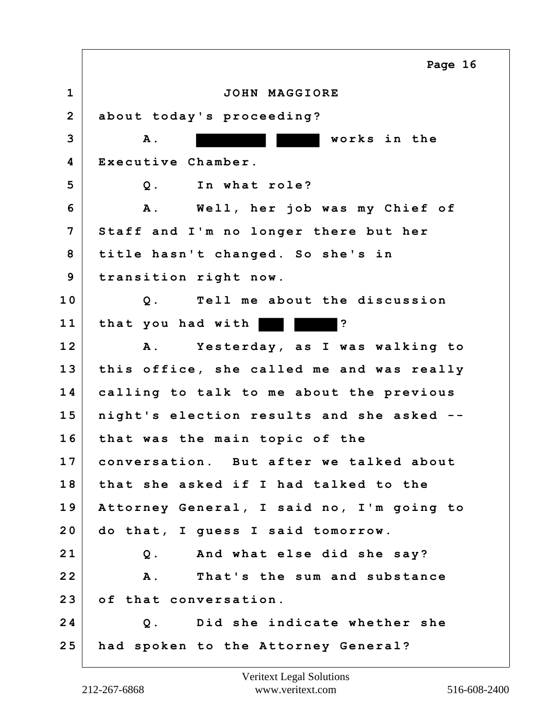**1 JOHN MAGGIORE 2 about today's proceeding? 3 A. works in the 4 Executive Chamber. 5 Q. In what role? 6 A. Well, her job was my Chief of 7 Staff and I'm no longer there but her 8 title hasn't changed. So she's in 9 transition right now. 10 Q. Tell me about the discussion 11 that you had with ? 12 A. Yesterday, as I was walking to 13 this office, she called me and was really 14 calling to talk to me about the previous 15 night's election results and she asked -- 16 that was the main topic of the 17 conversation. But after we talked about 18 that she asked if I had talked to the 19 Attorney General, I said no, I'm going to 20 do that, I guess I said tomorrow. 21 Q. And what else did she say? 22 A. That's the sum and substance 23 of that conversation. 24 Q. Did she indicate whether she 25 had spoken to the Attorney General? Page 16**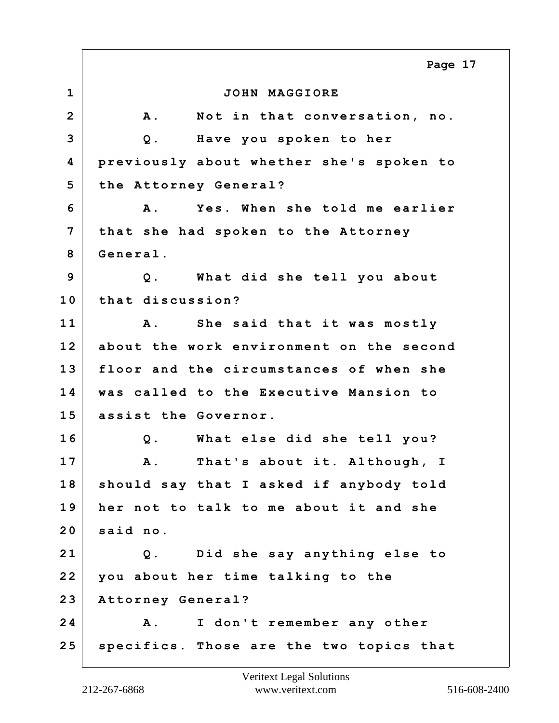**1 JOHN MAGGIORE 2 A. Not in that conversation, no. 3 Q. Have you spoken to her 4 previously about whether she's spoken to 5 the Attorney General? 6 A. Yes. When she told me earlier 7 that she had spoken to the Attorney 8 General. 9 Q. What did she tell you about 10 that discussion? 11 A. She said that it was mostly 12 about the work environment on the second 13 floor and the circumstances of when she 14 was called to the Executive Mansion to 15 assist the Governor. 16 Q. What else did she tell you? 17 A. That's about it. Although, I 18 should say that I asked if anybody told 19 her not to talk to me about it and she 20 said no. 21 Q. Did she say anything else to 22 you about her time talking to the 23 Attorney General? 24 A. I don't remember any other 25 specifics. Those are the two topics that Page 17**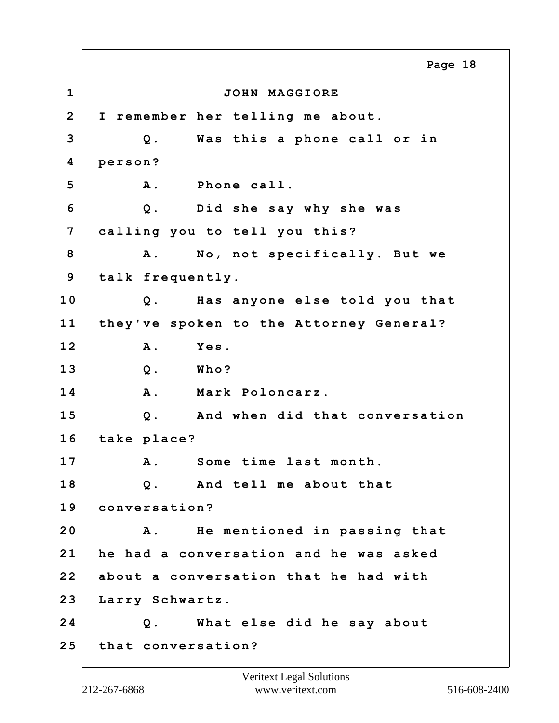**1 JOHN MAGGIORE 2 I remember her telling me about. 3 Q. Was this a phone call or in 4 person?** 5 A. Phone call. **6 Q. Did she say why she was 7 calling you to tell you this? 8 A. No, not specifically. But we 9 talk frequently. 10 Q. Has anyone else told you that 11 they've spoken to the Attorney General? 12 A. Yes. 13 Q. Who? 14 A. Mark Poloncarz. 15 Q. And when did that conversation 16 take place? 17 A. Some time last month. 18 Q. And tell me about that 19 conversation? 20 A. He mentioned in passing that 21 he had a conversation and he was asked 22 about a conversation that he had with 23 Larry Schwartz. 24 Q. What else did he say about 25 that conversation? Page 18**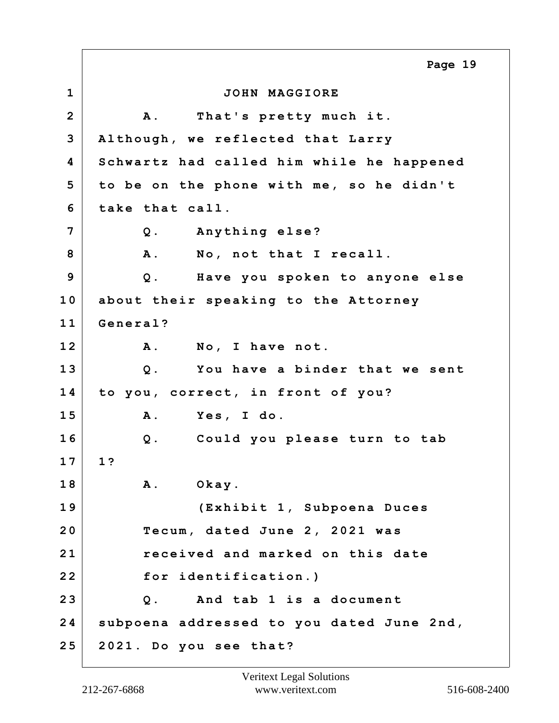**1 JOHN MAGGIORE 2 A. That's pretty much it. 3 Although, we reflected that Larry 4 Schwartz had called him while he happened 5 to be on the phone with me, so he didn't 6 take that call. 7 Q. Anything else?** 8 A. No, not that I recall. **9 Q. Have you spoken to anyone else 10 about their speaking to the Attorney 11 General? 12 A. No, I have not. 13 Q. You have a binder that we sent 14 to you, correct, in front of you? 15 A. Yes, I do. 16 Q. Could you please turn to tab 17 1? 18 A. Okay. 19 (Exhibit 1, Subpoena Duces 20 Tecum, dated June 2, 2021 was 21 received and marked on this date 22 for identification.) 23 Q. And tab 1 is a document 24 subpoena addressed to you dated June 2nd, 25 2021. Do you see that? Page 19**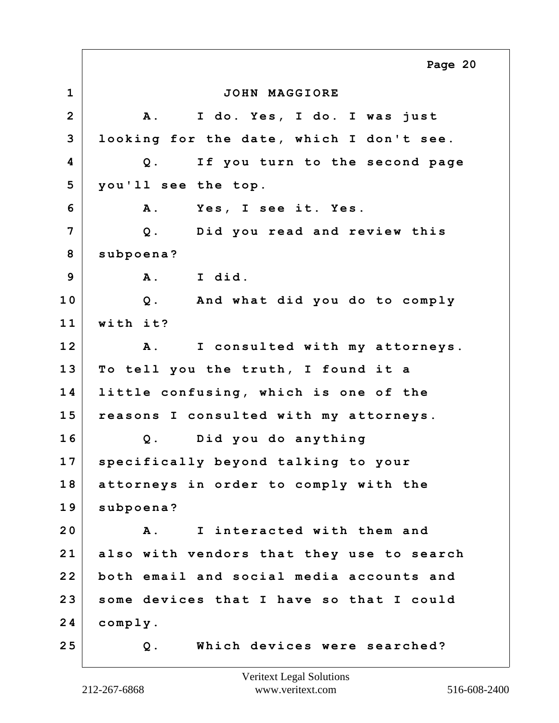**1 JOHN MAGGIORE 2 A. I do. Yes, I do. I was just 3 looking for the date, which I don't see. 4 Q. If you turn to the second page 5 you'll see the top. 6 A. Yes, I see it. Yes. 7 Q. Did you read and review this 8 subpoena? 9 A. I did. 10 Q. And what did you do to comply 11 with it? 12 A. I consulted with my attorneys. 13 To tell you the truth, I found it a 14 little confusing, which is one of the 15 reasons I consulted with my attorneys. 16 Q. Did you do anything 17 specifically beyond talking to your 18 attorneys in order to comply with the 19 subpoena? 20 A. I interacted with them and 21 also with vendors that they use to search 22 both email and social media accounts and 23 some devices that I have so that I could 24 comply. 25 Q. Which devices were searched? Page 20**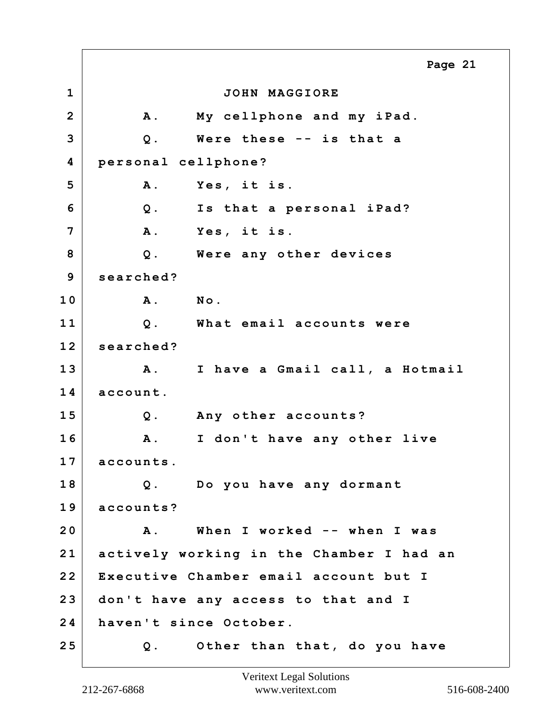**1 JOHN MAGGIORE 2 A. My cellphone and my iPad. 3 Q. Were these -- is that a 4 personal cellphone? 5 A. Yes, it is. 6 Q. Is that a personal iPad? 7 A. Yes, it is. 8 Q. Were any other devices 9 searched? 10 A. No. 11 Q. What email accounts were 12 searched? 13 A. I have a Gmail call, a Hotmail 14 account. 15 Q. Any other accounts? 16 A. I don't have any other live 17 accounts. 18 Q. Do you have any dormant 19 accounts? 20 A. When I worked -- when I was 21 actively working in the Chamber I had an 22 Executive Chamber email account but I 23 don't have any access to that and I 24 haven't since October. 25 Q. Other than that, do you have Page 21**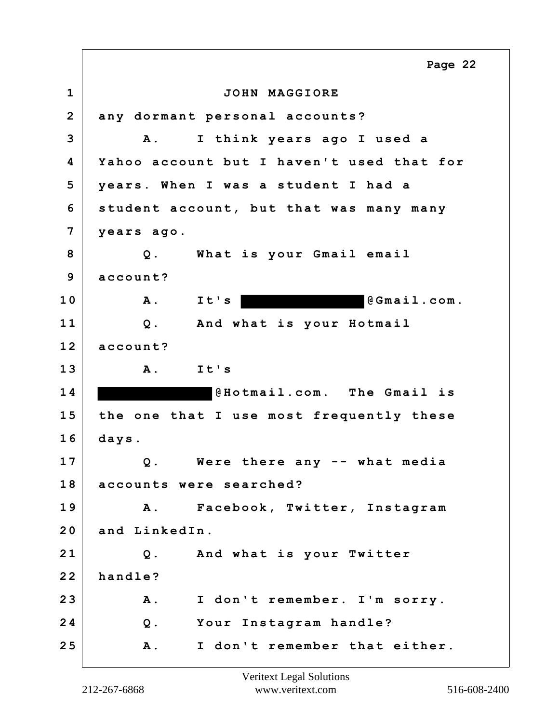**1 JOHN MAGGIORE 2 any dormant personal accounts? 3 A. I think years ago I used a 4 Yahoo account but I haven't used that for 5 years. When I was a student I had a 6 student account, but that was many many 7 years ago. 8 Q. What is your Gmail email 9 account?** 10 A. It's @Gmail.com. **11 Q. And what is your Hotmail 12 account? 13 A. It's 1 4 @Hotmail.com. The Gmail is 15 the one that I use most frequently these 16 days. 17 Q. Were there any -- what media 18 accounts were searched? 19 A. Facebook, Twitter, Instagram 20 and LinkedIn. 21 Q. And what is your Twitter 22 handle? 23 A. I don't remember. I'm sorry. 24 Q. Your Instagram handle? 25 A. I don't remember that either. Page 22**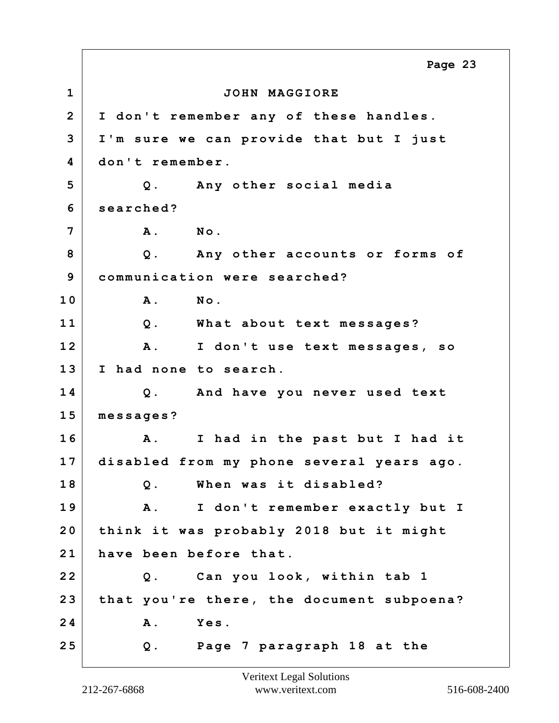**1 JOHN MAGGIORE 2 I don't remember any of these handles. 3 I'm sure we can provide that but I just 4 don't remember. 5 Q. Any other social media 6 searched? 7 A. No. 8 Q. Any other accounts or forms of 9 communication were searched? 10 A. No. 11 Q. What about text messages? 12 A. I don't use text messages, so 13 I had none to search. 14 Q. And have you never used text 15 messages? 16 A. I had in the past but I had it 17 disabled from my phone several years ago. 18 Q. When was it disabled? 19 A. I don't remember exactly but I 20 think it was probably 2018 but it might 21 have been before that. 22 Q. Can you look, within tab 1 23 that you're there, the document subpoena? 24 A. Yes. 25 Q. Page 7 paragraph 18 at the Page 23**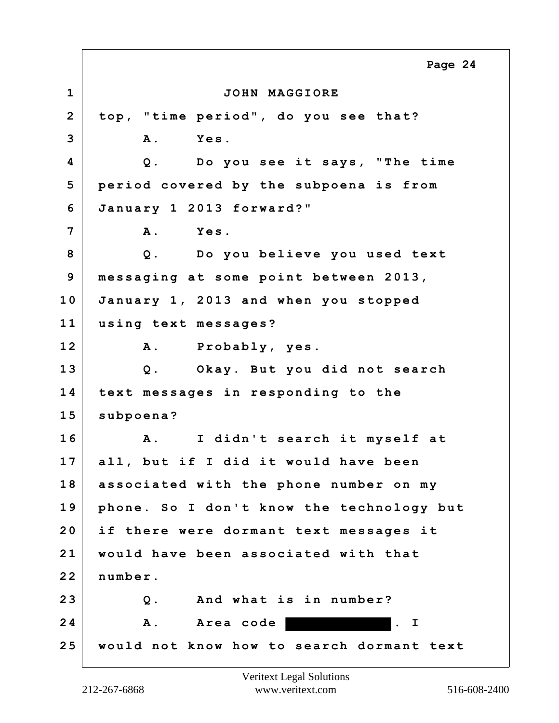**1 JOHN MAGGIORE 2 top, "time period", do you see that? 3 A. Yes. 4 Q. Do you see it says, "The time 5 period covered by the subpoena is from 6 January 1 2013 forward?" 7 A. Yes. 8 Q. Do you believe you used text 9 messaging at some point between 2013, 10 January 1, 2013 and when you stopped 11 using text messages? 12 A. Probably, yes. 13 Q. Okay. But you did not search 14 text messages in responding to the 15 subpoena? 16 A. I didn't search it myself at 17 all, but if I did it would have been 18 associated with the phone number on my 19 phone. So I don't know the technology but 20 if there were dormant text messages it 21 would have been associated with that 22 number. 23 Q. And what is in number?** 24 A. Area code **. I 25 would not know how to search dormant text Page 24**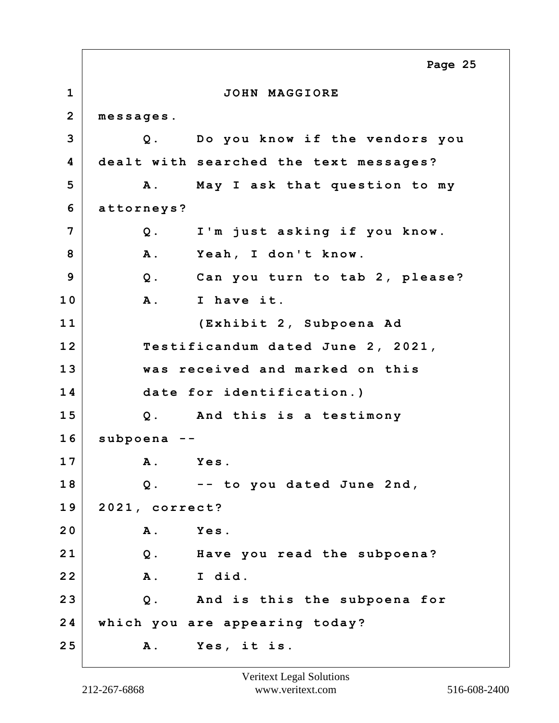**1 JOHN MAGGIORE 2 messages. 3 Q. Do you know if the vendors you 4 dealt with searched the text messages? 5 A. May I ask that question to my 6 attorneys? 7 Q. I'm just asking if you know. 8 A. Yeah, I don't know. 9 Q. Can you turn to tab 2, please? 10 A. I have it. 11 (Exhibit 2, Subpoena Ad 12 Testificandum dated June 2, 2021, 13 was received and marked on this 14 date for identification.) 15 Q. And this is a testimony 16 subpoena -- 17 A. Yes. 18 Q. -- to you dated June 2nd, 19 2021, correct? 20 A. Yes. 21 Q. Have you read the subpoena? 22 A. I did. 23 Q. And is this the subpoena for 24 which you are appearing today? 25 A. Yes, it is. Page 25**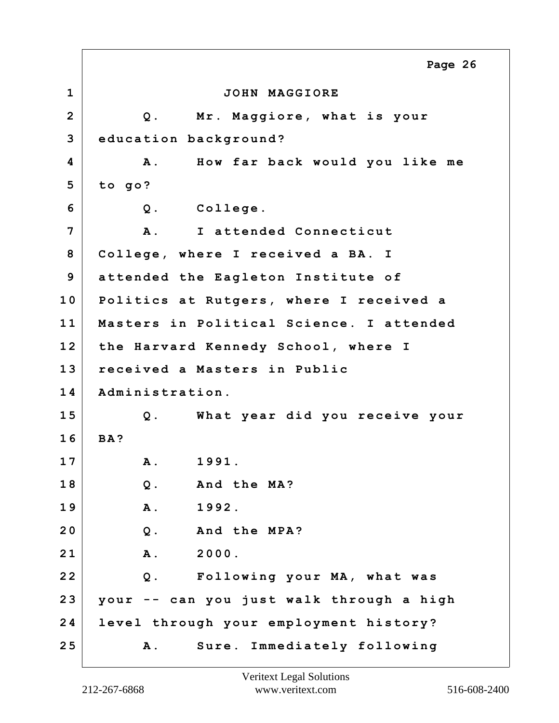**1 JOHN MAGGIORE 2 Q. Mr. Maggiore, what is your 3 education background? 4 A. How far back would you like me 5 to go? 6 Q. College. 7 A. I attended Connecticut 8 College, where I received a BA. I 9 attended the Eagleton Institute of 10 Politics at Rutgers, where I received a 11 Masters in Political Science. I attended 12 the Harvard Kennedy School, where I 13 received a Masters in Public 14 Administration. 15 Q. What year did you receive your 16 BA? 17 A. 1991. 18 Q. And the MA? 19 A. 1992. 20 Q. And the MPA? 21 A. 2000. 22 Q. Following your MA, what was 23 your -- can you just walk through a high 24 level through your employment history? 25 A. Sure. Immediately following Page 26**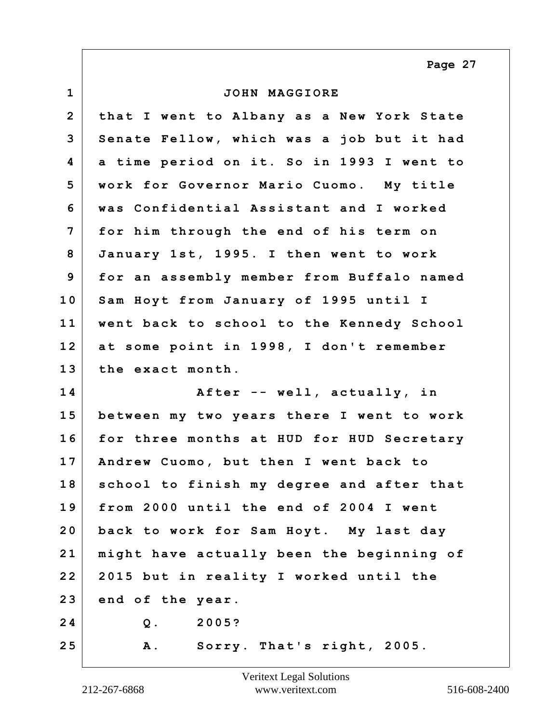**Page 27**

| $\mathbf 1$    | JOHN MAGGIORE                             |
|----------------|-------------------------------------------|
| $\overline{2}$ | that I went to Albany as a New York State |
| 3              | Senate Fellow, which was a job but it had |
| 4              | a time period on it. So in 1993 I went to |
| 5              | work for Governor Mario Cuomo. My title   |
| 6              | was Confidential Assistant and I worked   |
| 7              | for him through the end of his term on    |
| 8              | January 1st, 1995. I then went to work    |
| 9              | for an assembly member from Buffalo named |
| 10             | Sam Hoyt from January of 1995 until I     |
| 11             | went back to school to the Kennedy School |
| 12             | at some point in 1998, I don't remember   |
| 13             | the exact month.                          |
| 14             | After -- well, actually, in               |
| 15             | between my two years there I went to work |
| 16             | for three months at HUD for HUD Secretary |
| 17             | Andrew Cuomo, but then I went back to     |
| 18             | school to finish my degree and after that |
| 19             | from 2000 until the end of 2004 I went    |
| 20             | back to work for Sam Hoyt. My last day    |
| 21             | might have actually been the beginning of |
| 22             | 2015 but in reality I worked until the    |
| 23             | end of the year.                          |
| 24             | 2005?<br>$Q$ .                            |
| 25             | A. Sorry. That's right, 2005.             |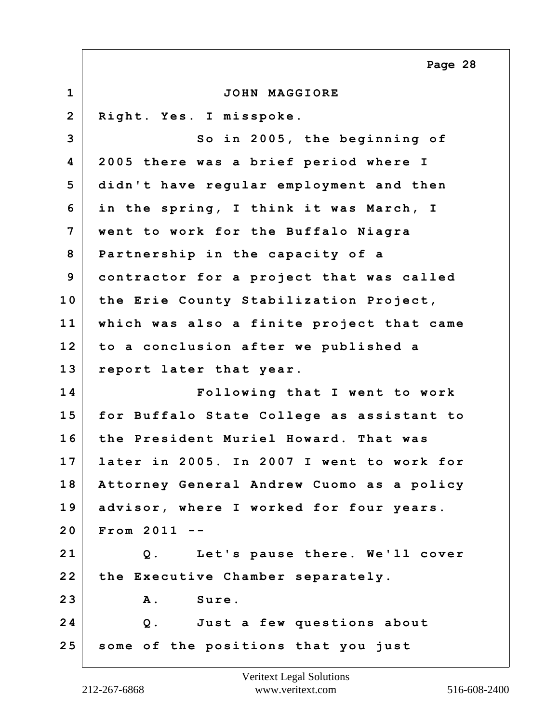**1 JOHN MAGGIORE 2 Right. Yes. I misspoke. 3** So in 2005, the beginning of **4 2005 there was a brief period where I 5 didn't have regular employment and then 6 in the spring, I think it was March, I 7 went to work for the Buffalo Niagra 8 Partnership in the capacity of a 9 contractor for a project that was called 10 the Erie County Stabilization Project, 11 which was also a finite project that came 12 to a conclusion after we published a 13 report later that year. 14 Following that I went to work 15 for Buffalo State College as assistant to 16 the President Muriel Howard. That was 17 later in 2005. In 2007 I went to work for 18 Attorney General Andrew Cuomo as a policy 19 advisor, where I worked for four years. 20 From 2011 -- 21 Q. Let's pause there. We'll cover 22 the Executive Chamber separately. 23 A. Sure. 24 Q. Just a few questions about 25 some of the positions that you just Page 28**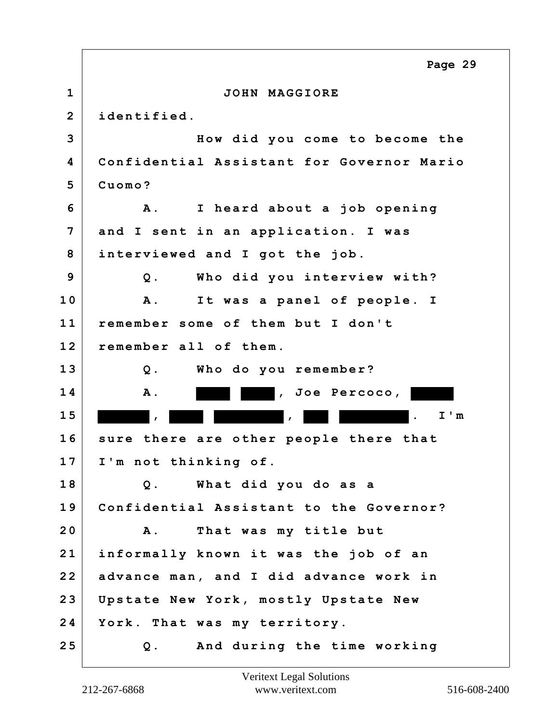**1 JOHN MAGGIORE 2 identified. 3 How did you come to become the 4 Confidential Assistant for Governor Mario 5 Cuomo? 6 A. I heard about a job opening 7 and I sent in an application. I was 8 interviewed and I got the job. 9 Q. Who did you interview with? 10 A. It was a panel of people. I 11 remember some of them but I don't 12 remember all of them. 13 Q. Who do you remember? 14 A. , Joe Percoco, 1 5 , , . I'm 16 sure there are other people there that 17 I'm not thinking of. 18 Q. What did you do as a 19 Confidential Assistant to the Governor? 20 A. That was my title but 21 informally known it was the job of an 22 advance man, and I did advance work in 23 Upstate New York, mostly Upstate New 24 York. That was my territory. 25 Q. And during the time working Page 29**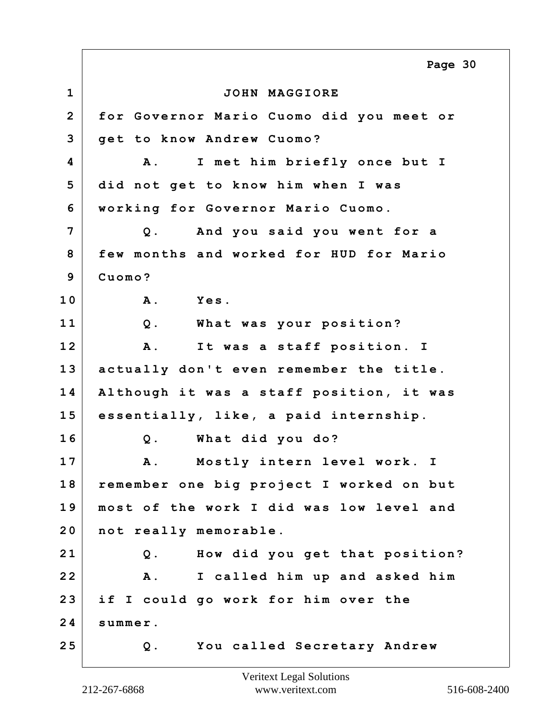**1 JOHN MAGGIORE 2 for Governor Mario Cuomo did you meet or 3 get to know Andrew Cuomo? 4 A. I met him briefly once but I 5 did not get to know him when I was 6 working for Governor Mario Cuomo. 7 Q. And you said you went for a 8 few months and worked for HUD for Mario 9 Cuomo? 10 A. Yes. 11 Q. What was your position? 12 A. It was a staff position. I 13 actually don't even remember the title. 14 Although it was a staff position, it was 15 essentially, like, a paid internship. 16 Q. What did you do? 17 A. Mostly intern level work. I 18 remember one big project I worked on but 19 most of the work I did was low level and 20 not really memorable. 21 Q. How did you get that position? 22 A. I called him up and asked him 23 if I could go work for him over the 24 summer. 25 Q. You called Secretary Andrew Page 30**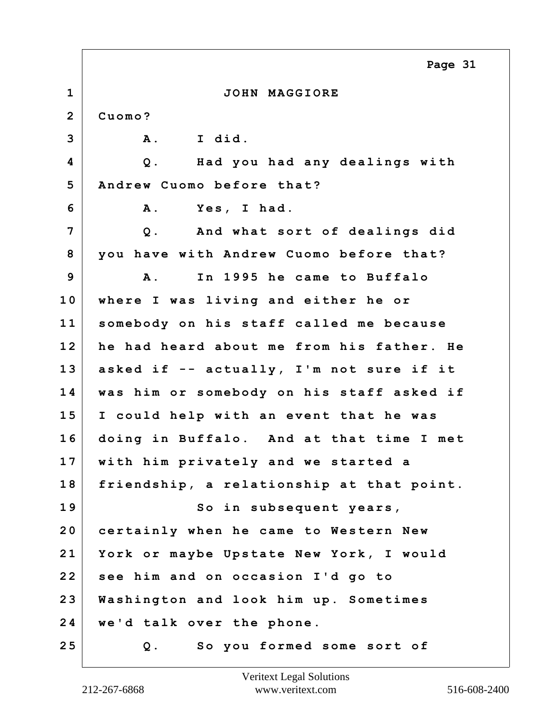|                | Page 31                                   |
|----------------|-------------------------------------------|
| $\mathbf 1$    | JOHN MAGGIORE                             |
| $\overline{2}$ | Cuomo?                                    |
| 3              | I did.<br>A .                             |
| 4              | Had you had any dealings with<br>$Q$ .    |
| 5              | Andrew Cuomo before that?                 |
| 6              | Yes, I had.<br><b>A</b> .                 |
| 7              | And what sort of dealings did<br>$Q$ .    |
| 8              | you have with Andrew Cuomo before that?   |
| 9              | In 1995 he came to Buffalo<br><b>A</b> .  |
| 10             | where I was living and either he or       |
| 11             | somebody on his staff called me because   |
| 12             | he had heard about me from his father. He |
| 13             | asked if -- actually, I'm not sure if it  |
| 14             | was him or somebody on his staff asked if |
| 15             | I could help with an event that he was    |
| 16             | doing in Buffalo. And at that time I met  |
| 17             | with him privately and we started a       |
| 18             | friendship, a relationship at that point. |
| 19             | So in subsequent years,                   |
| 20             | certainly when he came to Western New     |
| 21             | York or maybe Upstate New York, I would   |
| 22             | see him and on occasion I'd go to         |
| 23             | Washington and look him up. Sometimes     |
| 24             | we'd talk over the phone.                 |
| 25             | So you formed some sort of<br>Q.          |

 $\Gamma$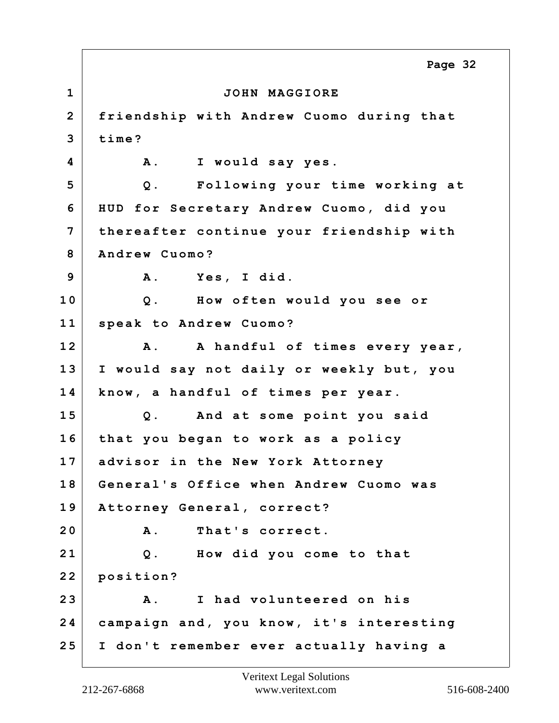**1 JOHN MAGGIORE 2 friendship with Andrew Cuomo during that 3 time? 4 A. I would say yes. 5 Q. Following your time working at 6 HUD for Secretary Andrew Cuomo, did you 7 thereafter continue your friendship with 8 Andrew Cuomo? 9 A. Yes, I did. 10 Q. How often would you see or 11 speak to Andrew Cuomo? 12 A. A handful of times every year, 13 I would say not daily or weekly but, you 14 know, a handful of times per year. 15 Q. And at some point you said 16 that you began to work as a policy 17 advisor in the New York Attorney 18 General's Office when Andrew Cuomo was 19 Attorney General, correct? 20 A. That's correct. 21 Q. How did you come to that 22 position? 23 A. I had volunteered on his 24 campaign and, you know, it's interesting 25 I don't remember ever actually having a Page 32**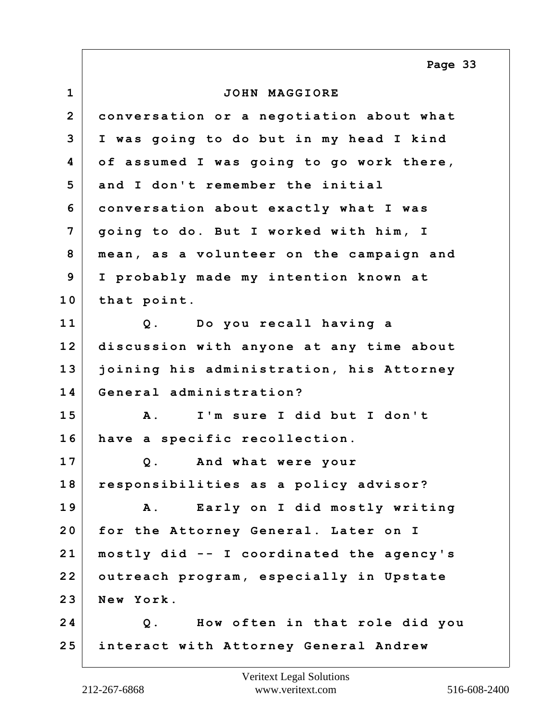**1 JOHN MAGGIORE 2 conversation or a negotiation about what 3 I was going to do but in my head I kind 4 of assumed I was going to go work there, 5 and I don't remember the initial 6 conversation about exactly what I was 7 going to do. But I worked with him, I 8 mean, as a volunteer on the campaign and 9 I probably made my intention known at 10 that point. 11 Q. Do you recall having a 12 discussion with anyone at any time about 13 joining his administration, his Attorney 14 General administration? 15 A. I'm sure I did but I don't 16 have a specific recollection. 17 Q. And what were your 18 responsibilities as a policy advisor? 19 A. Early on I did mostly writing 20 for the Attorney General. Later on I 21 mostly did -- I coordinated the agency's 22 outreach program, especially in Upstate 23 New York. 24 Q. How often in that role did you 25 interact with Attorney General Andrew Page 33**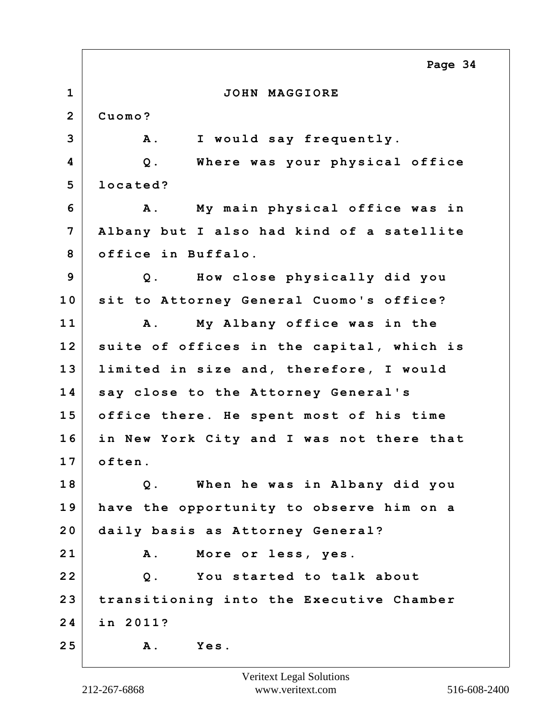|                | Page 34                                          |
|----------------|--------------------------------------------------|
| $\mathbf{1}$   | JOHN MAGGIORE                                    |
| $\mathbf{2}$   | Cuomo?                                           |
| 3              | <b>A</b> .<br>I would say frequently.            |
| 4              | Where was your physical office<br>$Q$ .          |
| 5              | located?                                         |
| 6              | My main physical office was in<br>$\mathbf{A}$ . |
| $\overline{7}$ | Albany but I also had kind of a satellite        |
| 8              | office in Buffalo.                               |
| 9              | Q. How close physically did you                  |
| 10             | sit to Attorney General Cuomo's office?          |
| 11             | My Albany office was in the<br><b>A</b> .        |
| 12             | suite of offices in the capital, which is        |
| 13             | limited in size and, therefore, I would          |
| 14             | say close to the Attorney General's              |
| 15             | office there. He spent most of his time          |
| 16             | in New York City and I was not there that        |
| 17             | often                                            |
| 18             | When he was in Albany did you<br>$Q$ .           |
| 19             | have the opportunity to observe him on a         |
| 20             | daily basis as Attorney General?                 |
| 21             | More or less, yes.<br>Α.                         |
| 22             | You started to talk about<br>$Q$ .               |
| 23             | transitioning into the Executive Chamber         |
| 24             | in 2011?                                         |
| 25             | Yes.<br><b>A</b> .                               |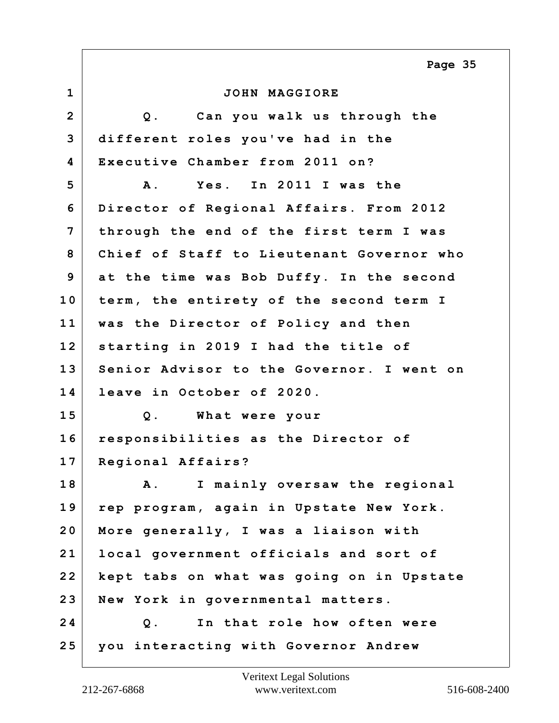**Page 35**

| $\mathbf{1}$   | JOHN MAGGIORE                             |
|----------------|-------------------------------------------|
| $\overline{2}$ | Can you walk us through the<br>$Q$ .      |
| 3              | different roles you've had in the         |
| 4              | Executive Chamber from 2011 on?           |
| 5              | Yes. In 2011 I was the<br>A .             |
| 6              | Director of Regional Affairs. From 2012   |
| $7\phantom{.}$ | through the end of the first term I was   |
| 8              | Chief of Staff to Lieutenant Governor who |
| 9              | at the time was Bob Duffy. In the second  |
| 10             | term, the entirety of the second term I   |
| 11             | was the Director of Policy and then       |
| 12             | starting in 2019 I had the title of       |
| 13             | Senior Advisor to the Governor. I went on |
| 14             | leave in October of 2020.                 |
| 15             | $Q$ .<br>What were your                   |
| 16             | responsibilities as the Director of       |
| 17             | Regional Affairs?                         |
| 18             | A. I mainly oversaw the regional          |
| 19             | rep program, again in Upstate New York.   |
| 20             | More generally, I was a liaison with      |
| 21             | local government officials and sort of    |
| 22             | kept tabs on what was going on in Upstate |
| 23             | New York in governmental matters.         |
| 24             | In that role how often were<br>$Q$ .      |
| 25             | you interacting with Governor Andrew      |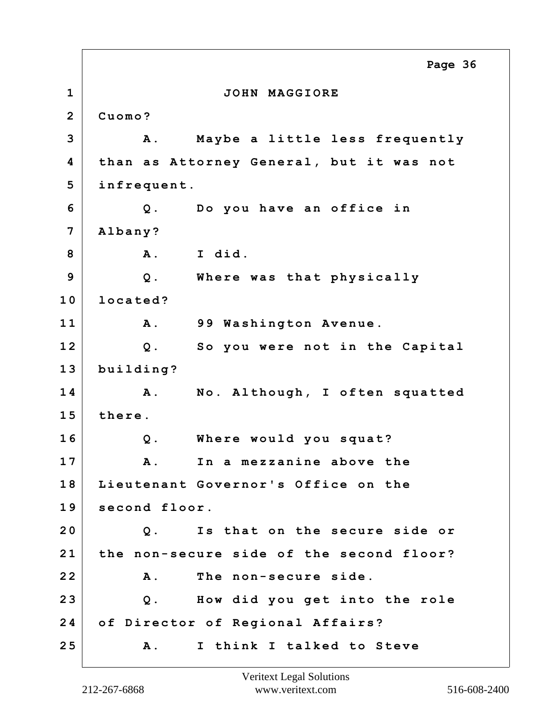**1 JOHN MAGGIORE 2 Cuomo? 3 A. Maybe a little less frequently 4 than as Attorney General, but it was not 5 infrequent. 6 Q. Do you have an office in 7 Albany? 8 A. I did. 9 Q. Where was that physically 10 located? 11 A. 99 Washington Avenue. 12 Q. So you were not in the Capital 13 building? 14 A. No. Although, I often squatted 15 there. 16 Q. Where would you squat? 17 A. In a mezzanine above the 18 Lieutenant Governor's Office on the 19 second floor. 20 Q. Is that on the secure side or 21 the non-secure side of the second floor? 22 A. The non-secure side. 23 Q. How did you get into the role 24 of Director of Regional Affairs? 25 A. I think I talked to Steve Page 36**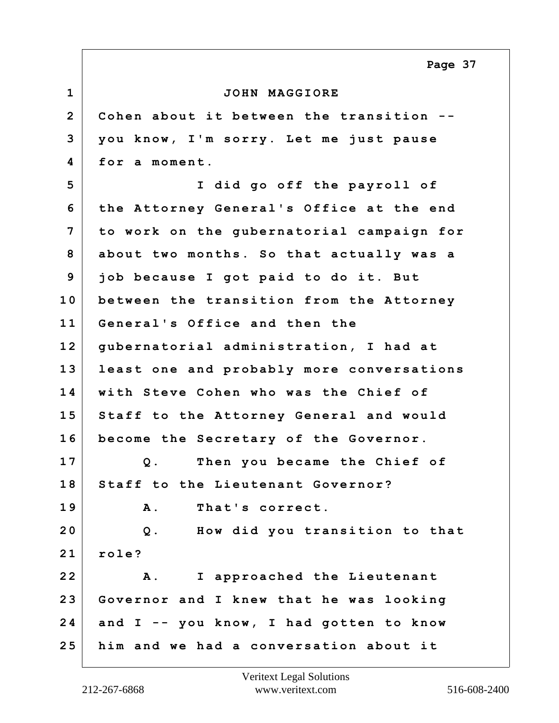**Page 37**

| $\mathbf 1$    | JOHN MAGGIORE                             |
|----------------|-------------------------------------------|
| $\overline{2}$ | Cohen about it between the transition --  |
| 3              | you know, I'm sorry. Let me just pause    |
| 4              | for a moment.                             |
| 5              | I did go off the payroll of               |
| 6              | the Attorney General's Office at the end  |
| 7              | to work on the gubernatorial campaign for |
| 8              | about two months. So that actually was a  |
| 9              | job because I got paid to do it. But      |
| 10             | between the transition from the Attorney  |
| 11             | General's Office and then the             |
| 12             | gubernatorial administration, I had at    |
| 13             | least one and probably more conversations |
| 14             | with Steve Cohen who was the Chief of     |
| 15             | Staff to the Attorney General and would   |
| 16             | become the Secretary of the Governor.     |
| 17             | Then you became the Chief of<br>$Q$ .     |
| 18             | Staff to the Lieutenant Governor?         |
| 19             | That's correct.<br>Α.                     |
| 20             | How did you transition to that<br>$Q$ .   |
| 21             | role?                                     |
| 22             | I approached the Lieutenant<br><b>A</b> . |
| 23             | Governor and I knew that he was looking   |
| 24             | and I -- you know, I had gotten to know   |
| 25             | him and we had a conversation about it    |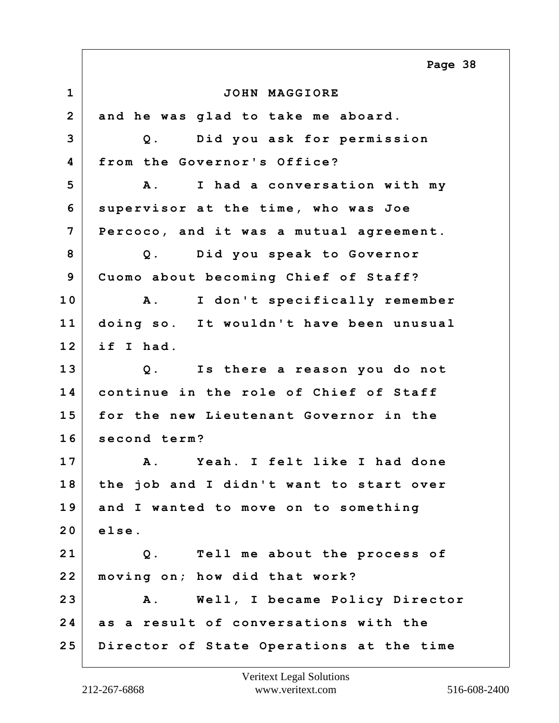**1 JOHN MAGGIORE 2 and he was glad to take me aboard. 3 Q. Did you ask for permission 4 from the Governor's Office? 5 A. I had a conversation with my 6 supervisor at the time, who was Joe 7 Percoco, and it was a mutual agreement. 8 Q. Did you speak to Governor 9 Cuomo about becoming Chief of Staff? 10 A. I don't specifically remember 11 doing so. It wouldn't have been unusual 12 if I had. 13 Q. Is there a reason you do not 14 continue in the role of Chief of Staff 15 for the new Lieutenant Governor in the 16 second term? 17 A. Yeah. I felt like I had done 18 the job and I didn't want to start over 19 and I wanted to move on to something 20 else. 21 Q. Tell me about the process of 22 moving on; how did that work? 23 A. Well, I became Policy Director 24 as a result of conversations with the 25 Director of State Operations at the time Page 38**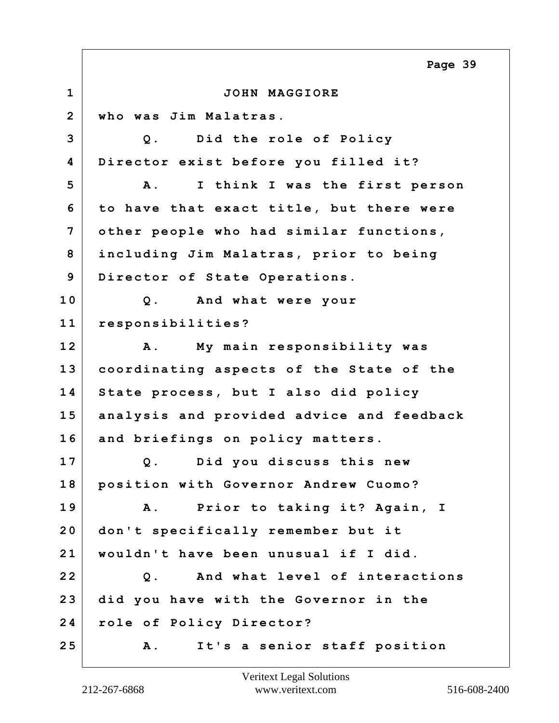**1 JOHN MAGGIORE 2 who was Jim Malatras. 3 Q. Did the role of Policy 4 Director exist before you filled it? 5 A. I think I was the first person 6 to have that exact title, but there were 7 other people who had similar functions, 8 including Jim Malatras, prior to being 9 Director of State Operations. 10 Q. And what were your 11 responsibilities? 12 A. My main responsibility was 13 coordinating aspects of the State of the 14 State process, but I also did policy 15 analysis and provided advice and feedback 16 and briefings on policy matters. 17 Q. Did you discuss this new 18 position with Governor Andrew Cuomo? 19 A. Prior to taking it? Again, I 20 don't specifically remember but it 21 wouldn't have been unusual if I did. 22 Q. And what level of interactions 23 did you have with the Governor in the 24 role of Policy Director? 25 A. It's a senior staff position Page 39**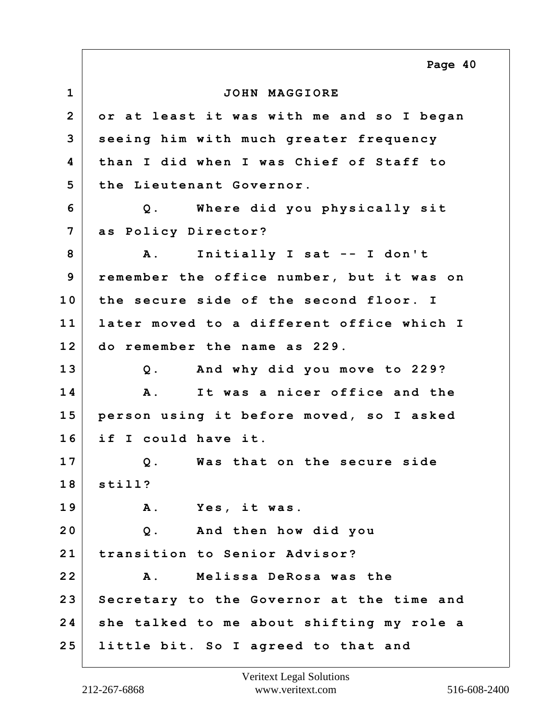**1 JOHN MAGGIORE 2 or at least it was with me and so I began 3 seeing him with much greater frequency 4 than I did when I was Chief of Staff to 5 the Lieutenant Governor. 6 Q. Where did you physically sit 7 as Policy Director? 8 A. Initially I sat -- I don't 9 remember the office number, but it was on 10 the secure side of the second floor. I 11 later moved to a different office which I 12 do remember the name as 229. 13 Q. And why did you move to 229? 14 A. It was a nicer office and the 15 person using it before moved, so I asked 16 if I could have it. 17 Q. Was that on the secure side 18 still? 19 A. Yes, it was. 20 Q. And then how did you 21 transition to Senior Advisor? 22 A. Melissa DeRosa was the 23 Secretary to the Governor at the time and 24 she talked to me about shifting my role a 25 little bit. So I agreed to that and Page 40**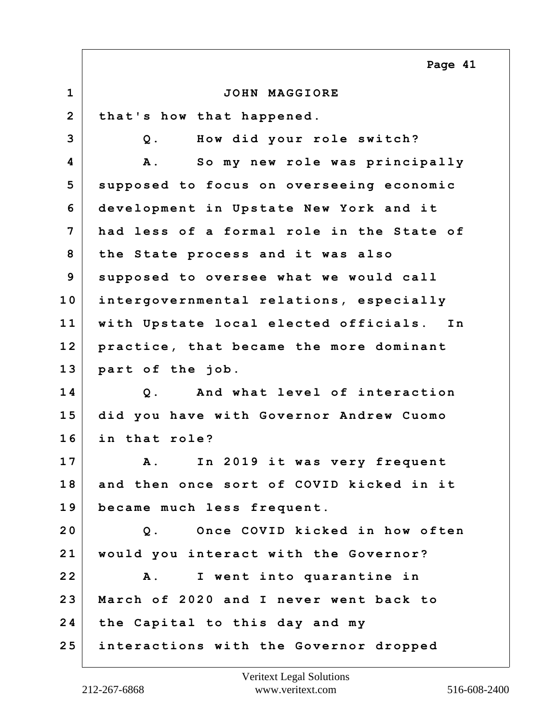|                | Page 41                                      |
|----------------|----------------------------------------------|
| $\mathbf{1}$   | JOHN MAGGIORE                                |
| $\overline{2}$ | that's how that happened.                    |
| 3              | How did your role switch?<br>$Q$ .           |
| 4              | So my new role was principally<br><b>A</b> . |
| 5              | supposed to focus on overseeing economic     |
| 6              | development in Upstate New York and it       |
| 7              | had less of a formal role in the State of    |
| 8              | the State process and it was also            |
| 9              | supposed to oversee what we would call       |
| 10             | intergovernmental relations, especially      |
| 11             | with Upstate local elected officials. In     |
| 12             | practice, that became the more dominant      |
| 13             | part of the job.                             |
| 14             | And what level of interaction<br>$Q$ .       |
| 15             | did you have with Governor Andrew Cuomo      |
| 16             | in that role?                                |
| 17             | A. In 2019 it was very frequent              |
| 18             | and then once sort of COVID kicked in it     |
| 19             | became much less frequent.                   |
| 20             | Once COVID kicked in how often<br>$Q$ .      |
| 21             | would you interact with the Governor?        |
| 22             | I went into quarantine in<br><b>A</b> .      |
| 23             | March of 2020 and I never went back to       |
| 24             | the Capital to this day and my               |
| 25             | interactions with the Governor dropped       |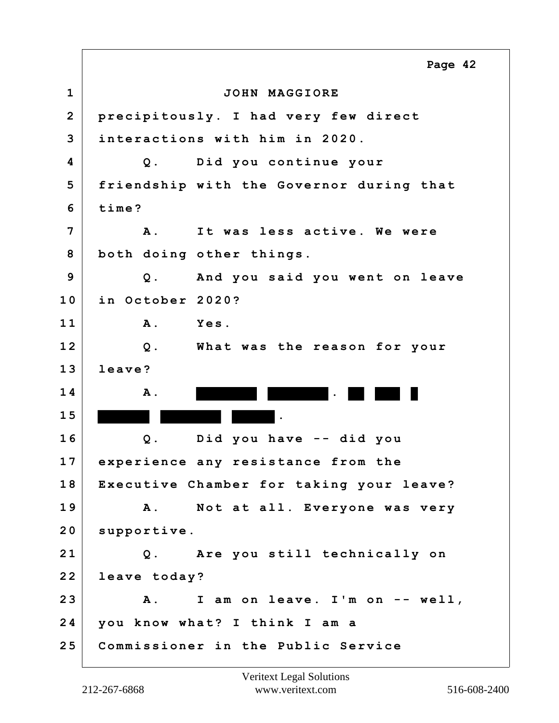**1 JOHN MAGGIORE 2 precipitously. I had very few direct 3 interactions with him in 2020. 4 Q. Did you continue your 5 friendship with the Governor during that 6 time? 7 A. It was less active. We were 8 both doing other things. 9 Q. And you said you went on leave 10 in October 2020? 11 A. Yes. 12 Q. What was the reason for your 13 leave? 14** A. **1 5 . 16 Q. Did you have -- did you 17 experience any resistance from the 18 Executive Chamber for taking your leave? 19 A. Not at all. Everyone was very** 20 supportive. **21 Q. Are you still technically on 22 leave today? 23 A. I am on leave. I'm on -- well, 24 you know what? I think I am a 25 Commissioner in the Public Service Page 42**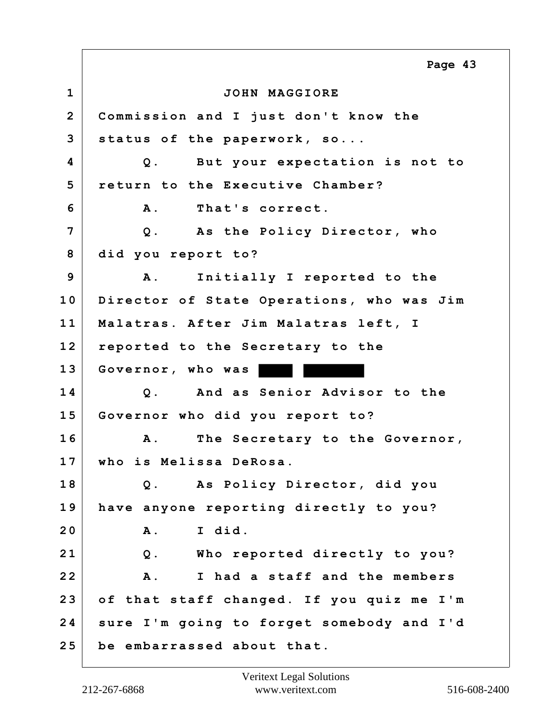**1 JOHN MAGGIORE 2 Commission and I just don't know the 3 status of the paperwork, so... 4 Q. But your expectation is not to 5 return to the Executive Chamber? 6 A. That's correct. 7 Q. As the Policy Director, who 8 did you report to? 9 A. Initially I reported to the 10 Director of State Operations, who was Jim 11 Malatras. After Jim Malatras left, I 12 reported to the Secretary to the 13 Governor, who was 14 Q. And as Senior Advisor to the 15 Governor who did you report to? 16 A. The Secretary to the Governor, 17 who is Melissa DeRosa. 18 Q. As Policy Director, did you 19 have anyone reporting directly to you? 20 A. I did. 21 Q. Who reported directly to you? 22 A. I had a staff and the members 23 of that staff changed. If you quiz me I'm 24 sure I'm going to forget somebody and I'd 25 be embarrassed about that. Page 43**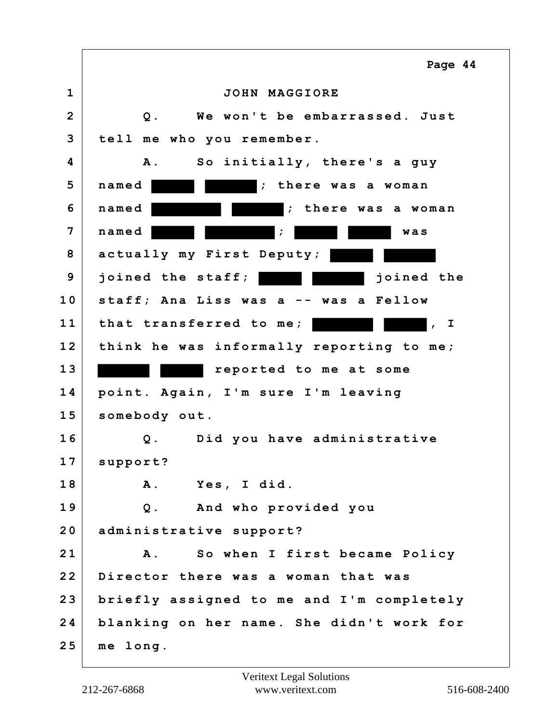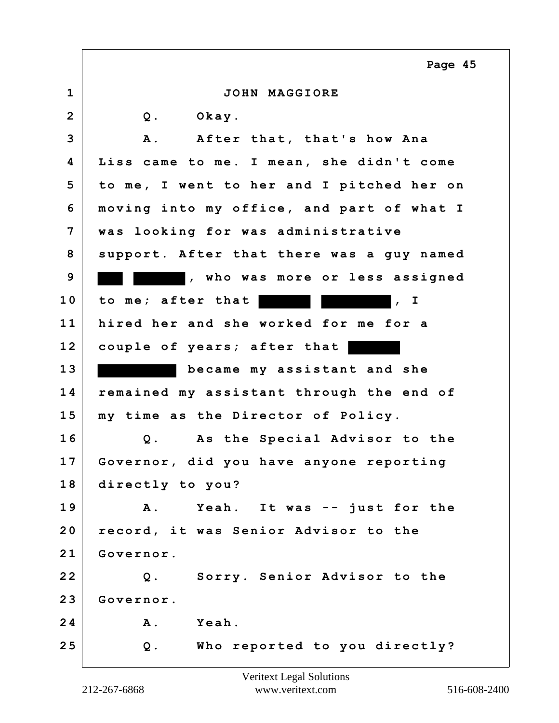|                | Page 45                                    |
|----------------|--------------------------------------------|
| 1              | JOHN MAGGIORE                              |
| $\overline{2}$ | Okay.<br>$Q$ .                             |
| 3              | After that, that's how Ana<br>A .          |
| 4              | Liss came to me. I mean, she didn't come   |
| 5              | to me, I went to her and I pitched her on  |
| 6              | moving into my office, and part of what I  |
| 7              | was looking for was administrative         |
| 8              | support. After that there was a guy named  |
| 9              | , who was more or less assigned            |
| 10             | to me; after that<br>$\vert$ , I           |
| 11             | hired her and she worked for me for a      |
| 12             | couple of years; after that                |
| 13             | became my assistant and she                |
| 14             | remained my assistant through the end of   |
| 15             | my time as the Director of Policy.         |
| 16             | As the Special Advisor to the<br>$Q$ .     |
| 17             | Governor, did you have anyone reporting    |
| 18             | directly to you?                           |
| 19             | Yeah. It was -- just for the<br><b>A</b> . |
| 20             | record, it was Senior Advisor to the       |
| 21             | Governor.                                  |
| 22             | Q. Sorry. Senior Advisor to the            |
| 23             | Governor.                                  |
| 24             | <b>Yeah.</b><br>Α.                         |
| 25             | Who reported to you directly?<br>$Q$ .     |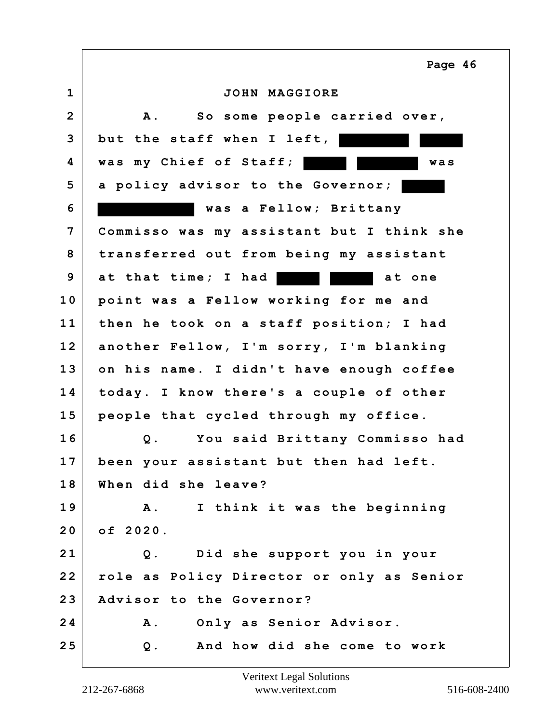**1 JOHN MAGGIORE 2 A. So some people carried over, 3 but the staff when I left, 4 was my Chief of Staff; was 5 a policy advisor to the Governor; 6 was a Fellow; Brittany 7 Commisso was my assistant but I think she 8 transferred out from being my assistant 9** at that time; I had **but** at one **10 point was a Fellow working for me and 11 then he took on a staff position; I had 12 another Fellow, I'm sorry, I'm blanking 13 on his name. I didn't have enough coffee 14 today. I know there's a couple of other 15 people that cycled through my office. 16 Q. You said Brittany Commisso had 17 been your assistant but then had left. 18 When did she leave? 19 A. I think it was the beginning 20 of 2020. 21 Q. Did she support you in your 22 role as Policy Director or only as Senior 23 Advisor to the Governor? 24 A. Only as Senior Advisor. 25 Q. And how did she come to work Page 46**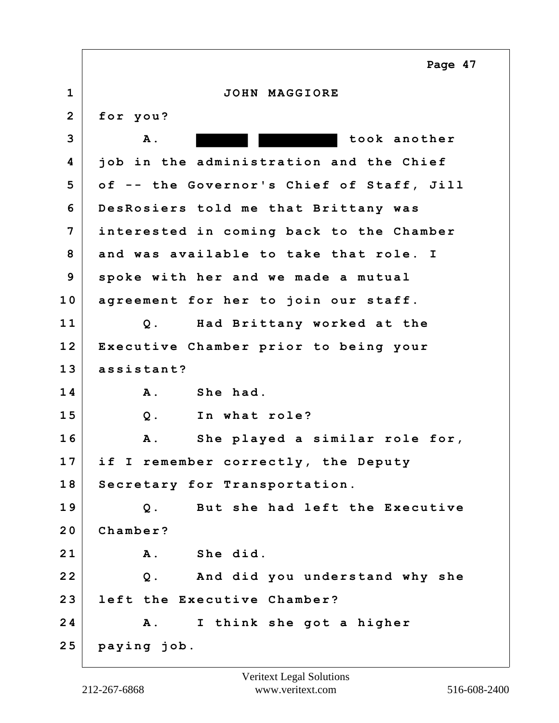**1 JOHN MAGGIORE 2 for you? 3 A. took another 4 job in the administration and the Chief 5 of -- the Governor's Chief of Staff, Jill 6 DesRosiers told me that Brittany was 7 interested in coming back to the Chamber 8 and was available to take that role. I 9 spoke with her and we made a mutual 10 agreement for her to join our staff. 11 Q. Had Brittany worked at the 12 Executive Chamber prior to being your 13 assistant? 14 A. She had. 15 Q. In what role? 16 A. She played a similar role for, 17 if I remember correctly, the Deputy 18 Secretary for Transportation. 19 Q. But she had left the Executive 20 Chamber? 21 A. She did. 22 Q. And did you understand why she 23 left the Executive Chamber? 24 A. I think she got a higher 25 paying job. Page 47**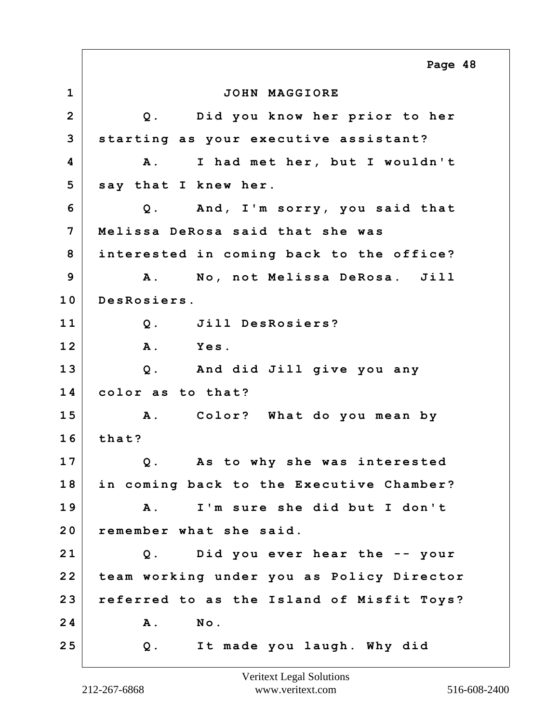**1 JOHN MAGGIORE 2 Q. Did you know her prior to her 3 starting as your executive assistant? 4 A. I had met her, but I wouldn't 5 say that I knew her. 6 Q. And, I'm sorry, you said that 7 Melissa DeRosa said that she was 8 interested in coming back to the office? 9 A. No, not Melissa DeRosa. Jill 10 DesRosiers. 11 Q. Jill DesRosiers? 12 A. Yes. 13 Q. And did Jill give you any 14 color as to that? 15 A. Color? What do you mean by 16 that? 17 Q. As to why she was interested 18 in coming back to the Executive Chamber? 19 A. I'm sure she did but I don't 20 remember what she said. 21 Q. Did you ever hear the -- your 22 team working under you as Policy Director 23 referred to as the Island of Misfit Toys? 24 A. No. 25 Q. It made you laugh. Why did Page 48**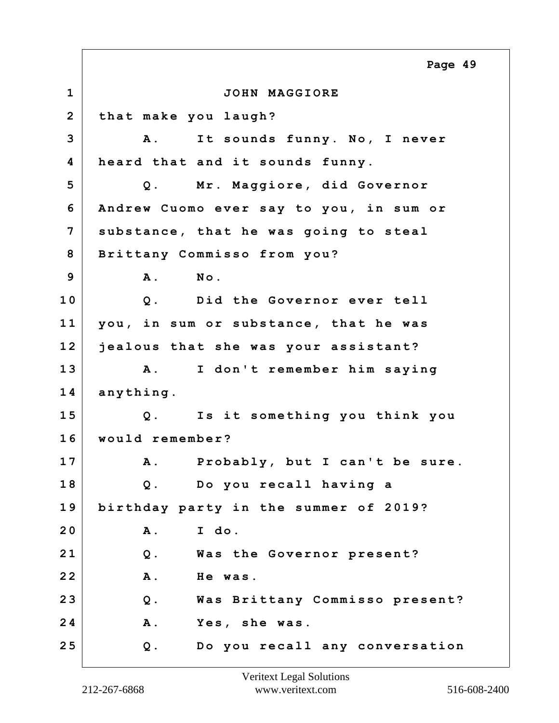**1 JOHN MAGGIORE 2 that make you laugh? 3 A. It sounds funny. No, I never 4 heard that and it sounds funny. 5 Q. Mr. Maggiore, did Governor 6 Andrew Cuomo ever say to you, in sum or 7 substance, that he was going to steal 8 Brittany Commisso from you? 9 A. No. 10 Q. Did the Governor ever tell 11 you, in sum or substance, that he was 12 jealous that she was your assistant? 13 A. I don't remember him saying 14 anything. 15 Q. Is it something you think you 16 would remember? 17 A. Probably, but I can't be sure. 18 Q. Do you recall having a 19 birthday party in the summer of 2019? 20 A. I do. 21 Q. Was the Governor present? 22 A. He was. 23 Q. Was Brittany Commisso present? 24 A. Yes, she was. 25 Q. Do you recall any conversation Page 49**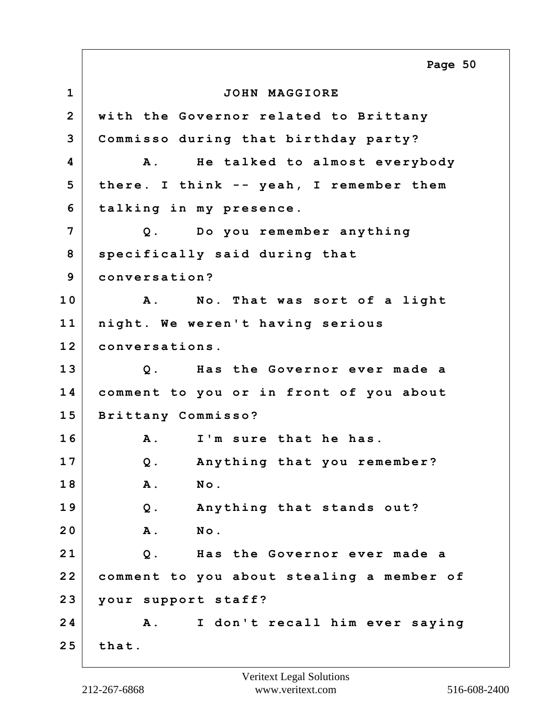**1 JOHN MAGGIORE 2 with the Governor related to Brittany 3 Commisso during that birthday party? 4 A. He talked to almost everybody 5 there. I think -- yeah, I remember them 6 talking in my presence. 7 Q. Do you remember anything 8 specifically said during that 9 conversation? 10 A. No. That was sort of a light 11 night. We weren't having serious 12 conversations. 13 Q. Has the Governor ever made a 14 comment to you or in front of you about 15 Brittany Commisso? 16 A. I'm sure that he has. 17 Q. Anything that you remember? 18 A. No. 19 Q. Anything that stands out? 20 A. No. 21 Q. Has the Governor ever made a 22 comment to you about stealing a member of 23 your support staff? 24 A. I don't recall him ever saying 25 that. Page 50**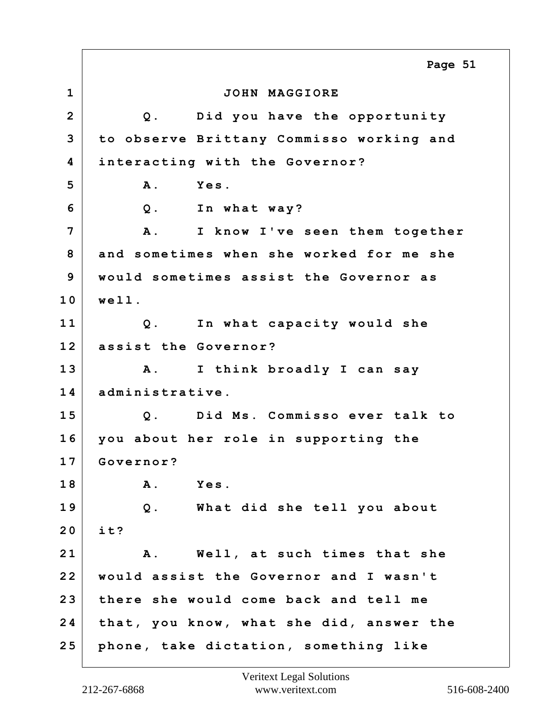**1 JOHN MAGGIORE 2 Q. Did you have the opportunity 3 to observe Brittany Commisso working and 4 interacting with the Governor? 5 A. Yes. 6 Q. In what way? 7 A. I know I've seen them together 8 and sometimes when she worked for me she 9 would sometimes assist the Governor as 10 well. 11 Q. In what capacity would she 12 assist the Governor? 13 A. I think broadly I can say 14 administrative. 15 Q. Did Ms. Commisso ever talk to 16 you about her role in supporting the 17 Governor? 18 A. Yes. 19 Q. What did she tell you about 20 it? 21 A. Well, at such times that she 22 would assist the Governor and I wasn't 23 there she would come back and tell me 24 that, you know, what she did, answer the 25 phone, take dictation, something like Page 51**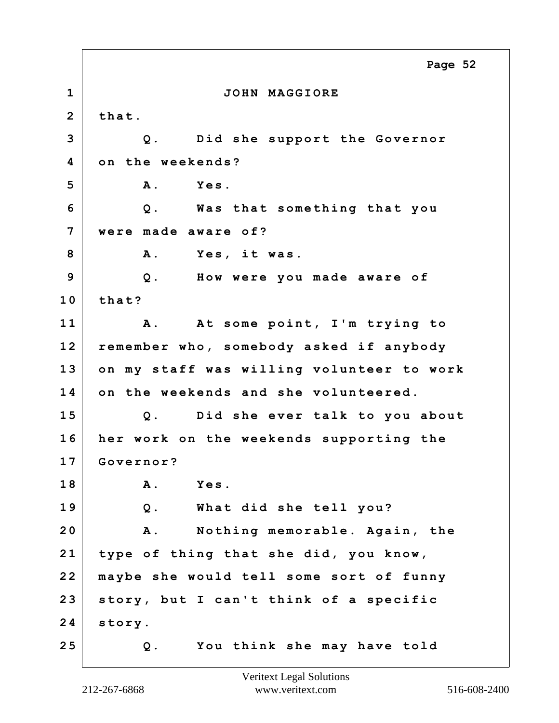**1 JOHN MAGGIORE 2 that. 3 Q. Did she support the Governor 4 on the weekends? 5 A. Yes. 6 Q. Was that something that you 7 were made aware of? 8 A. Yes, it was. 9 Q. How were you made aware of 10 that? 11 A. At some point, I'm trying to 12 remember who, somebody asked if anybody 13 on my staff was willing volunteer to work 14 on the weekends and she volunteered. 15 Q. Did she ever talk to you about 16 her work on the weekends supporting the 17 Governor? 18 A. Yes. 19 Q. What did she tell you? 20 A. Nothing memorable. Again, the 21 type of thing that she did, you know, 22 maybe she would tell some sort of funny 23 story, but I can't think of a specific 24 story. 25 Q. You think she may have told Page 52**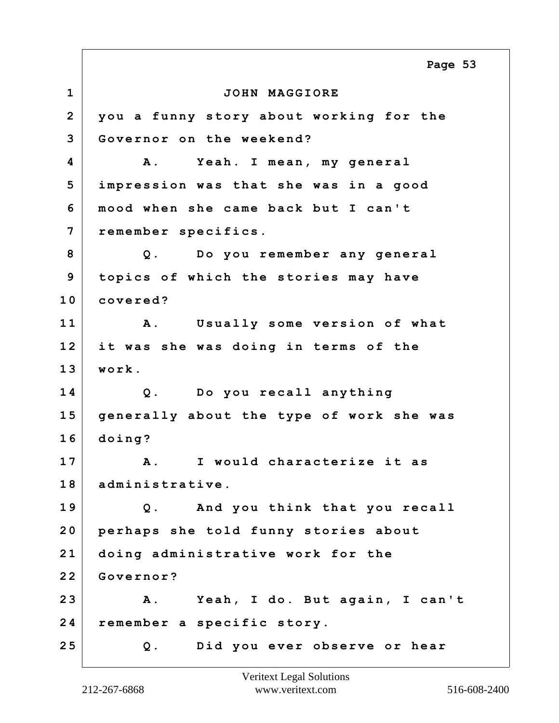**1 JOHN MAGGIORE 2 you a funny story about working for the 3 Governor on the weekend? 4 A. Yeah. I mean, my general 5 impression was that she was in a good 6 mood when she came back but I can't 7 remember specifics. 8 Q. Do you remember any general 9 topics of which the stories may have 10 covered? 11 A. Usually some version of what 12 it was she was doing in terms of the 13 work. 14 Q. Do you recall anything 15 generally about the type of work she was 16 doing? 17 A. I would characterize it as 18 administrative. 19 Q. And you think that you recall 20 perhaps she told funny stories about 21 doing administrative work for the 22 Governor? 23 A. Yeah, I do. But again, I can't 24 remember a specific story. 25 Q. Did you ever observe or hear Page 53**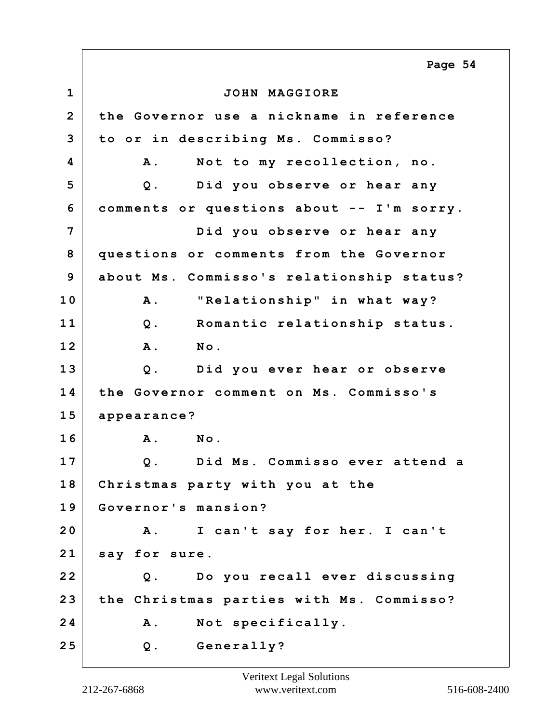**1 JOHN MAGGIORE 2 the Governor use a nickname in reference 3 to or in describing Ms. Commisso? 4 A. Not to my recollection, no. 5 Q. Did you observe or hear any 6 comments or questions about -- I'm sorry. 7 Did you observe or hear any 8 questions or comments from the Governor 9 about Ms. Commisso's relationship status? 10 A. "Relationship" in what way? 11 Q. Romantic relationship status. 12 A. No. 13 Q. Did you ever hear or observe 14 the Governor comment on Ms. Commisso's 15 appearance? 16 A. No. 17 Q. Did Ms. Commisso ever attend a 18 Christmas party with you at the 19 Governor's mansion? 20 A. I can't say for her. I can't 21 say for sure. 22 Q. Do you recall ever discussing 23 the Christmas parties with Ms. Commisso? 24 A. Not specifically. 25 Q. Generally? Page 54**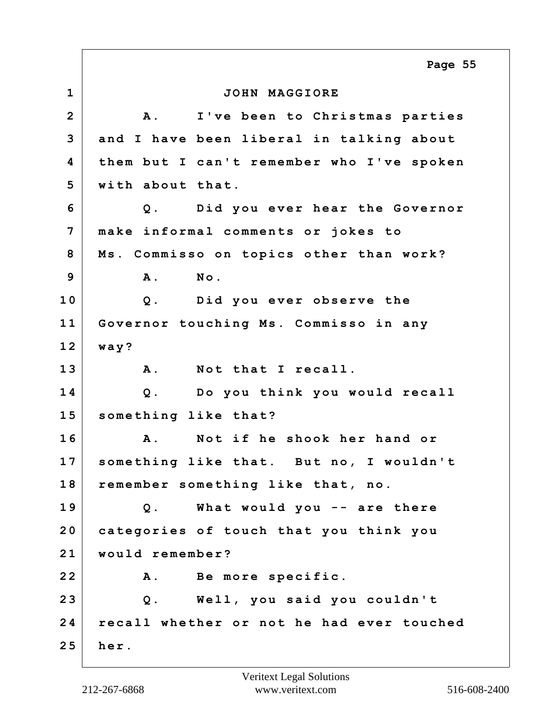**1 JOHN MAGGIORE 2 A. I've been to Christmas parties 3 and I have been liberal in talking about 4 them but I can't remember who I've spoken 5 with about that. 6 Q. Did you ever hear the Governor 7 make informal comments or jokes to 8 Ms. Commisso on topics other than work? 9 A. No. 10 Q. Did you ever observe the 11 Governor touching Ms. Commisso in any 12 way? 13 A. Not that I recall. 14 Q. Do you think you would recall 15 something like that? 16 A. Not if he shook her hand or 17 something like that. But no, I wouldn't 18 remember something like that, no. 19 Q. What would you -- are there 20 categories of touch that you think you 21 would remember? 22 A. Be more specific. 23 Q. Well, you said you couldn't 24 recall whether or not he had ever touched 25 her. Page 55**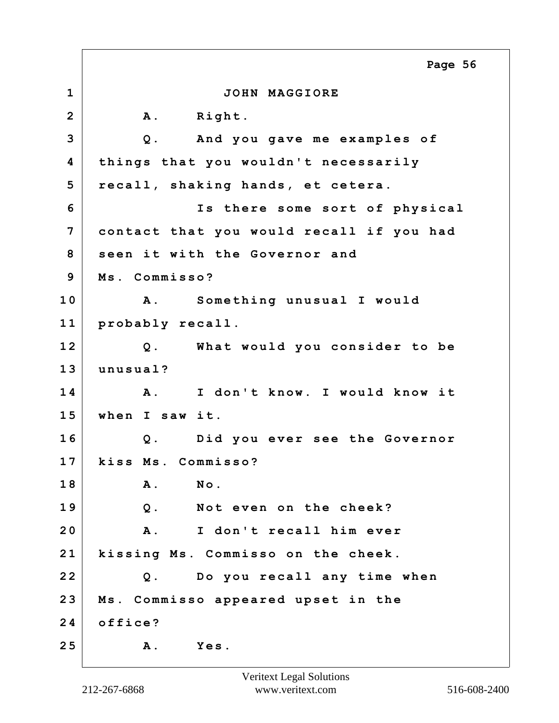**1 JOHN MAGGIORE** 2 A. Right. **3 Q. And you gave me examples of 4 things that you wouldn't necessarily 5 recall, shaking hands, et cetera. 6 Is there some sort of physical 7 contact that you would recall if you had 8 seen it with the Governor and 9 Ms. Commisso? 10 A. Something unusual I would 11 probably recall. 12 Q. What would you consider to be 13 unusual? 14 A. I don't know. I would know it 15 when I saw it. 16 Q. Did you ever see the Governor 17 kiss Ms. Commisso? 18 A. No. 19 Q. Not even on the cheek? 20 A. I don't recall him ever 21 kissing Ms. Commisso on the cheek. 22 Q. Do you recall any time when 23 Ms. Commisso appeared upset in the 24 office? 25 A. Yes. Page 56**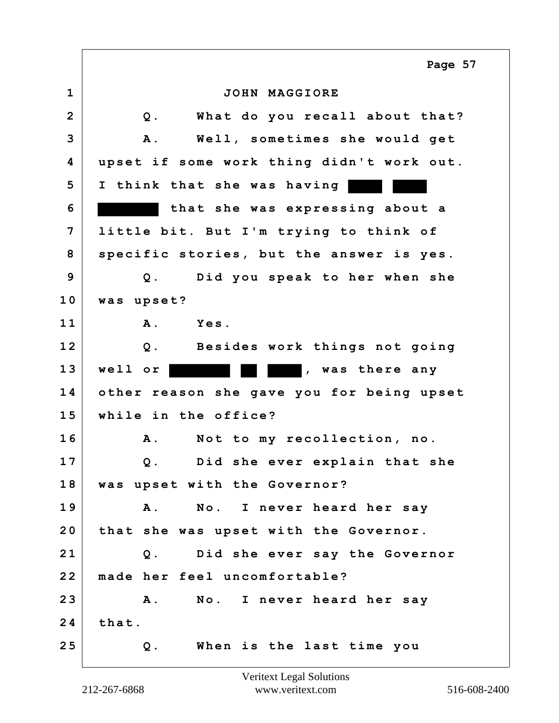|                | Page 57                                     |
|----------------|---------------------------------------------|
| $\mathbf{1}$   | JOHN MAGGIORE                               |
| $\overline{2}$ | What do you recall about that?<br>$Q$ .     |
| 3              | Well, sometimes she would get<br><b>A</b> . |
| 4              | upset if some work thing didn't work out.   |
| 5              | I think that she was having                 |
| 6              | that she was expressing about a             |
| 7              | little bit. But I'm trying to think of      |
| 8              | specific stories, but the answer is yes.    |
| 9              | Did you speak to her when she<br>$Q$ .      |
| 10             | was upset?                                  |
| 11             | Yes.<br><b>A</b> .                          |
| 12             | Besides work things not going<br>$Q$ .      |
| 13             | well or<br>, was there any                  |
| 14             | other reason she gave you for being upset   |
| 15             | while in the office?                        |
| 16             | Not to my recollection, no.<br>Α.           |
| 17             | Did she ever explain that she<br>$Q$ .      |
| 18             | was upset with the Governor?                |
| 19             | A. No. I never heard her say                |
| 20             | that she was upset with the Governor.       |
| 21             | Q. Did she ever say the Governor            |
| 22             | made her feel uncomfortable?                |
| 23             | No. I never heard her say<br>$\mathbf{A}$ . |
| 24             | that.                                       |
| 25             | When is the last time you<br>$Q$ .          |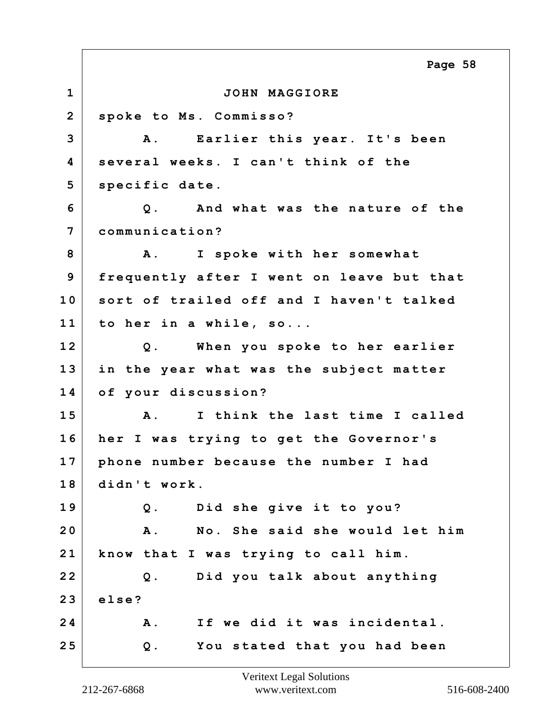**1 JOHN MAGGIORE 2 spoke to Ms. Commisso? 3 A. Earlier this year. It's been 4 several weeks. I can't think of the 5 specific date. 6 Q. And what was the nature of the 7 communication? 8 A. I spoke with her somewhat 9 frequently after I went on leave but that 10 sort of trailed off and I haven't talked 11 to her in a while, so... 12 Q. When you spoke to her earlier 13 in the year what was the subject matter 14 of your discussion? 15 A. I think the last time I called 16 her I was trying to get the Governor's 17 phone number because the number I had 18 didn't work. 19 Q. Did she give it to you? 20 A. No. She said she would let him 21 know that I was trying to call him. 22 Q. Did you talk about anything 23 else? 24 A. If we did it was incidental. 25 Q. You stated that you had been Page 58**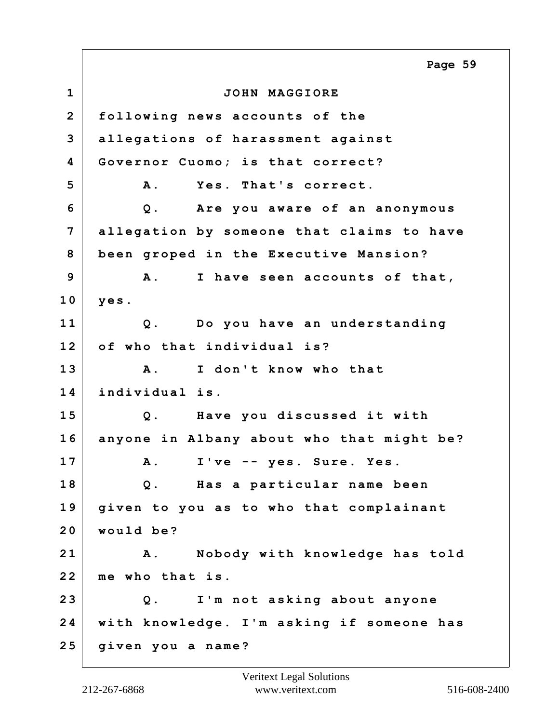**1 JOHN MAGGIORE 2 following news accounts of the 3 allegations of harassment against 4 Governor Cuomo; is that correct? 5 A. Yes. That's correct. 6 Q. Are you aware of an anonymous 7 allegation by someone that claims to have 8 been groped in the Executive Mansion? 9 A. I have seen accounts of that, 10 yes. 11 Q. Do you have an understanding 12 of who that individual is? 13 A. I don't know who that 14 individual is. 15 Q. Have you discussed it with 16 anyone in Albany about who that might be? 17 A. I've -- yes. Sure. Yes. 18 Q. Has a particular name been 19 given to you as to who that complainant 20 would be? 21 A. Nobody with knowledge has told 22 me who that is. 23 Q. I'm not asking about anyone 24 with knowledge. I'm asking if someone has 25 given you a name? Page 59**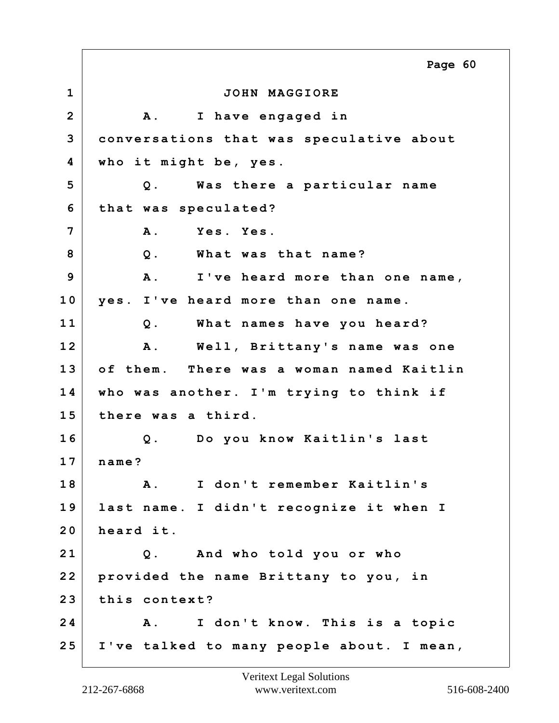**1 JOHN MAGGIORE 2 A. I have engaged in 3 conversations that was speculative about 4 who it might be, yes. 5 Q. Was there a particular name 6 that was speculated? 7 A. Yes. Yes. 8 Q. What was that name? 9 A. I've heard more than one name, 10 yes. I've heard more than one name. 11 Q. What names have you heard? 12 A. Well, Brittany's name was one 13 of them. There was a woman named Kaitlin 14 who was another. I'm trying to think if 15 there was a third. 16 Q. Do you know Kaitlin's last 17 name? 18 A. I don't remember Kaitlin's 19 last name. I didn't recognize it when I 20 heard it. 21 Q. And who told you or who 22 provided the name Brittany to you, in 23 this context? 24 A. I don't know. This is a topic 25 I've talked to many people about. I mean, Page 60**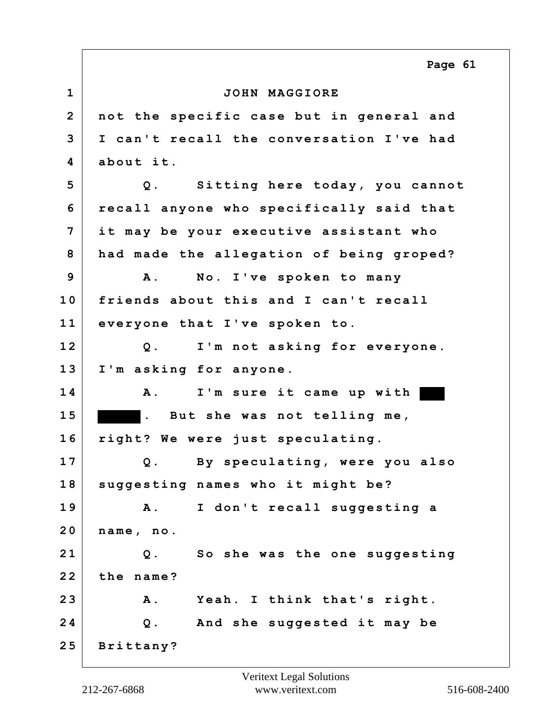**1 JOHN MAGGIORE 2 not the specific case but in general and 3 I can't recall the conversation I've had 4 about it. 5 Q. Sitting here today, you cannot 6 recall anyone who specifically said that 7 it may be your executive assistant who 8 had made the allegation of being groped? 9 A. No. I've spoken to many 10 friends about this and I can't recall 11 everyone that I've spoken to. 12 Q. I'm not asking for everyone. 13 I'm asking for anyone. 14 A. I'm sure it came up with 1 5 . But she was not telling me, 16 right? We were just speculating. 17 Q. By speculating, were you also 18 suggesting names who it might be? 19 A. I don't recall suggesting a 20 name, no. 21 Q. So she was the one suggesting 22 the name? 23 A. Yeah. I think that's right. 24 Q. And she suggested it may be 25 Brittany? Page 61**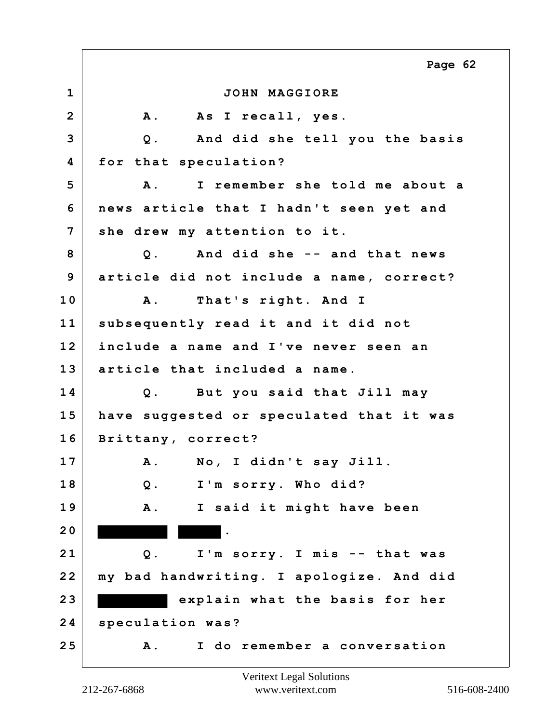**1 JOHN MAGGIORE 2 A. As I recall, yes. 3 Q. And did she tell you the basis 4 for that speculation? 5 A. I remember she told me about a 6 news article that I hadn't seen yet and 7 she drew my attention to it. 8 Q. And did she -- and that news 9 article did not include a name, correct? 10 A. That's right. And I 11 subsequently read it and it did not 12 include a name and I've never seen an 13 article that included a name. 14 Q. But you said that Jill may 15 have suggested or speculated that it was 16 Brittany, correct? 17 A. No, I didn't say Jill. 18 Q. I'm sorry. Who did? 19 A. I said it might have been 2 0 . 21 Q. I'm sorry. I mis -- that was 22 my bad handwriting. I apologize. And did 2 3 explain what the basis for her 24 speculation was? 25 A. I do remember a conversation Page 62**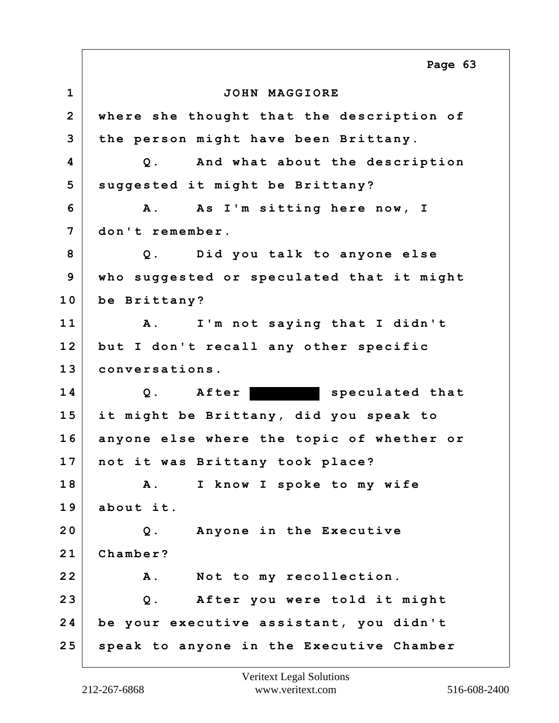**1 JOHN MAGGIORE 2 where she thought that the description of 3 the person might have been Brittany. 4 Q. And what about the description 5 suggested it might be Brittany? 6 A. As I'm sitting here now, I 7 don't remember. 8 Q. Did you talk to anyone else 9 who suggested or speculated that it might 10 be Brittany? 11 A. I'm not saying that I didn't 12 but I don't recall any other specific 13 conversations.** 14 Q. After **speculated that 15 it might be Brittany, did you speak to 16 anyone else where the topic of whether or 17 not it was Brittany took place? 18 A. I know I spoke to my wife 19 about it. 20 Q. Anyone in the Executive 21 Chamber? 22 A. Not to my recollection. 23 Q. After you were told it might 24 be your executive assistant, you didn't 25 speak to anyone in the Executive Chamber Page 63**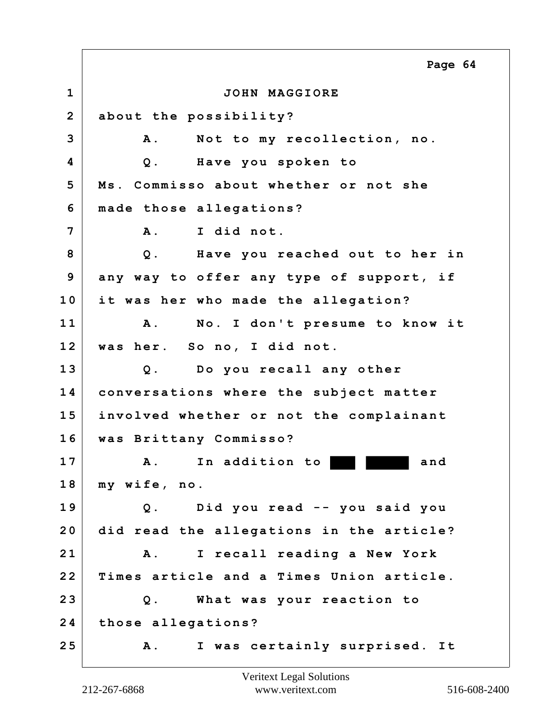**1 JOHN MAGGIORE 2 about the possibility? 3 A. Not to my recollection, no. 4 Q. Have you spoken to 5 Ms. Commisso about whether or not she 6 made those allegations? 7 A. I did not. 8 Q. Have you reached out to her in 9 any way to offer any type of support, if 10 it was her who made the allegation? 11 A. No. I don't presume to know it 12 was her. So no, I did not. 13 Q. Do you recall any other 14 conversations where the subject matter 15 involved whether or not the complainant 16 was Brittany Commisso? 17 A. In addition to and 18 my wife, no. 19 Q. Did you read -- you said you 20 did read the allegations in the article? 21 A. I recall reading a New York 22 Times article and a Times Union article. 23 Q. What was your reaction to 24 those allegations? 25 A. I was certainly surprised. It Page 64**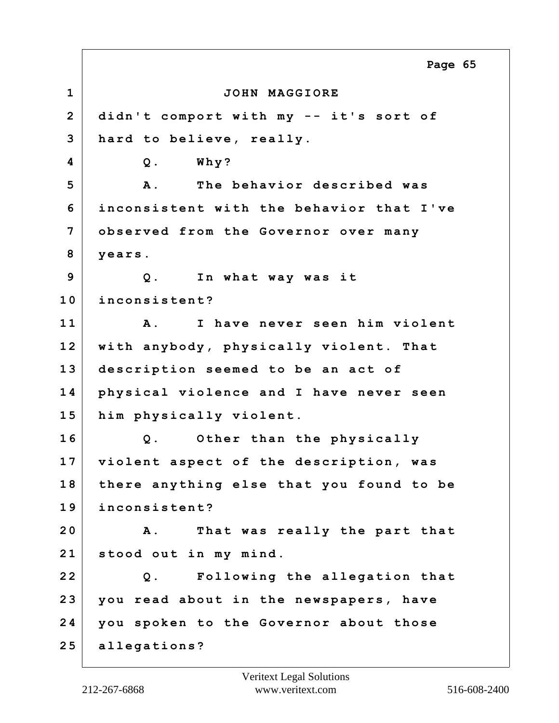**1 JOHN MAGGIORE 2 didn't comport with my -- it's sort of 3 hard to believe, really. 4 Q. Why? 5 A. The behavior described was 6 inconsistent with the behavior that I've 7 observed from the Governor over many 8 years. 9 Q. In what way was it 10 inconsistent? 11 A. I have never seen him violent 12 with anybody, physically violent. That 13 description seemed to be an act of 14 physical violence and I have never seen 15 him physically violent. 16 Q. Other than the physically 17 violent aspect of the description, was 18 there anything else that you found to be 19 inconsistent? 20 A. That was really the part that 21 stood out in my mind. 22 Q. Following the allegation that 23 you read about in the newspapers, have 24 you spoken to the Governor about those 25 allegations? Page 65**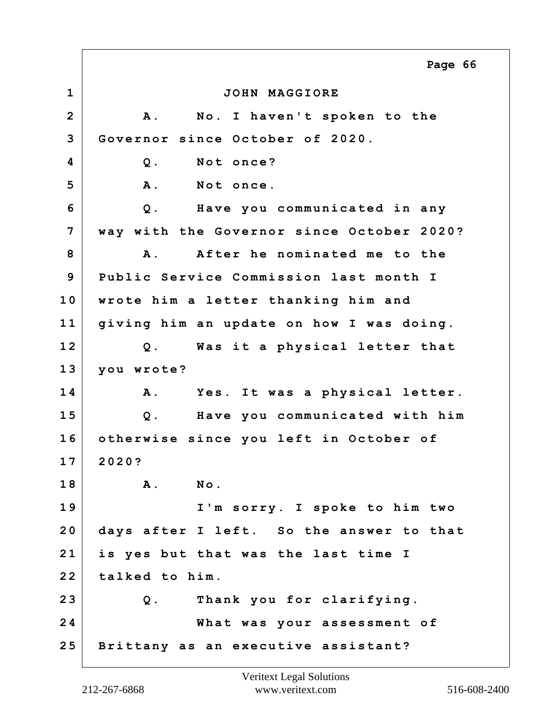**1 JOHN MAGGIORE 2 A. No. I haven't spoken to the 3 Governor since October of 2020. 4 Q. Not once? 5 A. Not once. 6 Q. Have you communicated in any 7 way with the Governor since October 2020? 8 A. After he nominated me to the 9 Public Service Commission last month I 10 wrote him a letter thanking him and 11 giving him an update on how I was doing. 12 Q. Was it a physical letter that 13 you wrote? 14 A. Yes. It was a physical letter. 15 Q. Have you communicated with him 16 otherwise since you left in October of 17 2020? 18 A. No. 19 I'm sorry. I spoke to him two 20 days after I left. So the answer to that 21 is yes but that was the last time I 22 talked to him. 23 Q. Thank you for clarifying. 24 What was your assessment of 25 Brittany as an executive assistant? Page 66**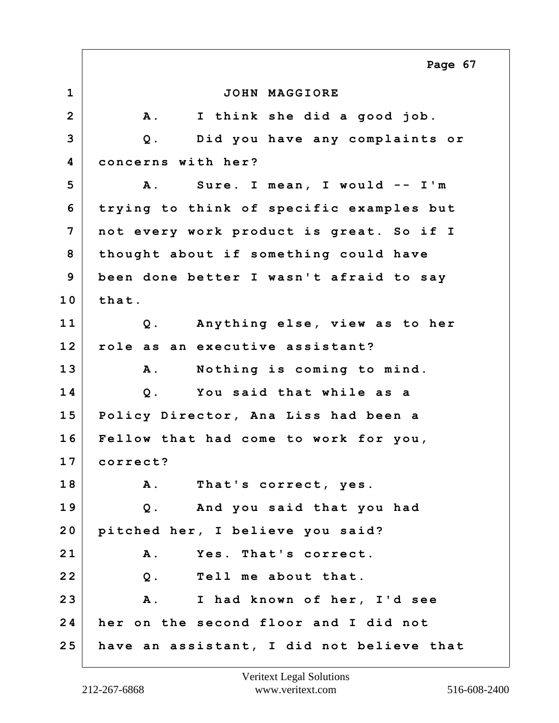**1 JOHN MAGGIORE 2 A. I think she did a good job. 3 Q. Did you have any complaints or 4 concerns with her? 5 A. Sure. I mean, I would -- I'm 6 trying to think of specific examples but 7 not every work product is great. So if I 8 thought about if something could have 9 been done better I wasn't afraid to say 10 that. 11 Q. Anything else, view as to her 12 role as an executive assistant? 13 A. Nothing is coming to mind. 14 Q. You said that while as a 15 Policy Director, Ana Liss had been a 16 Fellow that had come to work for you, 17 correct? 18 A. That's correct, yes. 19 Q. And you said that you had 20 pitched her, I believe you said? 21 A. Yes. That's correct. 22 Q. Tell me about that. 23 A. I had known of her, I'd see 24 her on the second floor and I did not 25 have an assistant, I did not believe that Page 67**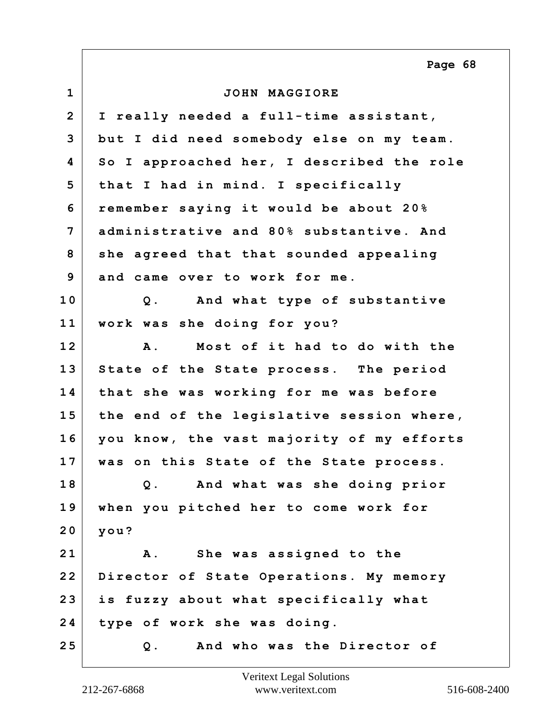**1 JOHN MAGGIORE 2 I really needed a full-time assistant, 3 but I did need somebody else on my team. 4 So I approached her, I described the role 5 that I had in mind. I specifically 6 remember saying it would be about 20% 7 administrative and 80% substantive. And 8 she agreed that that sounded appealing 9 and came over to work for me. 10 Q. And what type of substantive 11 work was she doing for you? 12 A. Most of it had to do with the 13 State of the State process. The period 14 that she was working for me was before 15 the end of the legislative session where, 16 you know, the vast majority of my efforts 17 was on this State of the State process. 18 Q. And what was she doing prior 19 when you pitched her to come work for 20 you? 21 A. She was assigned to the 22 Director of State Operations. My memory 23 is fuzzy about what specifically what 24 type of work she was doing. 25 Q. And who was the Director of Page 68**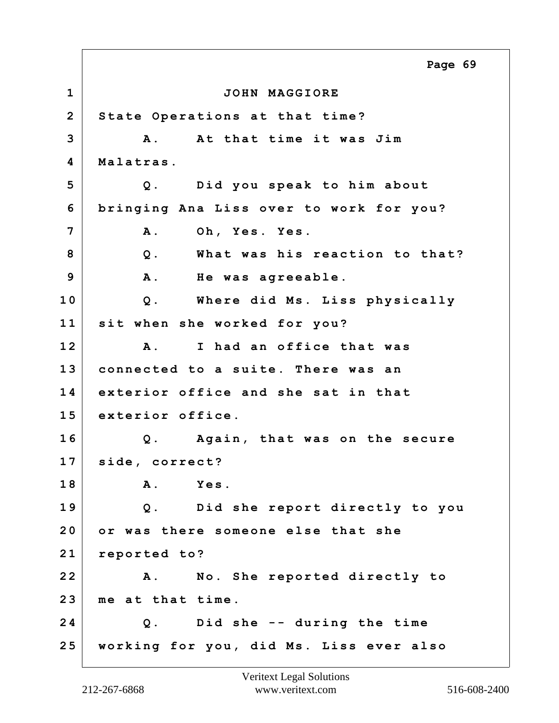**1 JOHN MAGGIORE 2 State Operations at that time? 3 A. At that time it was Jim 4 Malatras. 5 Q. Did you speak to him about 6 bringing Ana Liss over to work for you? 7 A. Oh, Yes. Yes. 8 Q. What was his reaction to that? 9 A. He was agreeable. 10 Q. Where did Ms. Liss physically 11 sit when she worked for you? 12 A. I had an office that was 13 connected to a suite. There was an 14 exterior office and she sat in that 15 exterior office. 16 Q. Again, that was on the secure 17 side, correct? 18 A. Yes. 19 Q. Did she report directly to you 20 or was there someone else that she 21 reported to? 22 A. No. She reported directly to 23 me at that time. 24 Q. Did she -- during the time 25 working for you, did Ms. Liss ever also Page 69**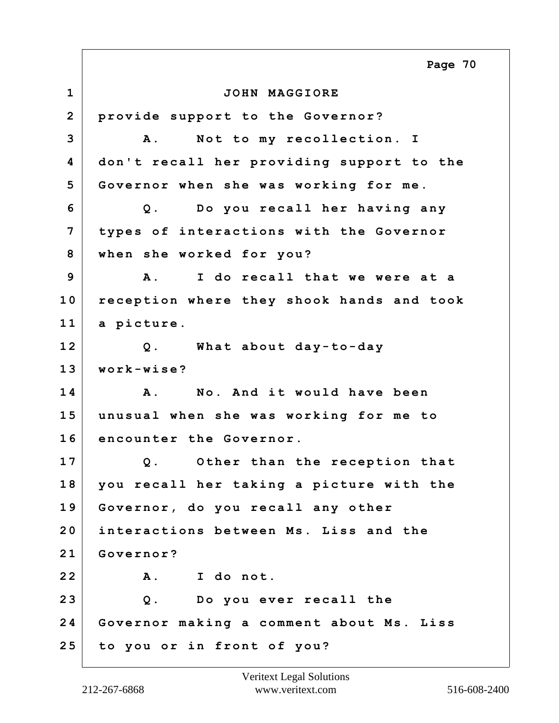**1 JOHN MAGGIORE 2 provide support to the Governor? 3 A. Not to my recollection. I 4 don't recall her providing support to the 5 Governor when she was working for me. 6 Q. Do you recall her having any 7 types of interactions with the Governor 8 when she worked for you? 9 A. I do recall that we were at a 10 reception where they shook hands and took 11 a picture. 12 Q. What about day-to-day 13 work-wise? 14 A. No. And it would have been 15 unusual when she was working for me to 16 encounter the Governor. 17 Q. Other than the reception that 18 you recall her taking a picture with the 19 Governor, do you recall any other 20 interactions between Ms. Liss and the 21 Governor? 22 A. I do not. 23 Q. Do you ever recall the 24 Governor making a comment about Ms. Liss 25 to you or in front of you? Page 70**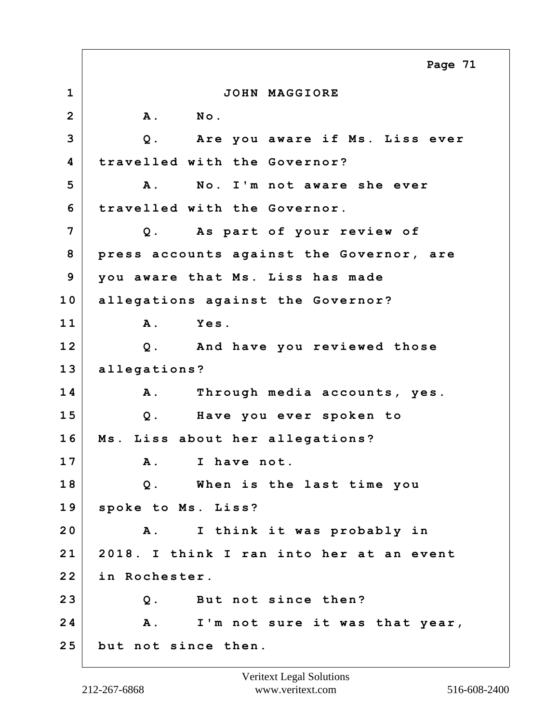**1 JOHN MAGGIORE 2 A. No. 3 Q. Are you aware if Ms. Liss ever 4 travelled with the Governor? 5 A. No. I'm not aware she ever 6 travelled with the Governor. 7 Q. As part of your review of 8 press accounts against the Governor, are 9 you aware that Ms. Liss has made 10 allegations against the Governor? 11 A. Yes. 12 Q. And have you reviewed those 13 allegations? 14 A. Through media accounts, yes. 15 Q. Have you ever spoken to 16 Ms. Liss about her allegations? 17 A. I have not. 18 Q. When is the last time you 19 spoke to Ms. Liss? 20 A. I think it was probably in 21 2018. I think I ran into her at an event 22 in Rochester. 23 Q. But not since then? 24 A. I'm not sure it was that year, 25 but not since then. Page 71**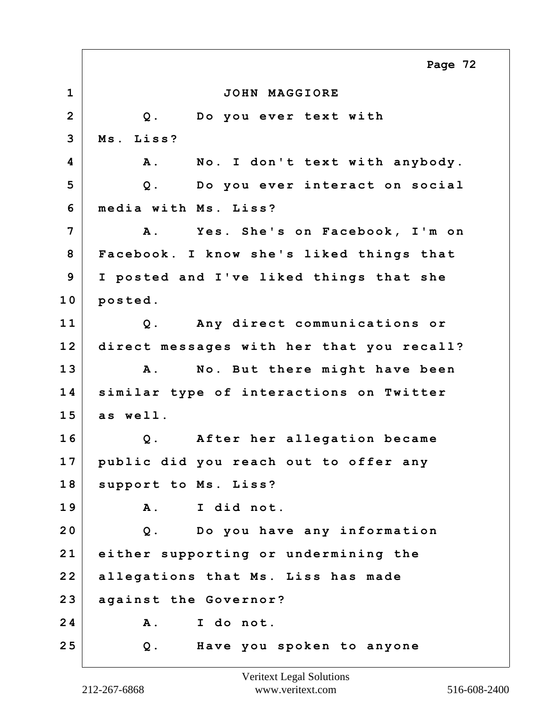**1 JOHN MAGGIORE 2 Q. Do you ever text with 3 Ms. Liss? 4 A. No. I don't text with anybody. 5 Q. Do you ever interact on social 6 media with Ms. Liss? 7 A. Yes. She's on Facebook, I'm on 8 Facebook. I know she's liked things that 9 I posted and I've liked things that she 10 posted. 11 Q. Any direct communications or 12 direct messages with her that you recall? 13 A. No. But there might have been 14 similar type of interactions on Twitter 15 as well. 16 Q. After her allegation became 17 public did you reach out to offer any 18 support to Ms. Liss? 19 A. I did not. 20 Q. Do you have any information 21 either supporting or undermining the 22 allegations that Ms. Liss has made 23 against the Governor? 24 A. I do not. 25 Q. Have you spoken to anyone Page 72**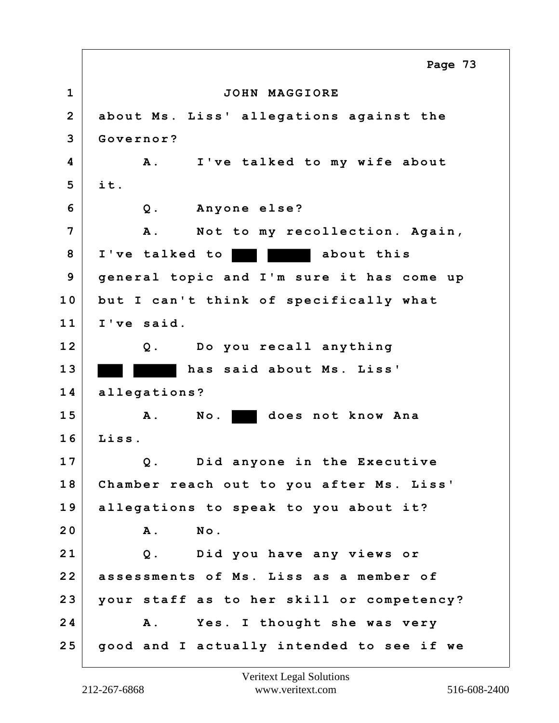**1 JOHN MAGGIORE 2 about Ms. Liss' allegations against the 3 Governor? 4 A. I've talked to my wife about 5 it. 6 Q. Anyone else? 7 A. Not to my recollection. Again, 8 I've talked to about this 9 general topic and I'm sure it has come up 10 but I can't think of specifically what 11 I've said. 12 Q. Do you recall anything 13 has said about Ms. Liss' 14 allegations? 15 A. No. does not know Ana 16 Liss. 17 Q. Did anyone in the Executive 18 Chamber reach out to you after Ms. Liss' 19 allegations to speak to you about it? 20 A. No. 21 Q. Did you have any views or 22 assessments of Ms. Liss as a member of 23 your staff as to her skill or competency? 24 A. Yes. I thought she was very 25 good and I actually intended to see if we Page 73**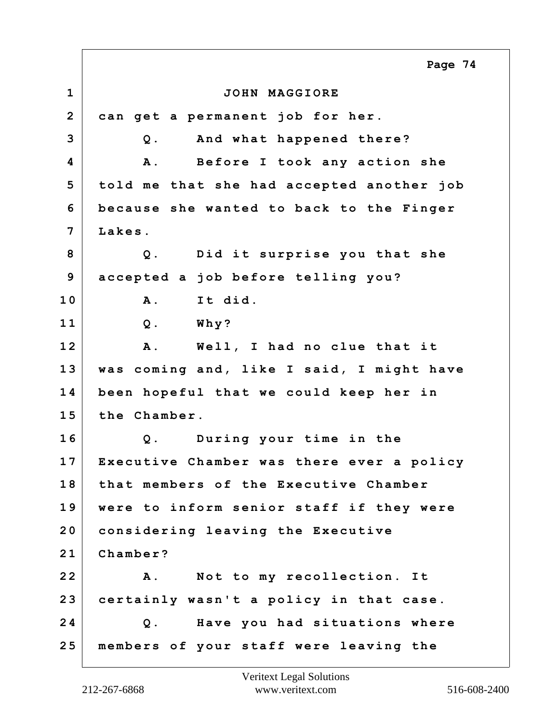**1 JOHN MAGGIORE 2 can get a permanent job for her. 3 Q. And what happened there? 4 A. Before I took any action she 5 told me that she had accepted another job 6 because she wanted to back to the Finger 7 Lakes. 8 Q. Did it surprise you that she 9 accepted a job before telling you? 10 A. It did. 11 Q. Why? 12 A. Well, I had no clue that it 13 was coming and, like I said, I might have 14 been hopeful that we could keep her in 15 the Chamber. 16 Q. During your time in the 17 Executive Chamber was there ever a policy 18 that members of the Executive Chamber 19 were to inform senior staff if they were 20 considering leaving the Executive 21 Chamber? 22 A. Not to my recollection. It 23 certainly wasn't a policy in that case. 24 Q. Have you had situations where 25 members of your staff were leaving the Page 74**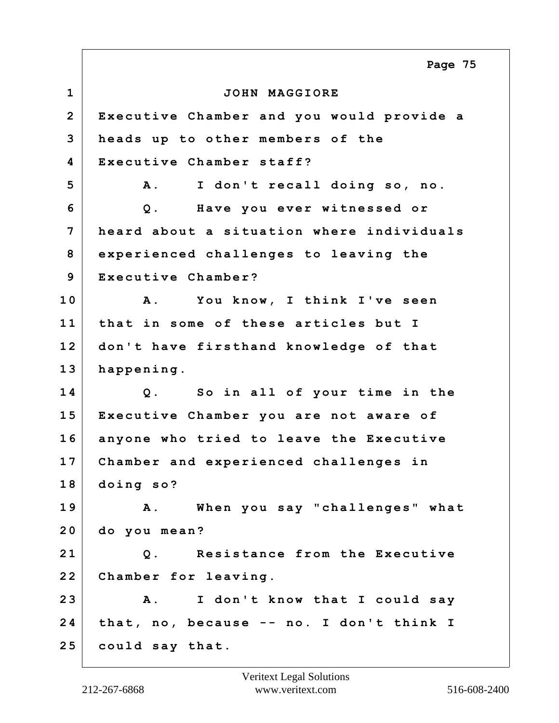**1 JOHN MAGGIORE 2 Executive Chamber and you would provide a 3 heads up to other members of the 4 Executive Chamber staff? 5 A. I don't recall doing so, no. 6 Q. Have you ever witnessed or 7 heard about a situation where individuals 8 experienced challenges to leaving the 9 Executive Chamber? 10 A. You know, I think I've seen 11 that in some of these articles but I 12 don't have firsthand knowledge of that 13 happening. 14 Q. So in all of your time in the 15 Executive Chamber you are not aware of 16 anyone who tried to leave the Executive 17 Chamber and experienced challenges in 18 doing so? 19 A. When you say "challenges" what 20 do you mean? 21 Q. Resistance from the Executive 22 Chamber for leaving. 23 A. I don't know that I could say 24 that, no, because -- no. I don't think I 25 could say that. Page 75**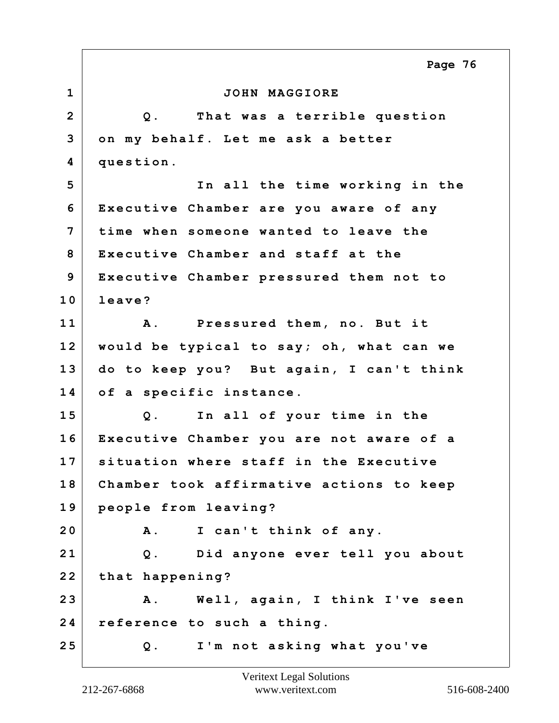**1 JOHN MAGGIORE 2 Q. That was a terrible question 3 on my behalf. Let me ask a better 4 question. 5 In all the time working in the 6 Executive Chamber are you aware of any 7 time when someone wanted to leave the 8 Executive Chamber and staff at the 9 Executive Chamber pressured them not to 10 leave? 11 A. Pressured them, no. But it 12 would be typical to say; oh, what can we 13 do to keep you? But again, I can't think 14 of a specific instance. 15 Q. In all of your time in the 16 Executive Chamber you are not aware of a 17 situation where staff in the Executive 18 Chamber took affirmative actions to keep 19 people from leaving? 20 A. I can't think of any. 21 Q. Did anyone ever tell you about 22 that happening? 23 A. Well, again, I think I've seen 24 reference to such a thing. 25 Q. I'm not asking what you've Page 76**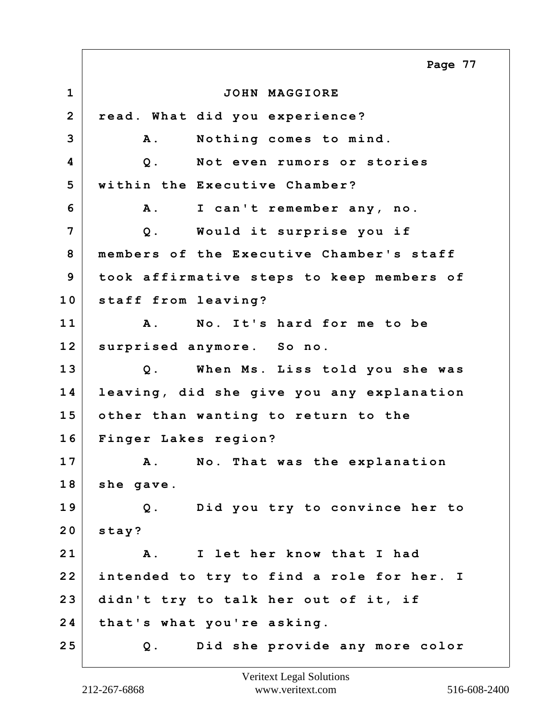**1 JOHN MAGGIORE 2 read. What did you experience? 3 A. Nothing comes to mind. 4 Q. Not even rumors or stories 5 within the Executive Chamber? 6 A. I can't remember any, no. 7 Q. Would it surprise you if 8 members of the Executive Chamber's staff 9 took affirmative steps to keep members of 10 staff from leaving? 11 A. No. It's hard for me to be 12 surprised anymore. So no. 13 Q. When Ms. Liss told you she was 14 leaving, did she give you any explanation 15 other than wanting to return to the 16 Finger Lakes region? 17 A. No. That was the explanation 18 she gave. 19 Q. Did you try to convince her to 20 stay? 21 A. I let her know that I had 22 intended to try to find a role for her. I 23 didn't try to talk her out of it, if 24 that's what you're asking. 25 Q. Did she provide any more color Page 77**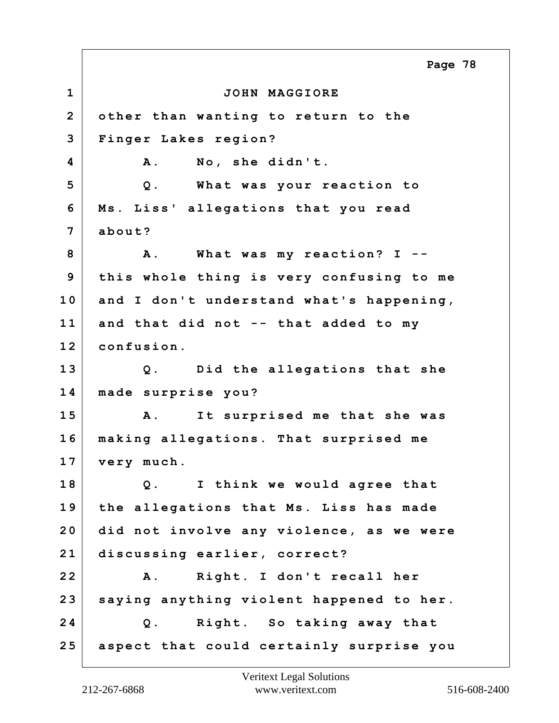**1 JOHN MAGGIORE 2 other than wanting to return to the 3 Finger Lakes region? 4 A. No, she didn't. 5 Q. What was your reaction to 6 Ms. Liss' allegations that you read 7 about? 8 A. What was my reaction? I -- 9 this whole thing is very confusing to me 10 and I don't understand what's happening, 11 and that did not -- that added to my 12 confusion. 13 Q. Did the allegations that she 14 made surprise you? 15 A. It surprised me that she was 16 making allegations. That surprised me 17 very much. 18 Q. I think we would agree that 19 the allegations that Ms. Liss has made 20 did not involve any violence, as we were 21 discussing earlier, correct? 22 A. Right. I don't recall her 23 saying anything violent happened to her. 24 Q. Right. So taking away that 25 aspect that could certainly surprise you Page 78**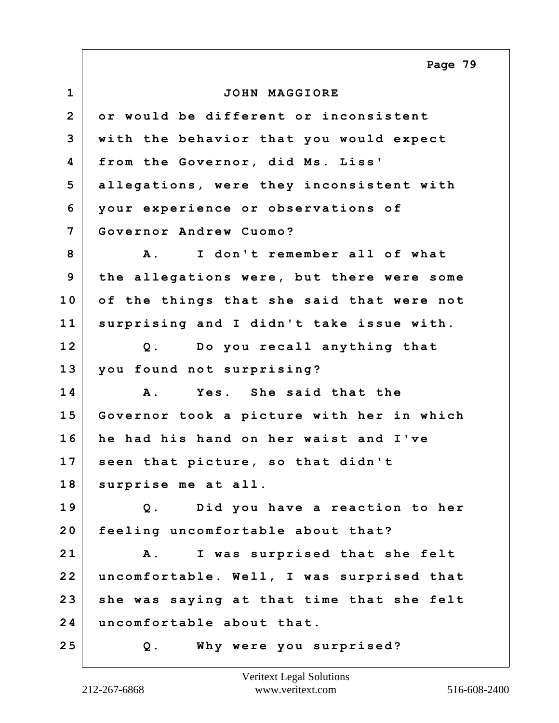**1 JOHN MAGGIORE 2 or would be different or inconsistent 3 with the behavior that you would expect 4 from the Governor, did Ms. Liss' 5 allegations, were they inconsistent with 6 your experience or observations of 7 Governor Andrew Cuomo? 8 A. I don't remember all of what 9 the allegations were, but there were some 10 of the things that she said that were not 11 surprising and I didn't take issue with. 12 Q. Do you recall anything that 13 you found not surprising? 14 A. Yes. She said that the 15 Governor took a picture with her in which 16 he had his hand on her waist and I've 17 seen that picture, so that didn't 18 surprise me at all. 19 Q. Did you have a reaction to her 20 feeling uncomfortable about that? 21 A. I was surprised that she felt 22 uncomfortable. Well, I was surprised that 23 she was saying at that time that she felt 24 uncomfortable about that. 25 Q. Why were you surprised? Page 79**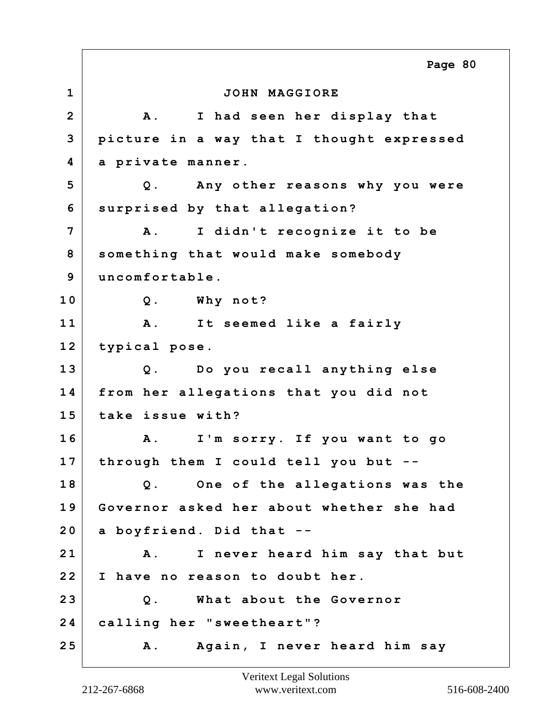**1 JOHN MAGGIORE 2 A. I had seen her display that 3 picture in a way that I thought expressed 4 a private manner. 5 Q. Any other reasons why you were 6 surprised by that allegation? 7 A. I didn't recognize it to be 8 something that would make somebody 9 uncomfortable. 10 Q. Why not? 11 A. It seemed like a fairly 12 typical pose. 13 Q. Do you recall anything else 14 from her allegations that you did not 15 take issue with? 16 A. I'm sorry. If you want to go 17 through them I could tell you but -- 18 Q. One of the allegations was the 19 Governor asked her about whether she had 20 a boyfriend. Did that -- 21 A. I never heard him say that but 22 I have no reason to doubt her. 23 Q. What about the Governor 24 calling her "sweetheart"? 25 A. Again, I never heard him say Page 80**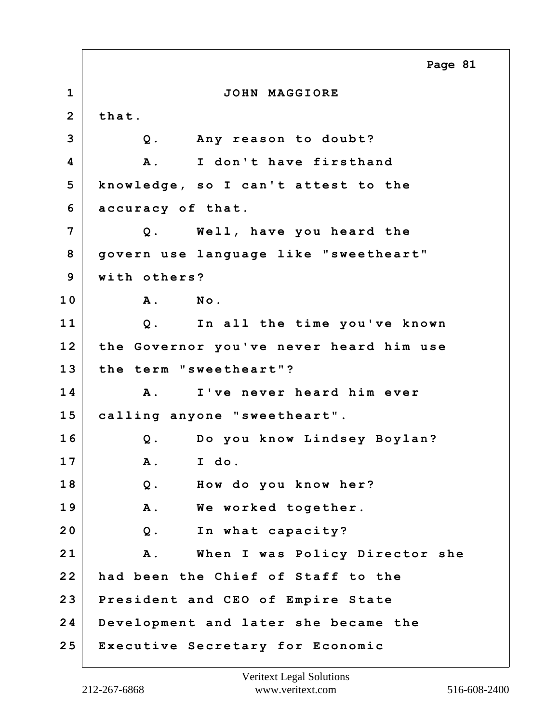**1 JOHN MAGGIORE 2 that. 3 Q. Any reason to doubt? 4 A. I don't have firsthand 5 knowledge, so I can't attest to the 6 accuracy of that. 7 Q. Well, have you heard the 8 govern use language like "sweetheart" 9 with others? 10 A. No. 11 Q. In all the time you've known 12 the Governor you've never heard him use 13 the term "sweetheart"? 14 A. I've never heard him ever 15 calling anyone "sweetheart". 16 Q. Do you know Lindsey Boylan? 17 A. I do. 18 Q. How do you know her? 19 A. We worked together. 20 Q. In what capacity? 21 A. When I was Policy Director she 22 had been the Chief of Staff to the 23 President and CEO of Empire State 24 Development and later she became the 25 Executive Secretary for Economic Page 81**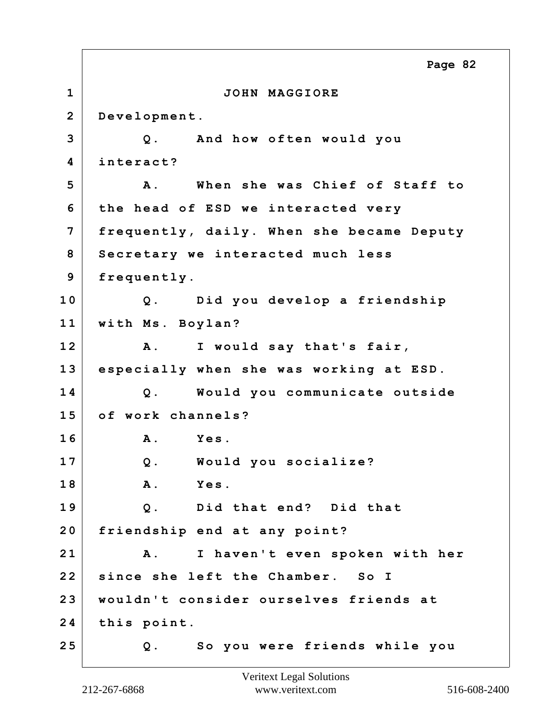**1 JOHN MAGGIORE 2 Development. 3 Q. And how often would you 4 interact? 5 A. When she was Chief of Staff to 6 the head of ESD we interacted very 7 frequently, daily. When she became Deputy 8 Secretary we interacted much less 9 frequently. 10 Q. Did you develop a friendship 11 with Ms. Boylan? 12 A. I would say that's fair, 13 especially when she was working at ESD. 14 Q. Would you communicate outside 15 of work channels? 16 A. Yes. 17 Q. Would you socialize? 18 A. Yes. 19 Q. Did that end? Did that 20 friendship end at any point? 21 A. I haven't even spoken with her 22 since she left the Chamber. So I 23 wouldn't consider ourselves friends at 24 this point. 25 Q. So you were friends while you Page 82**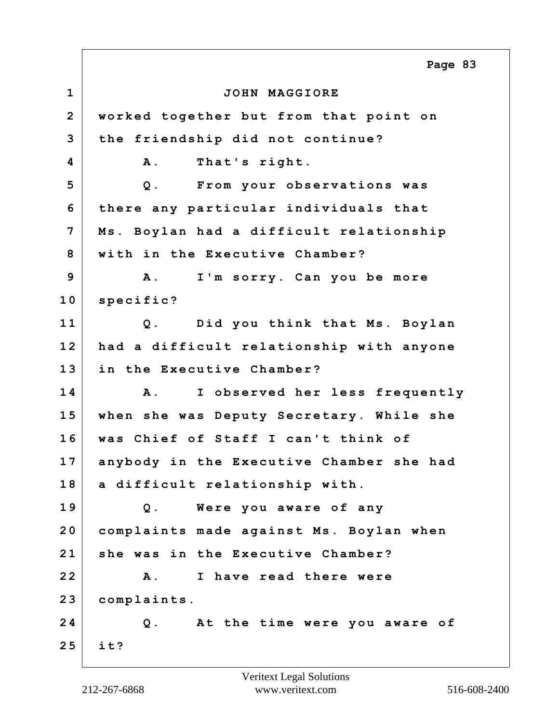**1 JOHN MAGGIORE 2 worked together but from that point on 3 the friendship did not continue? 4 A. That's right. 5 Q. From your observations was 6 there any particular individuals that 7 Ms. Boylan had a difficult relationship 8 with in the Executive Chamber? 9 A. I'm sorry. Can you be more 10 specific? 11 Q. Did you think that Ms. Boylan 12 had a difficult relationship with anyone 13 in the Executive Chamber? 14 A. I observed her less frequently 15 when she was Deputy Secretary. While she 16 was Chief of Staff I can't think of 17 anybody in the Executive Chamber she had 18 a difficult relationship with. 19 Q. Were you aware of any 20 complaints made against Ms. Boylan when 21 she was in the Executive Chamber? 22 A. I have read there were 23 complaints. 24 Q. At the time were you aware of 25 it? Page 83**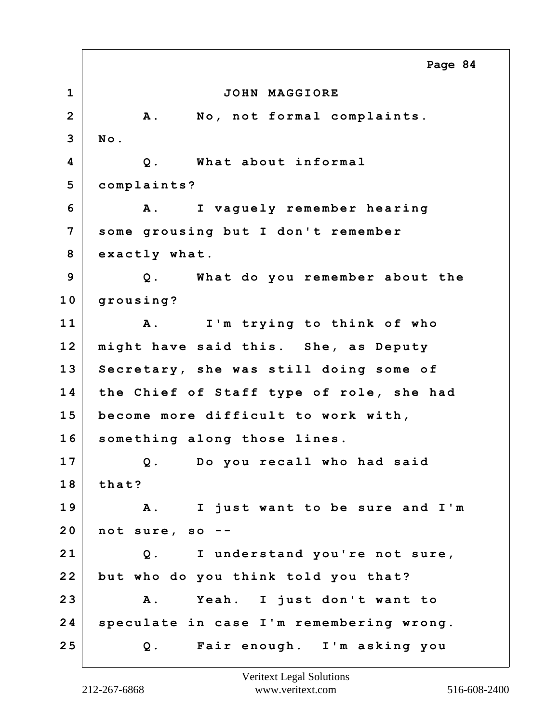**1 JOHN MAGGIORE 2 A. No, not formal complaints. 3 No. 4 Q. What about informal 5 complaints? 6 A. I vaguely remember hearing 7 some grousing but I don't remember 8 exactly what. 9 Q. What do you remember about the 10 grousing? 11 A. I'm trying to think of who 12 might have said this. She, as Deputy 13 Secretary, she was still doing some of 14 the Chief of Staff type of role, she had 15 become more difficult to work with, 16 something along those lines. 17 Q. Do you recall who had said 18 that? 19 A. I just want to be sure and I'm 20 not sure, so -- 21 Q. I understand you're not sure, 22 but who do you think told you that? 23 A. Yeah. I just don't want to 24 speculate in case I'm remembering wrong. 25 Q. Fair enough. I'm asking you Page 84**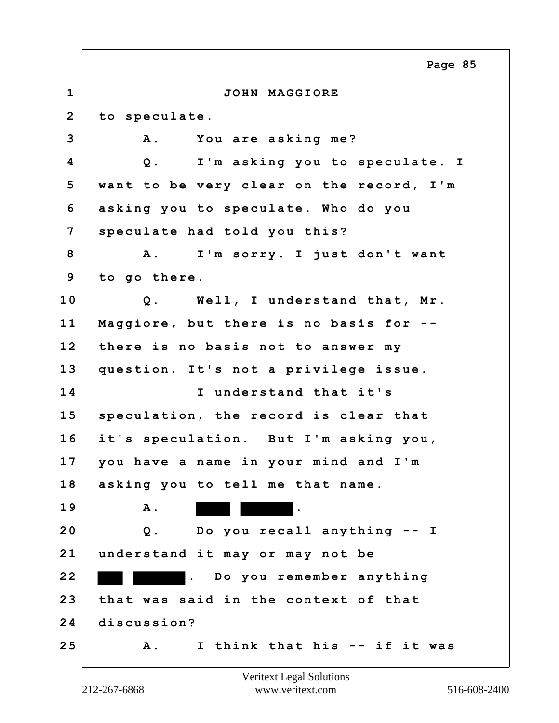**1 JOHN MAGGIORE 2 to speculate. 3 A. You are asking me? 4 Q. I'm asking you to speculate. I 5 want to be very clear on the record, I'm 6 asking you to speculate. Who do you 7 speculate had told you this? 8 A. I'm sorry. I just don't want 9 to go there. 10 Q. Well, I understand that, Mr. 11 Maggiore, but there is no basis for -- 12 there is no basis not to answer my 13 question. It's not a privilege issue. 14 I understand that it's 15 speculation, the record is clear that 16 it's speculation. But I'm asking you, 17 you have a name in your mind and I'm 18 asking you to tell me that name. 19 A.** . **20 Q. Do you recall anything -- I 21 understand it may or may not be 22 . Do you remember anything 23 that was said in the context of that 24 discussion? 25 A. I think that his -- if it was Page 85**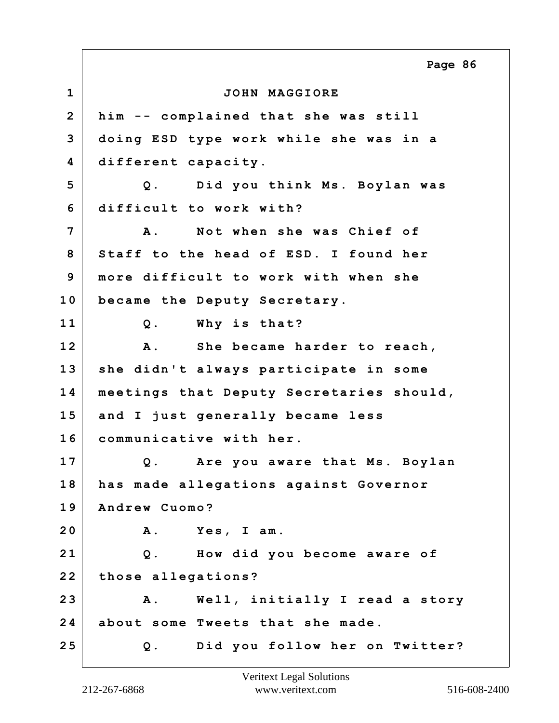**1 JOHN MAGGIORE 2 him -- complained that she was still 3 doing ESD type work while she was in a 4 different capacity. 5 Q. Did you think Ms. Boylan was 6 difficult to work with? 7 A. Not when she was Chief of 8 Staff to the head of ESD. I found her 9 more difficult to work with when she 10 became the Deputy Secretary. 11 Q. Why is that? 12 A. She became harder to reach, 13 she didn't always participate in some 14 meetings that Deputy Secretaries should, 15 and I just generally became less 16 communicative with her. 17 Q. Are you aware that Ms. Boylan 18 has made allegations against Governor 19 Andrew Cuomo? 20 A. Yes, I am. 21 Q. How did you become aware of 22 those allegations? 23 A. Well, initially I read a story 24 about some Tweets that she made. 25 Q. Did you follow her on Twitter? Page 86**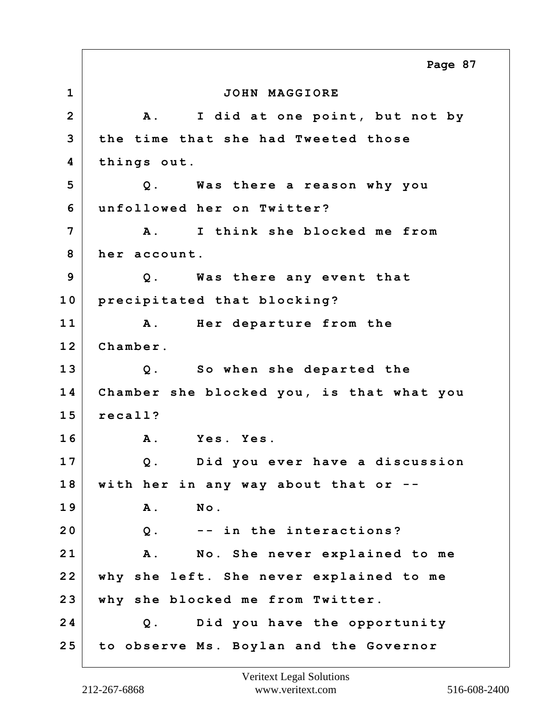**1 JOHN MAGGIORE 2 A. I did at one point, but not by 3 the time that she had Tweeted those 4 things out. 5 Q. Was there a reason why you 6 unfollowed her on Twitter? 7 A. I think she blocked me from 8 her account. 9 Q. Was there any event that 10 precipitated that blocking? 11 A. Her departure from the 12 Chamber. 13 Q. So when she departed the 14 Chamber she blocked you, is that what you 15 recall? 16 A. Yes. Yes. 17 Q. Did you ever have a discussion 18 with her in any way about that or -- 19 A. No. 20 Q. -- in the interactions? 21 A. No. She never explained to me 22 why she left. She never explained to me 23 why she blocked me from Twitter. 24 Q. Did you have the opportunity 25 to observe Ms. Boylan and the Governor Page 87**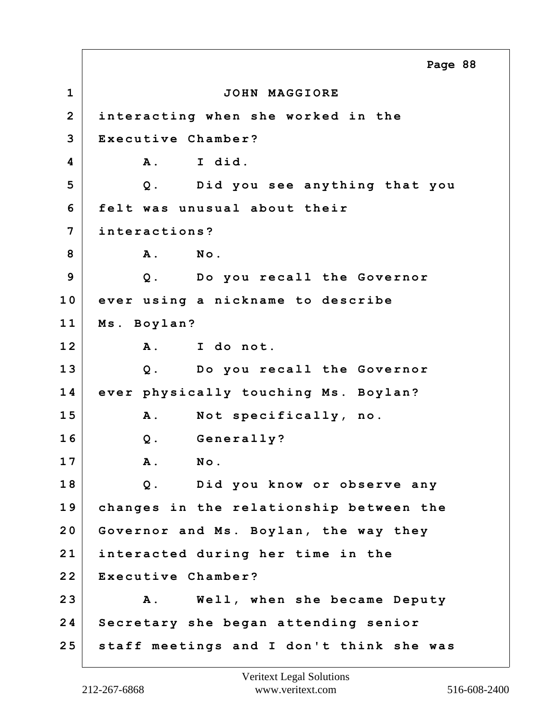**1 JOHN MAGGIORE 2 interacting when she worked in the 3 Executive Chamber? 4 A. I did. 5 Q. Did you see anything that you 6 felt was unusual about their 7 interactions? 8 A. No. 9 Q. Do you recall the Governor 10 ever using a nickname to describe 11 Ms. Boylan? 12 A. I do not. 13 Q. Do you recall the Governor 14 ever physically touching Ms. Boylan? 15 A. Not specifically, no. 16 Q. Generally? 17 A. No. 18 Q. Did you know or observe any 19 changes in the relationship between the 20 Governor and Ms. Boylan, the way they 21 interacted during her time in the 22 Executive Chamber? 23 A. Well, when she became Deputy 24 Secretary she began attending senior 25 staff meetings and I don't think she was Page 88**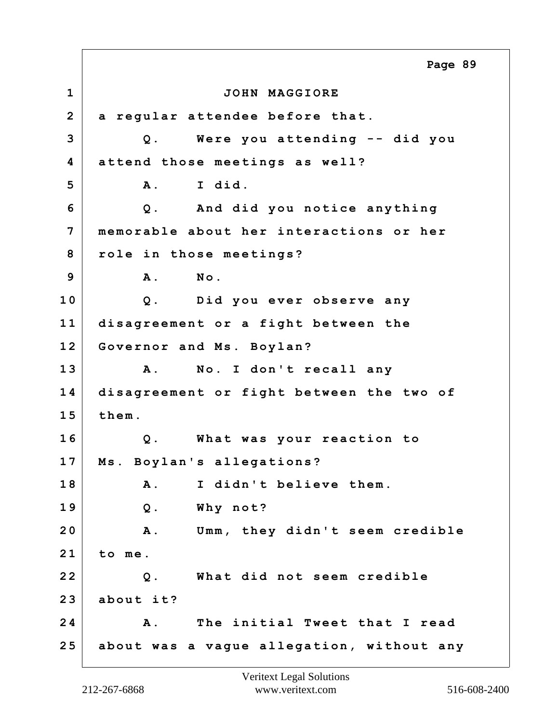**1 JOHN MAGGIORE 2 a regular attendee before that. 3 Q. Were you attending -- did you 4 attend those meetings as well? 5 A. I did. 6 Q. And did you notice anything 7 memorable about her interactions or her 8 role in those meetings? 9 A. No. 10 Q. Did you ever observe any 11 disagreement or a fight between the 12 Governor and Ms. Boylan? 13 A. No. I don't recall any 14 disagreement or fight between the two of 15 them. 16 Q. What was your reaction to 17 Ms. Boylan's allegations? 18 A. I didn't believe them. 19 Q. Why not? 20 A. Umm, they didn't seem credible 21 to me. 22 Q. What did not seem credible 23 about it? 24 A. The initial Tweet that I read 25 about was a vague allegation, without any Page 89**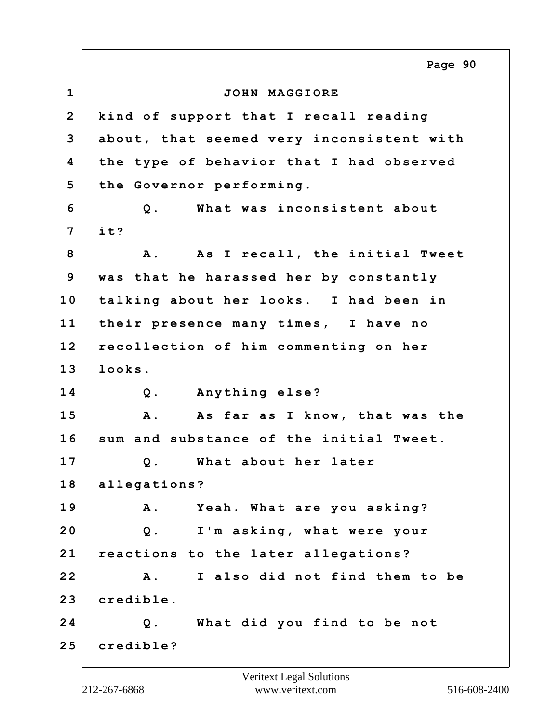**1 JOHN MAGGIORE 2 kind of support that I recall reading 3 about, that seemed very inconsistent with 4 the type of behavior that I had observed 5 the Governor performing. 6 Q. What was inconsistent about 7 it?** 8 A. As I recall, the initial Tweet **9 was that he harassed her by constantly 10 talking about her looks. I had been in 11 their presence many times, I have no 12 recollection of him commenting on her 13 looks. 14 Q. Anything else? 15 A. As far as I know, that was the 16 sum and substance of the initial Tweet. 17 Q. What about her later 18 allegations? 19 A. Yeah. What are you asking? 20 Q. I'm asking, what were your 21 reactions to the later allegations? 22 A. I also did not find them to be 23 credible. 24 Q. What did you find to be not 25 credible? Page 90**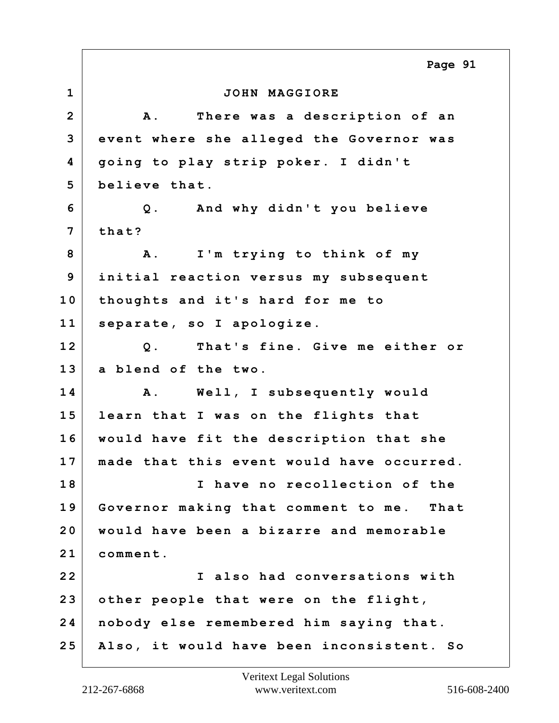**1 JOHN MAGGIORE 2 A. There was a description of an 3 event where she alleged the Governor was 4 going to play strip poker. I didn't 5 believe that. 6 Q. And why didn't you believe 7 that? 8 A. I'm trying to think of my 9 initial reaction versus my subsequent 10 thoughts and it's hard for me to 11 separate, so I apologize. 12 Q. That's fine. Give me either or 13 a blend of the two. 14 A. Well, I subsequently would 15 learn that I was on the flights that 16 would have fit the description that she 17 made that this event would have occurred. 18 I have no recollection of the 19 Governor making that comment to me. That 20 would have been a bizarre and memorable 21 comment. 22 I also had conversations with 23 other people that were on the flight, 24 nobody else remembered him saying that. 25 Also, it would have been inconsistent. So Page 91**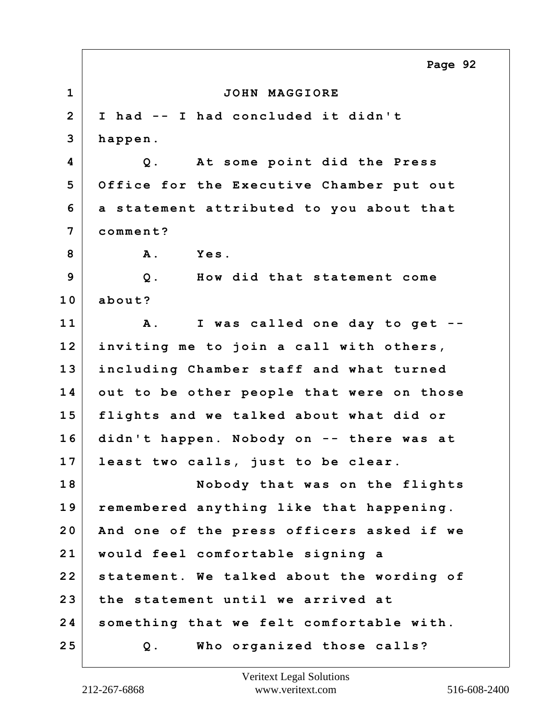**1 JOHN MAGGIORE 2 I had -- I had concluded it didn't 3 happen. 4 Q. At some point did the Press 5 Office for the Executive Chamber put out 6 a statement attributed to you about that 7 comment? 8 A. Yes. 9 Q. How did that statement come 10 about? 11 A. I was called one day to get -- 12 inviting me to join a call with others, 13 including Chamber staff and what turned 14 out to be other people that were on those 15 flights and we talked about what did or 16 didn't happen. Nobody on -- there was at 17 least two calls, just to be clear. 18 Nobody that was on the flights 19 remembered anything like that happening. 20 And one of the press officers asked if we 21 would feel comfortable signing a 22 statement. We talked about the wording of 23 the statement until we arrived at 24 something that we felt comfortable with. 25 Q. Who organized those calls? Page 92**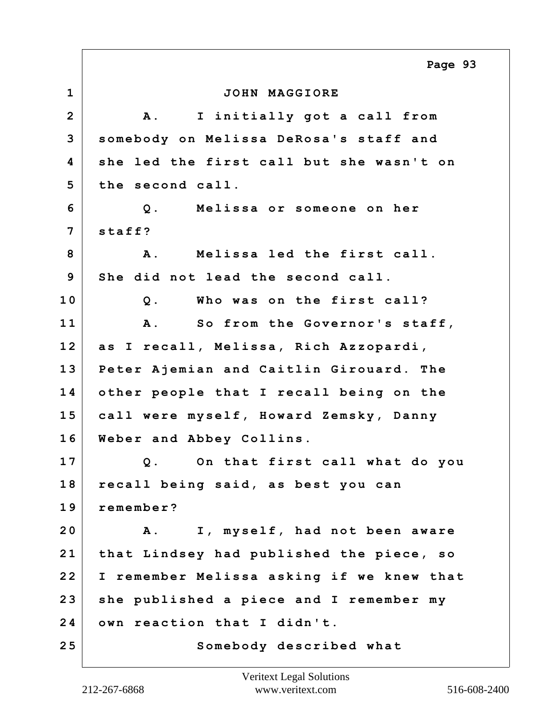**1 JOHN MAGGIORE 2 A. I initially got a call from 3 somebody on Melissa DeRosa's staff and 4 she led the first call but she wasn't on 5 the second call. 6 Q. Melissa or someone on her 7 staff? 8 A. Melissa led the first call. 9 She did not lead the second call. 10 Q. Who was on the first call? 11 A. So from the Governor's staff, 12 as I recall, Melissa, Rich Azzopardi, 13 Peter Ajemian and Caitlin Girouard. The 14 other people that I recall being on the 15 call were myself, Howard Zemsky, Danny 16 Weber and Abbey Collins. 17 Q. On that first call what do you 18 recall being said, as best you can 19 remember? 20 A. I, myself, had not been aware 21 that Lindsey had published the piece, so 22 I remember Melissa asking if we knew that 23 she published a piece and I remember my 24 own reaction that I didn't.** 25 Somebody described what **Page 93**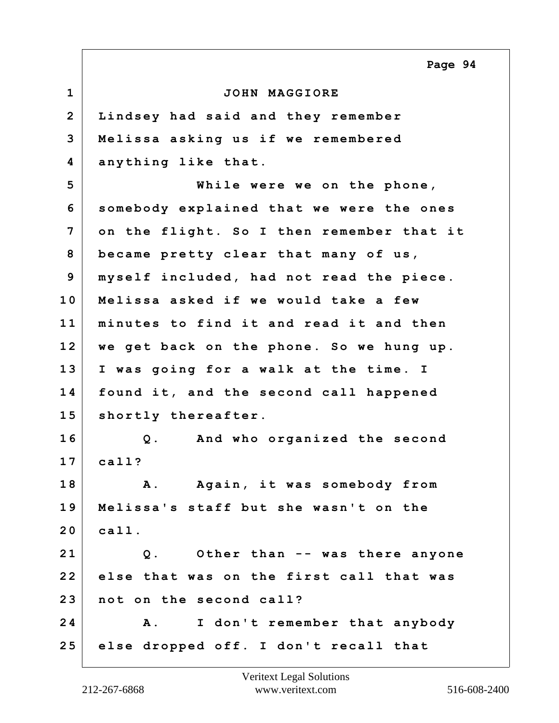**1 JOHN MAGGIORE 2 Lindsey had said and they remember 3 Melissa asking us if we remembered 4 anything like that. 5 While were we on the phone, 6 somebody explained that we were the ones 7 on the flight. So I then remember that it 8 became pretty clear that many of us, 9 myself included, had not read the piece. 10 Melissa asked if we would take a few 11 minutes to find it and read it and then 12 we get back on the phone. So we hung up. 13 I was going for a walk at the time. I 14 found it, and the second call happened 15 shortly thereafter. 16 Q. And who organized the second 17 call? 18 A. Again, it was somebody from 19 Melissa's staff but she wasn't on the 20 call. 21 Q. Other than -- was there anyone 22 else that was on the first call that was 23 not on the second call? 24 A. I don't remember that anybody 25 else dropped off. I don't recall that Page 94**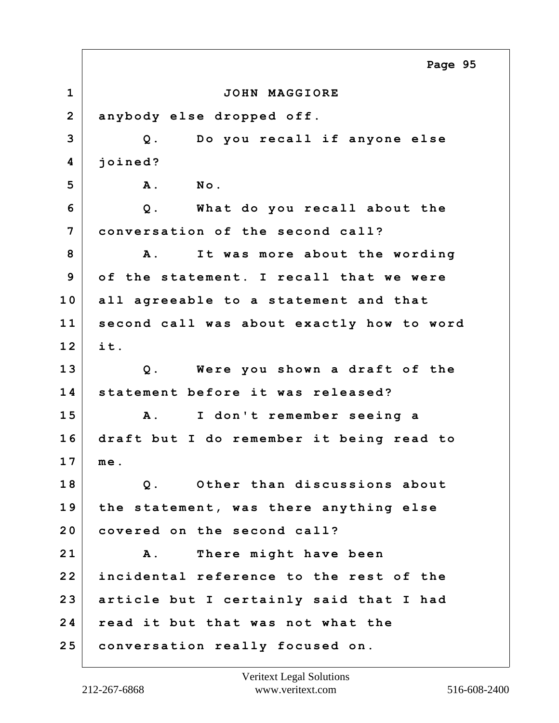**1 JOHN MAGGIORE 2 anybody else dropped off. 3 Q. Do you recall if anyone else 4 joined? 5 A. No. 6 Q. What do you recall about the 7 conversation of the second call? 8 A. It was more about the wording 9 of the statement. I recall that we were 10 all agreeable to a statement and that 11 second call was about exactly how to word 12 it. 13 Q. Were you shown a draft of the 14 statement before it was released? 15 A. I don't remember seeing a 16 draft but I do remember it being read to 17 me. 18 Q. Other than discussions about 19 the statement, was there anything else 20 covered on the second call? 21 A. There might have been 22 incidental reference to the rest of the 23 article but I certainly said that I had 24 read it but that was not what the 25 conversation really focused on. Page 95**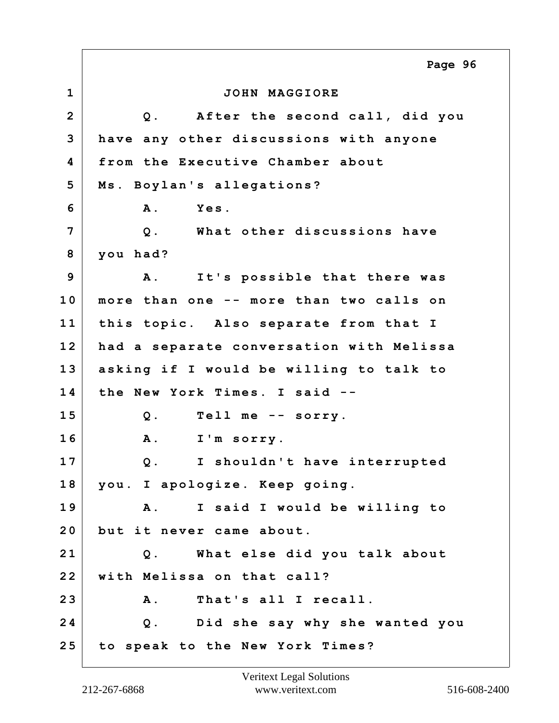|                | Page 96                                        |
|----------------|------------------------------------------------|
| $\mathbf 1$    | JOHN MAGGIORE                                  |
| $\overline{2}$ | Q. After the second call, did you              |
| 3              | have any other discussions with anyone         |
| 4              | from the Executive Chamber about               |
| 5              | Ms. Boylan's allegations?                      |
| 6              | Yes.<br><b>A</b> .                             |
| 7              | Q. What other discussions have                 |
| 8              | you had?                                       |
| 9              | $\mathbf{A}$ .<br>It's possible that there was |
| 10             | more than one -- more than two calls on        |
| 11             | this topic. Also separate from that I          |
| 12             | had a separate conversation with Melissa       |
| 13             | asking if I would be willing to talk to        |
| 14             | the New York Times. I said --                  |
| 15             | $Q$ .<br>Tell me -- sorry.                     |
| 16             | <b>A</b> .<br>I'm sorry.                       |
| 17             | I shouldn't have interrupted<br>Q.             |
| 18             | you. I apologize. Keep going.                  |
| 19             | A. I said I would be willing to                |
| 20             | but it never came about.                       |
| 21             | Q. What else did you talk about                |
| 22             | with Melissa on that call?                     |
| 23             | That's all I recall.<br>A.                     |
| 24             | Q. Did she say why she wanted you              |
| 25             | to speak to the New York Times?                |

Е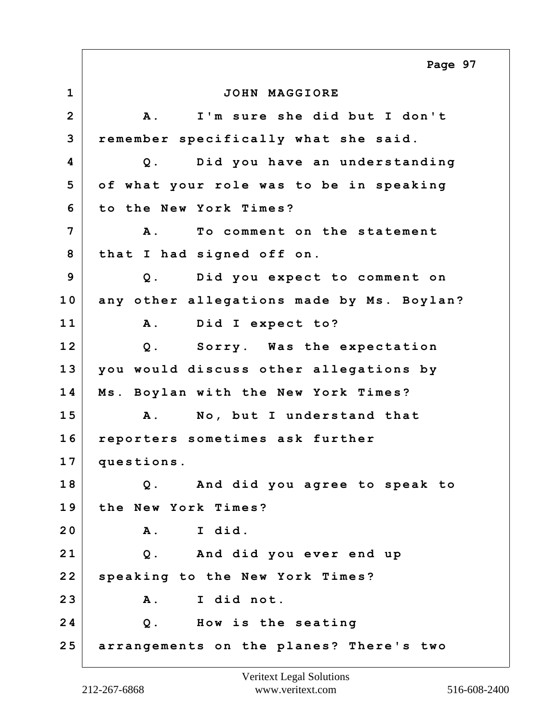**1 JOHN MAGGIORE 2 A. I'm sure she did but I don't 3 remember specifically what she said. 4 Q. Did you have an understanding 5 of what your role was to be in speaking 6 to the New York Times? 7 A. To comment on the statement 8 that I had signed off on. 9 Q. Did you expect to comment on 10 any other allegations made by Ms. Boylan? 11 A. Did I expect to? 12 Q. Sorry. Was the expectation 13 you would discuss other allegations by 14 Ms. Boylan with the New York Times? 15 A. No, but I understand that 16 reporters sometimes ask further 17 questions. 18 Q. And did you agree to speak to 19 the New York Times? 20 A. I did. 21 Q. And did you ever end up 22 speaking to the New York Times? 23 A. I did not. 24 Q. How is the seating 25 arrangements on the planes? There's two Page 97**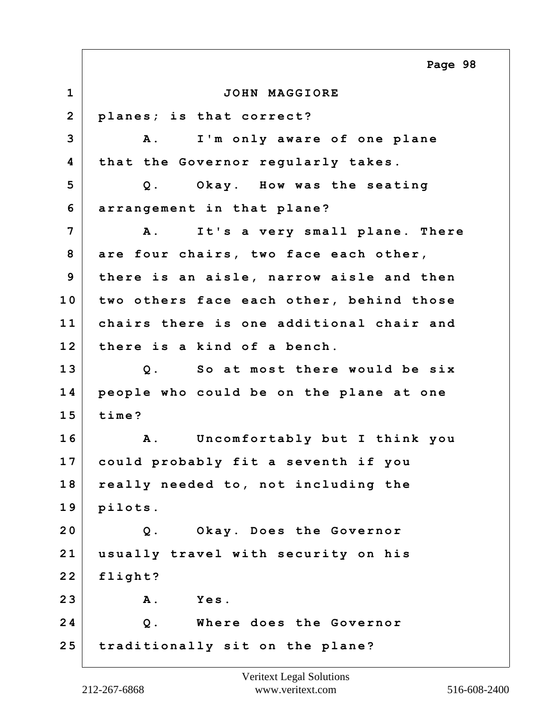**1 JOHN MAGGIORE 2 planes; is that correct? 3 A. I'm only aware of one plane 4 that the Governor regularly takes. 5 Q. Okay. How was the seating 6 arrangement in that plane? 7 A. It's a very small plane. There 8 are four chairs, two face each other, 9 there is an aisle, narrow aisle and then 10 two others face each other, behind those 11 chairs there is one additional chair and 12 there is a kind of a bench. 13 Q. So at most there would be six 14 people who could be on the plane at one 15 time? 16 A. Uncomfortably but I think you 17 could probably fit a seventh if you 18 really needed to, not including the 19 pilots. 20 Q. Okay. Does the Governor 21 usually travel with security on his 22 flight? 23 A. Yes. 24 Q. Where does the Governor 25 traditionally sit on the plane? Page 98**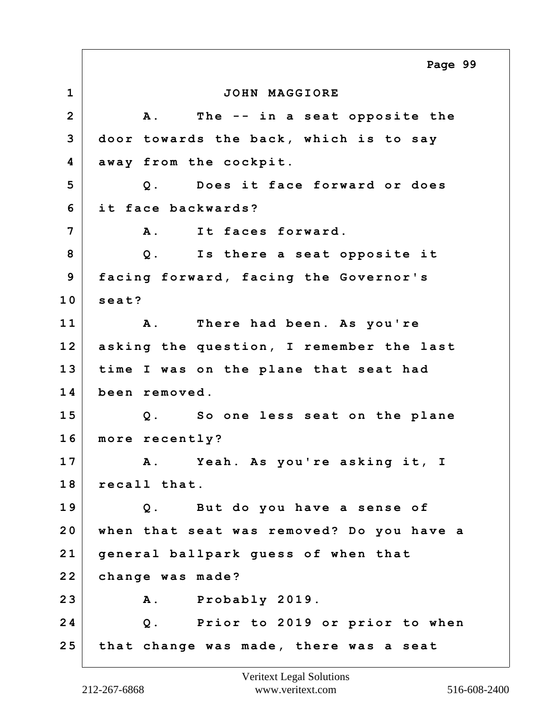**1 JOHN MAGGIORE 2 A. The -- in a seat opposite the 3 door towards the back, which is to say 4 away from the cockpit. 5 Q. Does it face forward or does 6 it face backwards? 7 A. It faces forward. 8 Q. Is there a seat opposite it 9 facing forward, facing the Governor's 10 seat? 11 A. There had been. As you're 12 asking the question, I remember the last 13 time I was on the plane that seat had 14 been removed. 15 Q. So one less seat on the plane 16 more recently? 17 A. Yeah. As you're asking it, I 18 recall that. 19 Q. But do you have a sense of 20 when that seat was removed? Do you have a 21 general ballpark guess of when that 22 change was made? 23 A. Probably 2019. 24 Q. Prior to 2019 or prior to when 25 that change was made, there was a seat Page 99**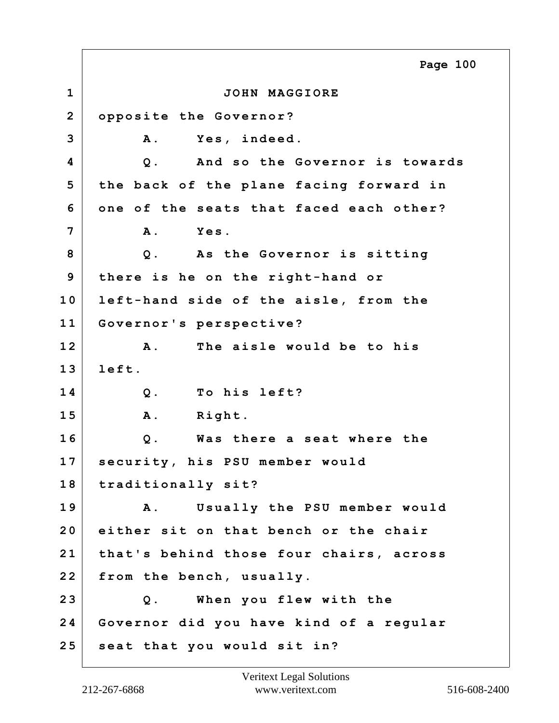**1 JOHN MAGGIORE 2 opposite the Governor? 3 A. Yes, indeed. 4 Q. And so the Governor is towards 5 the back of the plane facing forward in 6 one of the seats that faced each other? 7 A. Yes. 8 Q. As the Governor is sitting 9 there is he on the right-hand or 10 left-hand side of the aisle, from the 11 Governor's perspective? 12 A. The aisle would be to his 13 left. 14 Q. To his left? 15 A. Right. 16 Q. Was there a seat where the 17 security, his PSU member would 18 traditionally sit? 19 A. Usually the PSU member would 20 either sit on that bench or the chair 21 that's behind those four chairs, across 22 from the bench, usually. 23 Q. When you flew with the 24 Governor did you have kind of a regular 25 seat that you would sit in? Page 100**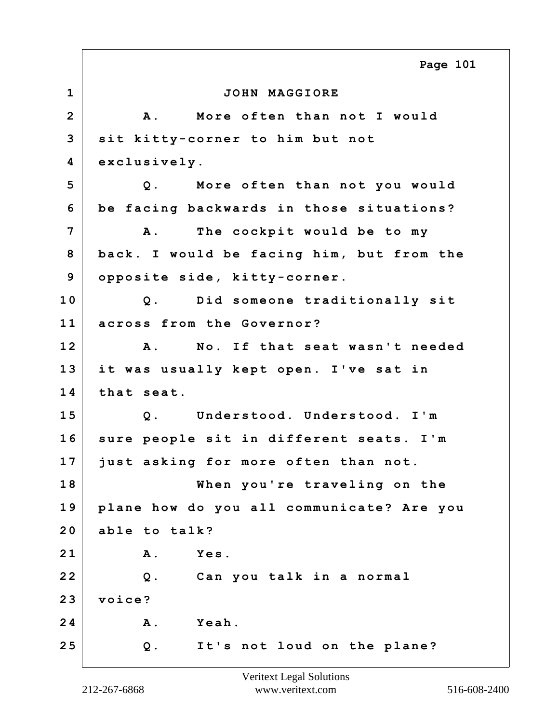**1 JOHN MAGGIORE 2 A. More often than not I would 3 sit kitty-corner to him but not 4 exclusively. 5 Q. More often than not you would 6 be facing backwards in those situations? 7 A. The cockpit would be to my 8 back. I would be facing him, but from the 9 opposite side, kitty-corner. 10 Q. Did someone traditionally sit 11 across from the Governor? 12 A. No. If that seat wasn't needed 13 it was usually kept open. I've sat in 14 that seat. 15 Q. Understood. Understood. I'm 16 sure people sit in different seats. I'm 17 just asking for more often than not. 18 When you're traveling on the 19 plane how do you all communicate? Are you 20 able to talk? 21 A. Yes. 22 Q. Can you talk in a normal 23 voice? 24 A. Yeah. 25 Q. It's not loud on the plane? Page 101**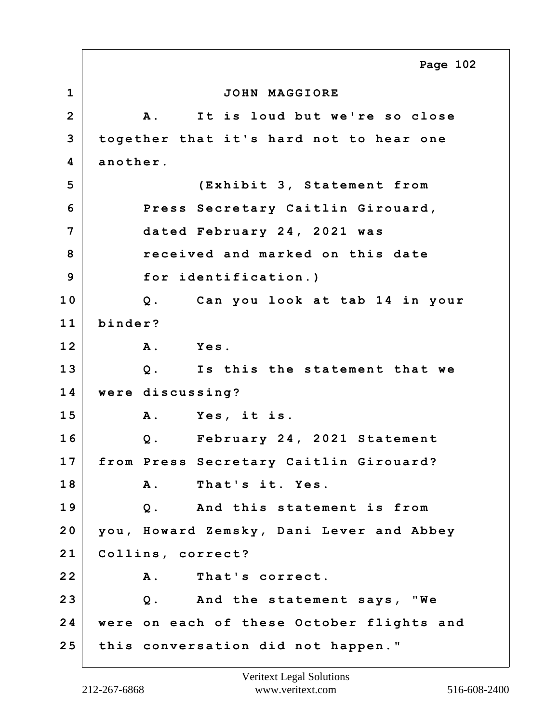**1 JOHN MAGGIORE 2 A. It is loud but we're so close 3 together that it's hard not to hear one 4 another. 5 (Exhibit 3, Statement from 6 Press Secretary Caitlin Girouard, 7 dated February 24, 2021 was 8 received and marked on this date 9 for identification.) 10 Q. Can you look at tab 14 in your 11 binder? 12 A. Yes. 13 Q. Is this the statement that we 14 were discussing? 15 A. Yes, it is. 16 Q. February 24, 2021 Statement 17 from Press Secretary Caitlin Girouard? 18 A. That's it. Yes. 19 Q. And this statement is from 20 you, Howard Zemsky, Dani Lever and Abbey 21 Collins, correct? 22 A. That's correct. 23 Q. And the statement says, "We 24 were on each of these October flights and 25 this conversation did not happen." Page 102**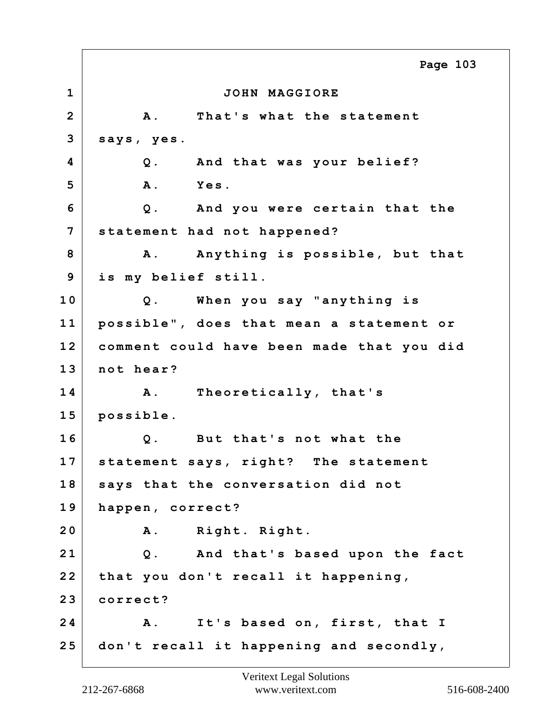**1 JOHN MAGGIORE 2 A. That's what the statement 3 says, yes. 4 Q. And that was your belief? 5 A. Yes. 6 Q. And you were certain that the 7 statement had not happened? 8 A. Anything is possible, but that 9 is my belief still. 10 Q. When you say "anything is 11 possible", does that mean a statement or 12 comment could have been made that you did 13 not hear? 14 A. Theoretically, that's 15 possible. 16 Q. But that's not what the 17 statement says, right? The statement 18 says that the conversation did not 19 happen, correct? 20 A. Right. Right. 21 Q. And that's based upon the fact 22 that you don't recall it happening, 23 correct? 24 A. It's based on, first, that I 25 don't recall it happening and secondly, Page 103**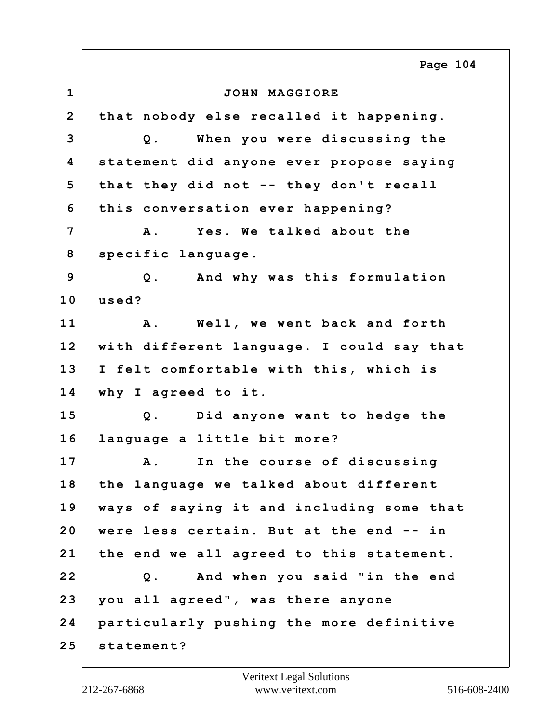**1 JOHN MAGGIORE 2 that nobody else recalled it happening. 3 Q. When you were discussing the 4 statement did anyone ever propose saying 5 that they did not -- they don't recall 6 this conversation ever happening? 7 A. Yes. We talked about the 8 specific language. 9 Q. And why was this formulation 10 used? 11 A. Well, we went back and forth 12 with different language. I could say that 13 I felt comfortable with this, which is 14 why I agreed to it. 15 Q. Did anyone want to hedge the 16 language a little bit more? 17 A. In the course of discussing 18 the language we talked about different 19 ways of saying it and including some that 20 were less certain. But at the end -- in 21 the end we all agreed to this statement. 22 Q. And when you said "in the end 23 you all agreed", was there anyone 24 particularly pushing the more definitive 25 statement? Page 104**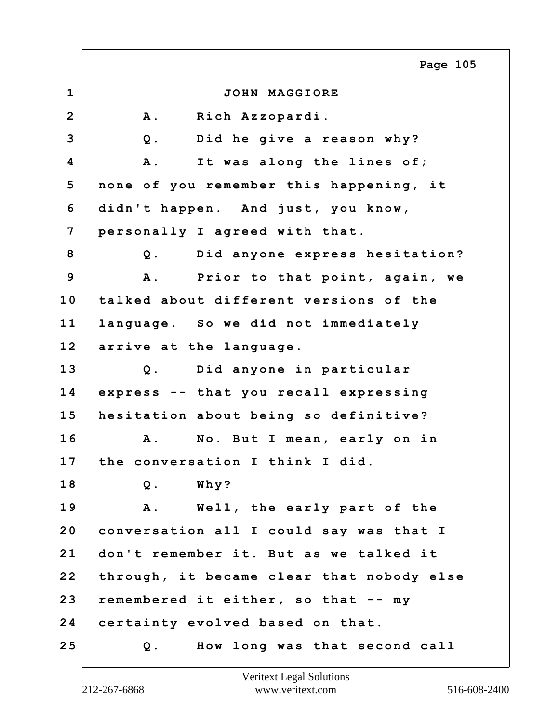**1 JOHN MAGGIORE 2 A. Rich Azzopardi. 3 Q. Did he give a reason why? 4 A. It was along the lines of; 5 none of you remember this happening, it 6 didn't happen. And just, you know, 7 personally I agreed with that. 8 Q. Did anyone express hesitation? 9 A. Prior to that point, again, we 10 talked about different versions of the 11 language. So we did not immediately 12 arrive at the language. 13 Q. Did anyone in particular 14 express -- that you recall expressing 15 hesitation about being so definitive? 16 A. No. But I mean, early on in 17 the conversation I think I did. 18 Q. Why? 19 A. Well, the early part of the 20 conversation all I could say was that I 21 don't remember it. But as we talked it 22 through, it became clear that nobody else 23 remembered it either, so that -- my 24 certainty evolved based on that. 25 Q. How long was that second call Page 105**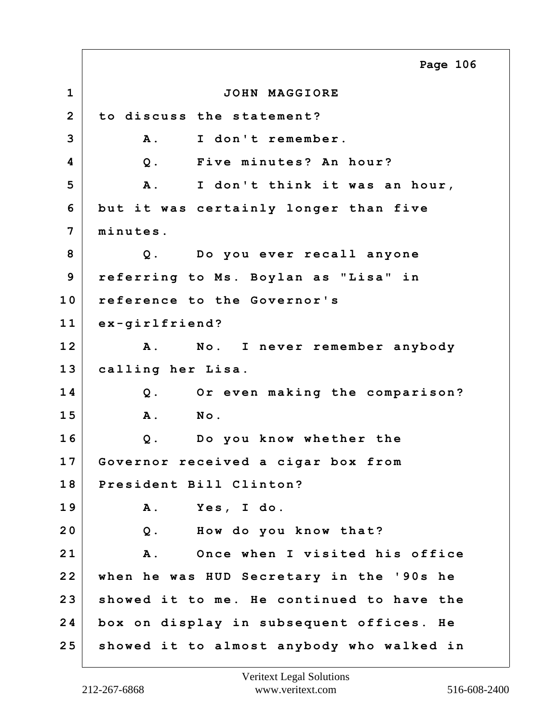**1 JOHN MAGGIORE 2 to discuss the statement? 3 A. I don't remember. 4 Q. Five minutes? An hour? 5 A. I don't think it was an hour, 6 but it was certainly longer than five 7 minutes. 8 Q. Do you ever recall anyone 9 referring to Ms. Boylan as "Lisa" in 10 reference to the Governor's 11 ex-girlfriend? 12 A. No. I never remember anybody 13 calling her Lisa. 14 Q. Or even making the comparison? 15 A. No. 16 Q. Do you know whether the 17 Governor received a cigar box from 18 President Bill Clinton? 19 A. Yes, I do. 20 Q. How do you know that? 21 A. Once when I visited his office 22 when he was HUD Secretary in the '90s he 23 showed it to me. He continued to have the 24 box on display in subsequent offices. He 25 showed it to almost anybody who walked in Page 106**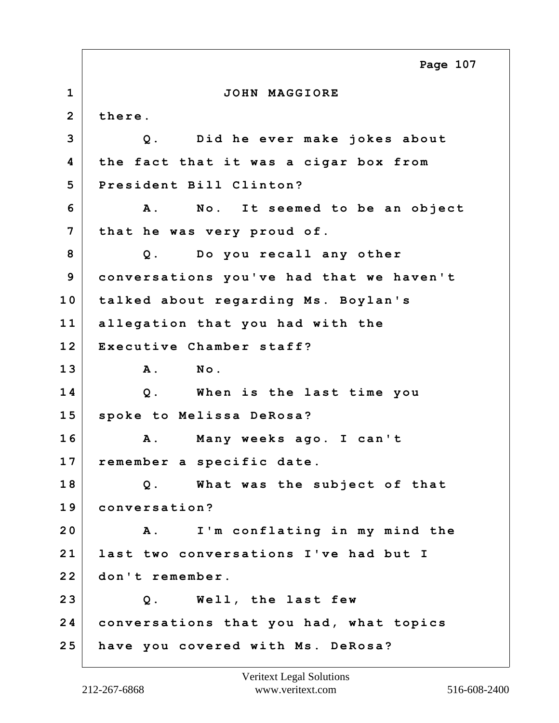|                         | Page 107                                    |
|-------------------------|---------------------------------------------|
| $\mathbf 1$             | JOHN MAGGIORE                               |
| $\overline{2}$          | there.                                      |
| 3                       | Did he ever make jokes about<br>$Q$ .       |
| $\overline{\mathbf{4}}$ | the fact that it was a cigar box from       |
| 5                       | President Bill Clinton?                     |
| 6                       | No. It seemed to be an object<br><b>A</b> . |
| 7                       | that he was very proud of.                  |
| 8                       | Do you recall any other<br>$Q$ .            |
| 9                       | conversations you've had that we haven't    |
| 10                      | talked about regarding Ms. Boylan's         |
| 11                      | allegation that you had with the            |
| 12                      | Executive Chamber staff?                    |
| 13                      | A.<br>No.                                   |
| 14                      | When is the last time you<br>$Q$ .          |
| 15                      | spoke to Melissa DeRosa?                    |
| 16                      | Many weeks ago. I can't<br>Α.               |
| 17                      | remember a specific date.                   |
| 18                      | Q. What was the subject of that             |
| 19                      | conversation?                               |
| 20                      | I'm conflating in my mind the<br><b>A</b> . |
| 21                      | last two conversations I've had but I       |
| 22                      | don't remember.                             |
| 23                      | Q. Well, the last few                       |
| 24                      | conversations that you had, what topics     |
| 25                      | have you covered with Ms. DeRosa?           |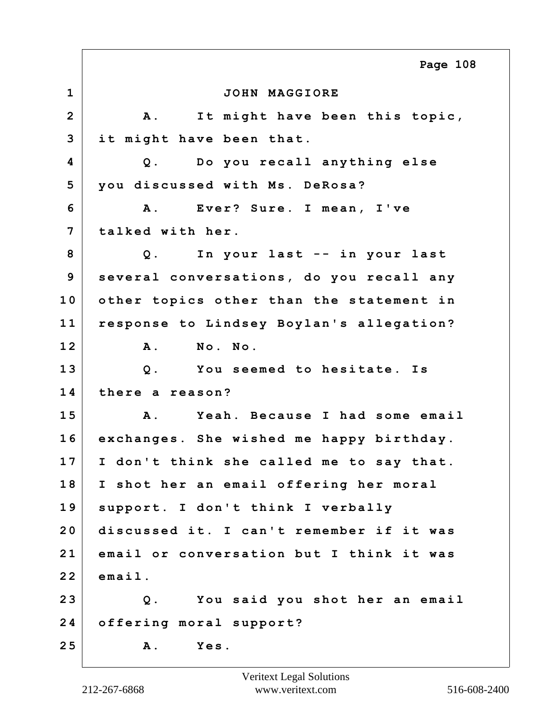**1 JOHN MAGGIORE 2 A. It might have been this topic, 3 it might have been that. 4 Q. Do you recall anything else 5 you discussed with Ms. DeRosa? 6 A. Ever? Sure. I mean, I've 7 talked with her. 8 Q. In your last -- in your last 9 several conversations, do you recall any 10 other topics other than the statement in 11 response to Lindsey Boylan's allegation? 12 A. No. No. 13 Q. You seemed to hesitate. Is 14 there a reason? 15 A. Yeah. Because I had some email 16 exchanges. She wished me happy birthday. 17 I don't think she called me to say that. 18 I shot her an email offering her moral 19 support. I don't think I verbally 20 discussed it. I can't remember if it was 21 email or conversation but I think it was 22 email. 23 Q. You said you shot her an email 24 offering moral support? 25 A. Yes. Page 108**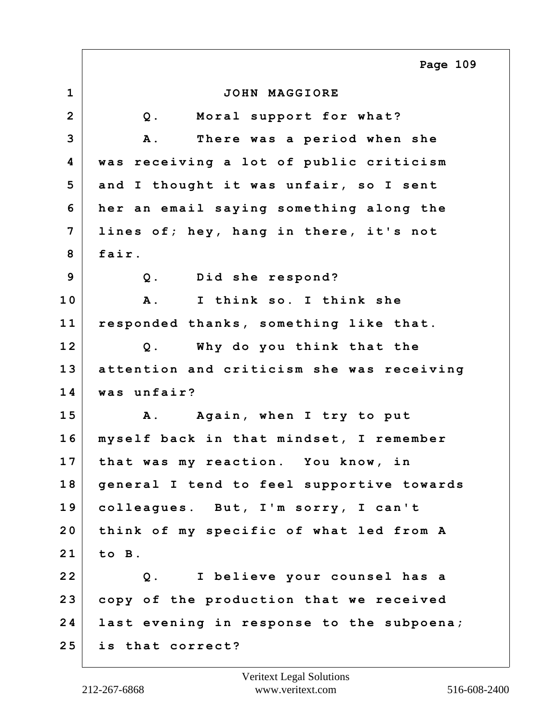**1 JOHN MAGGIORE 2 Q. Moral support for what? 3 A. There was a period when she 4 was receiving a lot of public criticism 5 and I thought it was unfair, so I sent 6 her an email saying something along the 7 lines of; hey, hang in there, it's not 8 fair. 9 Q. Did she respond? 10 A. I think so. I think she 11 responded thanks, something like that. 12 Q. Why do you think that the 13 attention and criticism she was receiving 14 was unfair? 15 A. Again, when I try to put 16 myself back in that mindset, I remember 17 that was my reaction. You know, in 18 general I tend to feel supportive towards 19 colleagues. But, I'm sorry, I can't 20 think of my specific of what led from A 21 to B. 22 Q. I believe your counsel has a 23 copy of the production that we received 24 last evening in response to the subpoena; 25 is that correct? Page 109**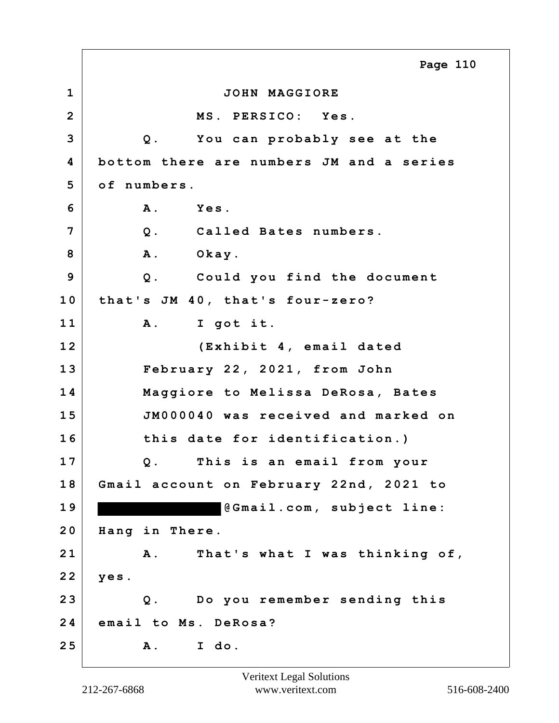**1 JOHN MAGGIORE 2 MS. PERSICO: Yes. 3 Q. You can probably see at the 4 bottom there are numbers JM and a series 5 of numbers. 6 A. Yes. 7 Q. Called Bates numbers.** 8 A. Okay. **9 Q. Could you find the document 10 that's JM 40, that's four-zero? 11 A. I got it. 12 (Exhibit 4, email dated 13 February 22, 2021, from John 14 Maggiore to Melissa DeRosa, Bates 15 JM000040 was received and marked on 16 this date for identification.) 17 Q. This is an email from your 18 Gmail account on February 22nd, 2021 to 1 9 @Gmail.com, subject line: 20 Hang in There. 21 A. That's what I was thinking of, 22 yes. 23 Q. Do you remember sending this 24 email to Ms. DeRosa? 25 A. I do. Page 110**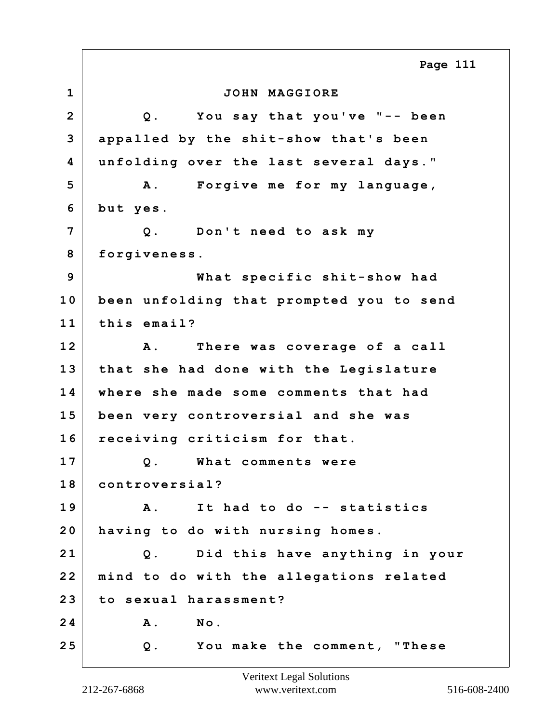**1 JOHN MAGGIORE 2 Q. You say that you've "-- been 3 appalled by the shit-show that's been 4 unfolding over the last several days." 5 A. Forgive me for my language, 6 but yes. 7 Q. Don't need to ask my 8 forgiveness. 9 What specific shit-show had 10 been unfolding that prompted you to send 11 this email? 12 A. There was coverage of a call 13 that she had done with the Legislature 14 where she made some comments that had 15 been very controversial and she was 16 receiving criticism for that. 17 Q. What comments were 18 controversial? 19 A. It had to do -- statistics 20 having to do with nursing homes. 21 Q. Did this have anything in your 22 mind to do with the allegations related 23 to sexual harassment? 24 A. No. 25 Q. You make the comment, "These Page 111**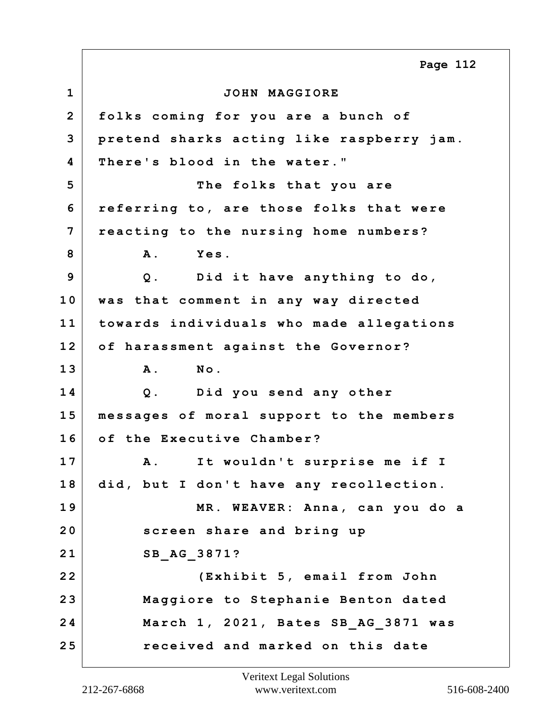**1 JOHN MAGGIORE 2 folks coming for you are a bunch of 3 pretend sharks acting like raspberry jam. 4 There's blood in the water." 5 The folks that you are 6 referring to, are those folks that were 7 reacting to the nursing home numbers? 8 A. Yes. 9 Q. Did it have anything to do, 10 was that comment in any way directed 11 towards individuals who made allegations 12 of harassment against the Governor? 13 A. No. 14 Q. Did you send any other 15 messages of moral support to the members 16 of the Executive Chamber? 17 A. It wouldn't surprise me if I 18 did, but I don't have any recollection. 19 MR. WEAVER: Anna, can you do a 20 screen share and bring up 21 SB\_AG\_3871? 22 (Exhibit 5, email from John 23 Maggiore to Stephanie Benton dated 24 March 1, 2021, Bates SB\_AG\_3871 was 25 received and marked on this date Page 112**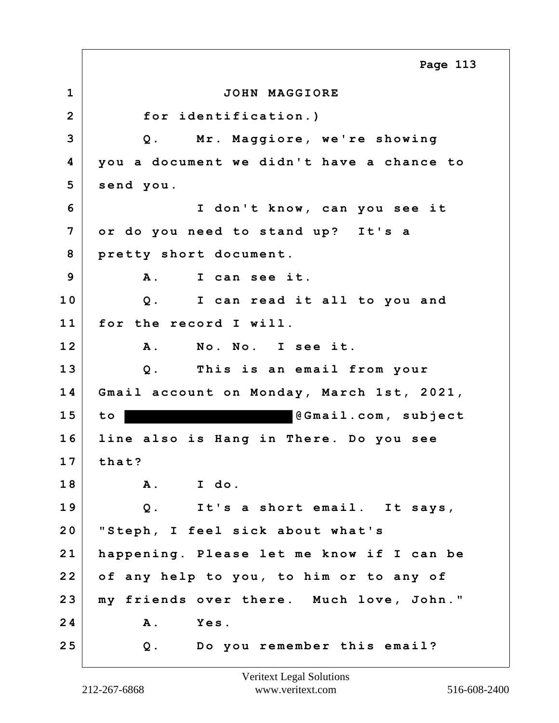**1 JOHN MAGGIORE 2 for identification.) 3 Q. Mr. Maggiore, we're showing 4 you a document we didn't have a chance to 5 send you. 6 I don't know, can you see it 7 or do you need to stand up? It's a 8 pretty short document. 9 A. I can see it. 10 Q. I can read it all to you and 11 for the record I will. 12 A. No. No. I see it. 13 Q. This is an email from your 14 Gmail account on Monday, March 1st, 2021,** 15 to **b**  $\theta$ Gmail.com, subject **16 line also is Hang in There. Do you see 17 that? 18 A. I do. 19 Q. It's a short email. It says, 20 "Steph, I feel sick about what's 21 happening. Please let me know if I can be 22 of any help to you, to him or to any of 23 my friends over there. Much love, John." 24 A. Yes. 25 Q. Do you remember this email? Page 113**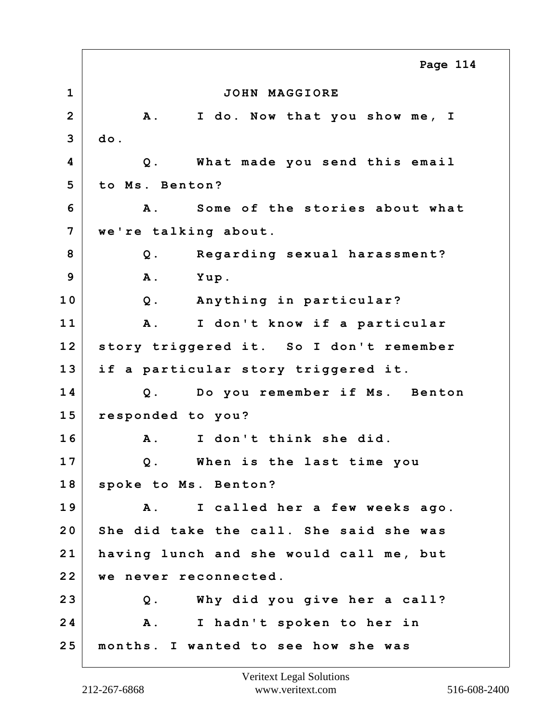**1 JOHN MAGGIORE 2 A. I do. Now that you show me, I 3 do. 4 Q. What made you send this email 5 to Ms. Benton? 6 A. Some of the stories about what 7 we're talking about. 8 Q. Regarding sexual harassment? 9 A. Yup. 10 Q. Anything in particular? 11 A. I don't know if a particular 12 story triggered it. So I don't remember 13 if a particular story triggered it. 14 Q. Do you remember if Ms. Benton 15 responded to you? 16 A. I don't think she did. 17 Q. When is the last time you 18 spoke to Ms. Benton? 19 A. I called her a few weeks ago. 20 She did take the call. She said she was 21 having lunch and she would call me, but 22 we never reconnected. 23 Q. Why did you give her a call? 24 A. I hadn't spoken to her in 25 months. I wanted to see how she was Page 114**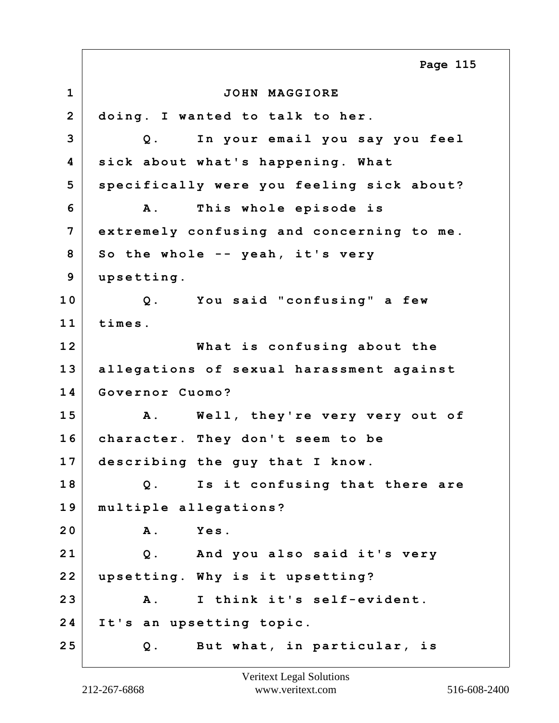**1 JOHN MAGGIORE 2 doing. I wanted to talk to her. 3 Q. In your email you say you feel 4 sick about what's happening. What 5 specifically were you feeling sick about? 6 A. This whole episode is 7 extremely confusing and concerning to me. 8 So the whole -- yeah, it's very 9 upsetting. 10 Q. You said "confusing" a few 11 times. 12 What is confusing about the 13 allegations of sexual harassment against 14 Governor Cuomo? 15 A. Well, they're very very out of 16 character. They don't seem to be 17 describing the guy that I know. 18 Q. Is it confusing that there are 19 multiple allegations? 20 A. Yes. 21 Q. And you also said it's very 22 upsetting. Why is it upsetting? 23 A. I think it's self-evident. 24 It's an upsetting topic. 25 Q. But what, in particular, is Page 115**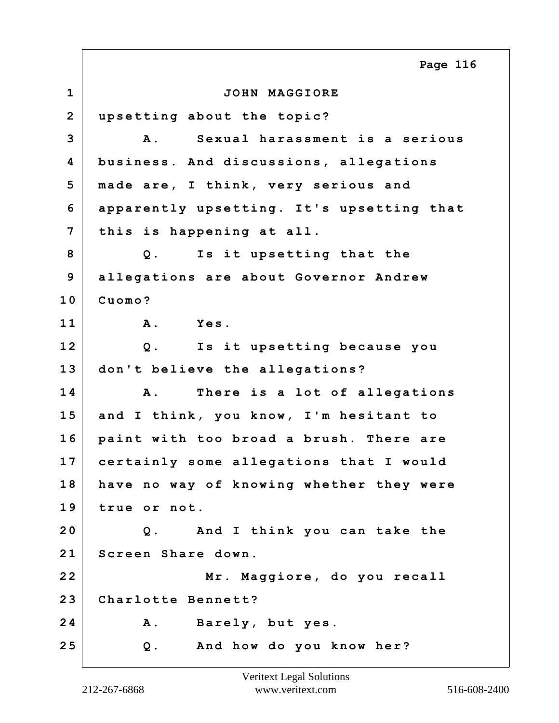**1 JOHN MAGGIORE 2 upsetting about the topic? 3 A. Sexual harassment is a serious 4 business. And discussions, allegations 5 made are, I think, very serious and 6 apparently upsetting. It's upsetting that 7 this is happening at all. 8 Q. Is it upsetting that the 9 allegations are about Governor Andrew 10 Cuomo? 11 A. Yes. 12 Q. Is it upsetting because you 13 don't believe the allegations? 14 A. There is a lot of allegations 15 and I think, you know, I'm hesitant to 16 paint with too broad a brush. There are 17 certainly some allegations that I would 18 have no way of knowing whether they were 19 true or not. 20 Q. And I think you can take the 21 Screen Share down. 22 Mr. Maggiore, do you recall 23 Charlotte Bennett? 24 A. Barely, but yes. 25 Q. And how do you know her? Page 116**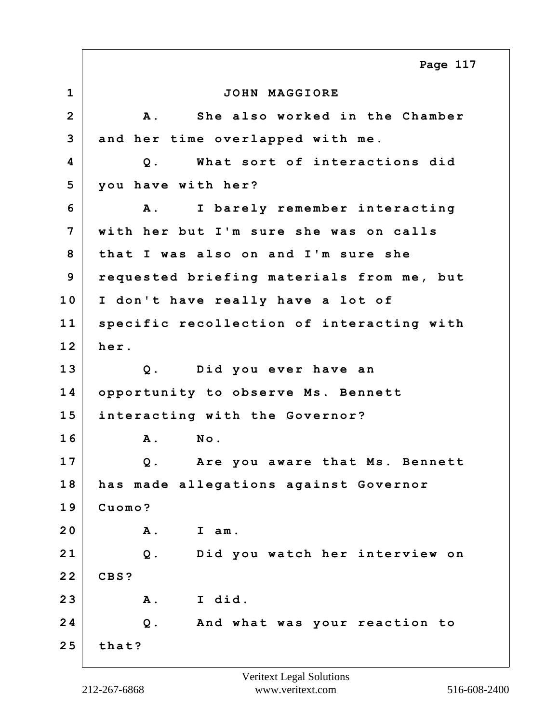**1 JOHN MAGGIORE 2 A. She also worked in the Chamber 3 and her time overlapped with me. 4 Q. What sort of interactions did 5 you have with her? 6 A. I barely remember interacting 7 with her but I'm sure she was on calls 8 that I was also on and I'm sure she 9 requested briefing materials from me, but 10 I don't have really have a lot of 11 specific recollection of interacting with 12 her. 13 Q. Did you ever have an 14 opportunity to observe Ms. Bennett 15 interacting with the Governor? 16 A. No. 17 Q. Are you aware that Ms. Bennett 18 has made allegations against Governor 19 Cuomo? 20 A. I am. 21 Q. Did you watch her interview on 22 CBS? 23 A. I did. 24 Q. And what was your reaction to 25 that? Page 117**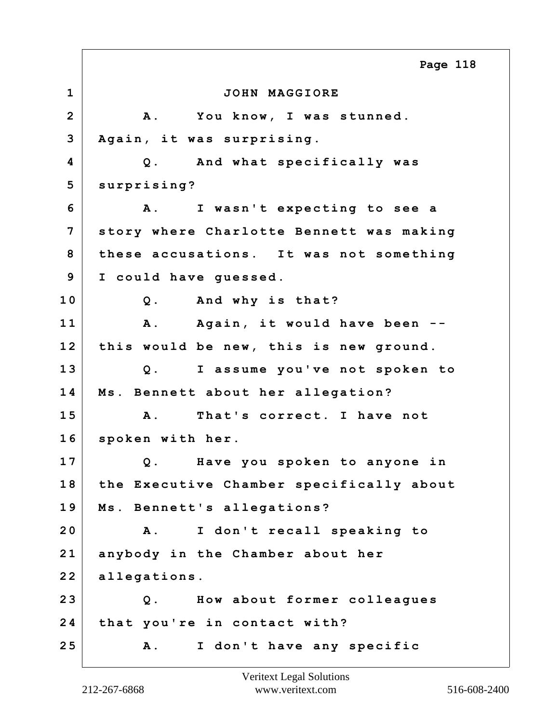**1 JOHN MAGGIORE 2 A. You know, I was stunned. 3 Again, it was surprising. 4 Q. And what specifically was 5 surprising? 6 A. I wasn't expecting to see a 7 story where Charlotte Bennett was making 8 these accusations. It was not something 9 I could have guessed. 10 Q. And why is that? 11 A. Again, it would have been -- 12 this would be new, this is new ground. 13 Q. I assume you've not spoken to 14 Ms. Bennett about her allegation? 15 A. That's correct. I have not 16 spoken with her. 17 Q. Have you spoken to anyone in 18 the Executive Chamber specifically about 19 Ms. Bennett's allegations? 20 A. I don't recall speaking to 21 anybody in the Chamber about her 22 allegations. 23 Q. How about former colleagues 24 that you're in contact with? 25 A. I don't have any specific Page 118**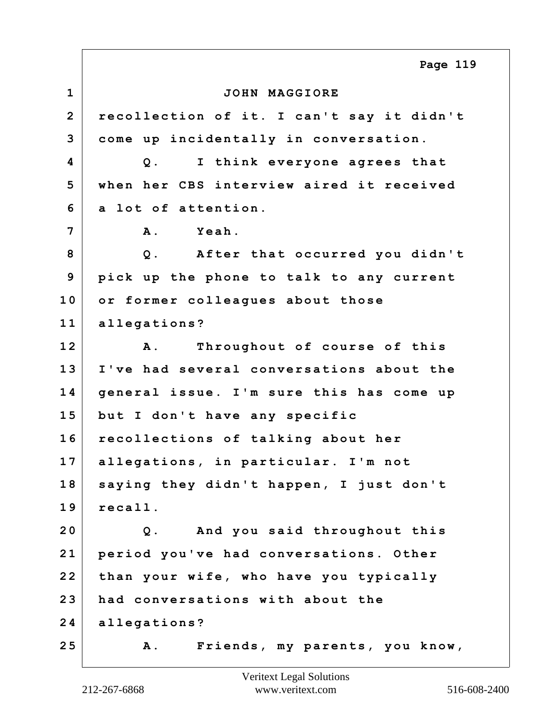**1 JOHN MAGGIORE 2 recollection of it. I can't say it didn't 3 come up incidentally in conversation. 4 Q. I think everyone agrees that 5 when her CBS interview aired it received 6 a lot of attention. 7 A. Yeah. 8 Q. After that occurred you didn't 9 pick up the phone to talk to any current 10 or former colleagues about those 11 allegations? 12 A. Throughout of course of this 13 I've had several conversations about the 14 general issue. I'm sure this has come up 15 but I don't have any specific 16 recollections of talking about her 17 allegations, in particular. I'm not 18 saying they didn't happen, I just don't 19 recall. 20 Q. And you said throughout this 21 period you've had conversations. Other 22 than your wife, who have you typically 23 had conversations with about the 24 allegations? 25 A. Friends, my parents, you know, Page 119**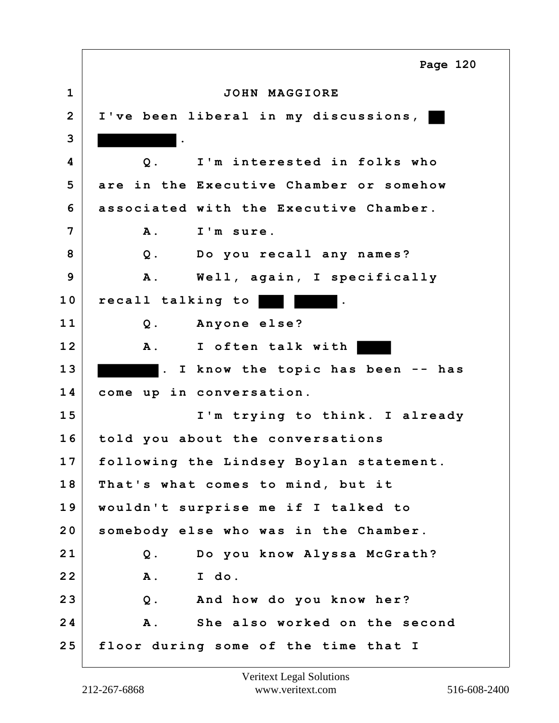**1 JOHN MAGGIORE 2 I've been liberal in my discussions, 3 . 4 Q. I'm interested in folks who 5 are in the Executive Chamber or somehow 6 associated with the Executive Chamber. 7 A. I'm sure. 8 Q. Do you recall any names? 9 A. Well, again, I specifically** 10 recall talking to **11 Q. Anyone else? 12 A. I often talk with 1 3 . I know the topic has been -- has 14 come up in conversation. 15 I'm trying to think. I already 16 told you about the conversations 17 following the Lindsey Boylan statement. 18 That's what comes to mind, but it 19 wouldn't surprise me if I talked to 20 somebody else who was in the Chamber. 21 Q. Do you know Alyssa McGrath? 22 A. I do. 23 Q. And how do you know her? 24 A. She also worked on the second 25 floor during some of the time that I Page 120**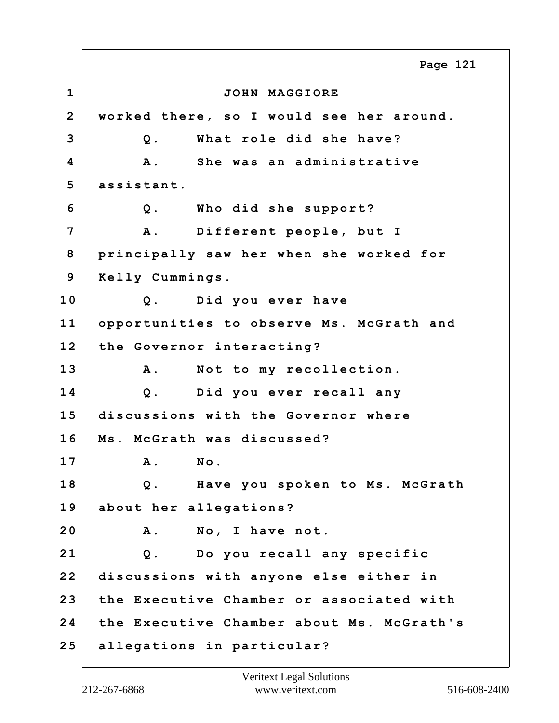**1 JOHN MAGGIORE 2 worked there, so I would see her around. 3 Q. What role did she have? 4 A. She was an administrative 5 assistant. 6 Q. Who did she support? 7 A. Different people, but I 8 principally saw her when she worked for 9 Kelly Cummings. 10 Q. Did you ever have 11 opportunities to observe Ms. McGrath and 12 the Governor interacting? 13 A. Not to my recollection. 14 Q. Did you ever recall any 15 discussions with the Governor where 16 Ms. McGrath was discussed? 17 A. No. 18 Q. Have you spoken to Ms. McGrath 19 about her allegations? 20 A. No, I have not. 21 Q. Do you recall any specific 22 discussions with anyone else either in 23 the Executive Chamber or associated with 24 the Executive Chamber about Ms. McGrath's 25 allegations in particular? Page 121**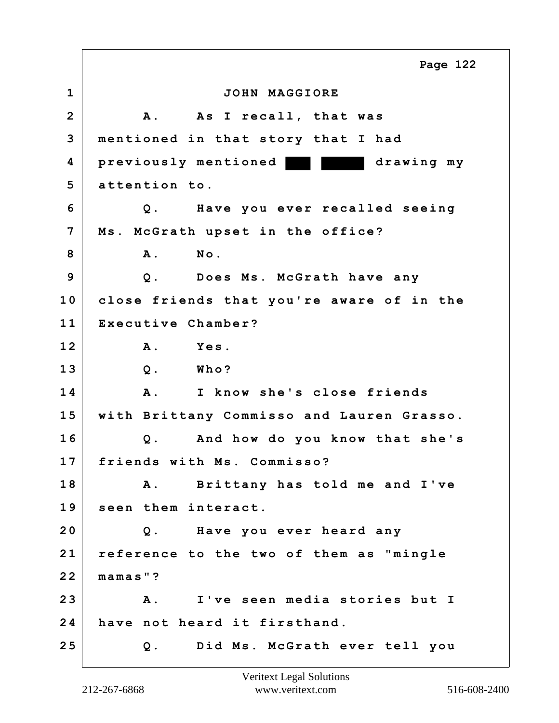**1 JOHN MAGGIORE 2 A. As I recall, that was 3 mentioned in that story that I had 4 previously mentioned drawing my 5 attention to. 6 Q. Have you ever recalled seeing 7 Ms. McGrath upset in the office? 8 A. No. 9 Q. Does Ms. McGrath have any 10 close friends that you're aware of in the 11 Executive Chamber? 12 A. Yes. 13 Q. Who? 14 A. I know she's close friends 15 with Brittany Commisso and Lauren Grasso. 16 Q. And how do you know that she's 17 friends with Ms. Commisso? 18 A. Brittany has told me and I've 19 seen them interact. 20 Q. Have you ever heard any 21 reference to the two of them as "mingle 22 mamas"? 23 A. I've seen media stories but I 24 have not heard it firsthand. 25 Q. Did Ms. McGrath ever tell you Page 122**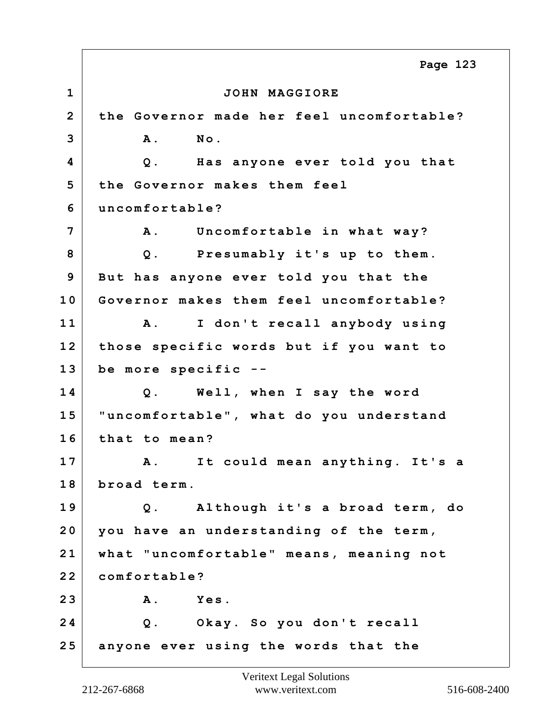**1 JOHN MAGGIORE 2 the Governor made her feel uncomfortable? 3 A. No. 4 Q. Has anyone ever told you that 5 the Governor makes them feel 6 uncomfortable? 7 A. Uncomfortable in what way? 8 Q. Presumably it's up to them. 9 But has anyone ever told you that the 10 Governor makes them feel uncomfortable? 11 A. I don't recall anybody using 12 those specific words but if you want to 13 be more specific -- 14 Q. Well, when I say the word 15 "uncomfortable", what do you understand 16 that to mean? 17 A. It could mean anything. It's a 18 broad term. 19 Q. Although it's a broad term, do 20 you have an understanding of the term, 21 what "uncomfortable" means, meaning not 22 comfortable? 23 A. Yes. 24 Q. Okay. So you don't recall 25 anyone ever using the words that the Page 123**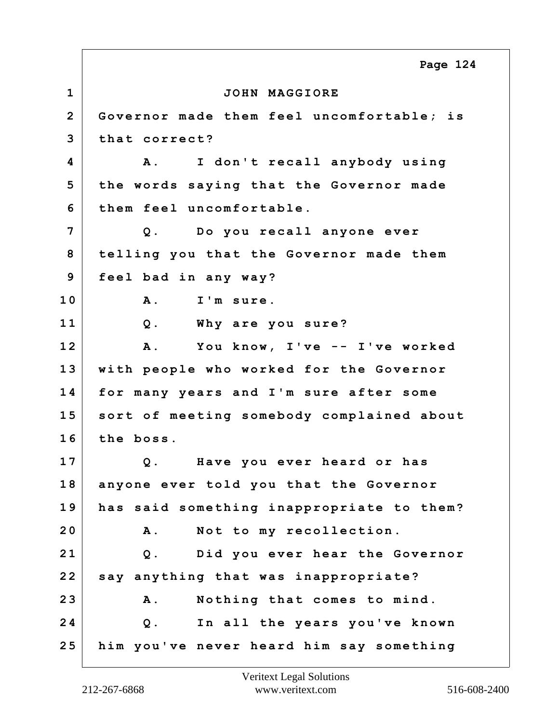**1 JOHN MAGGIORE 2 Governor made them feel uncomfortable; is 3 that correct? 4 A. I don't recall anybody using 5 the words saying that the Governor made 6 them feel uncomfortable. 7 Q. Do you recall anyone ever 8 telling you that the Governor made them 9 feel bad in any way? 10 A. I'm sure. 11 Q. Why are you sure? 12 A. You know, I've -- I've worked 13 with people who worked for the Governor 14 for many years and I'm sure after some 15 sort of meeting somebody complained about 16 the boss. 17 Q. Have you ever heard or has 18 anyone ever told you that the Governor 19 has said something inappropriate to them? 20 A. Not to my recollection. 21 Q. Did you ever hear the Governor 22 say anything that was inappropriate? 23 A. Nothing that comes to mind. 24 Q. In all the years you've known 25 him you've never heard him say something Page 124**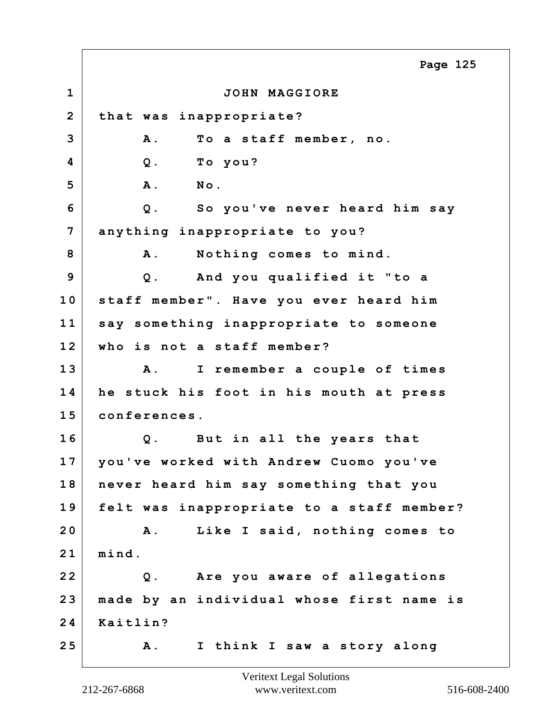**1 JOHN MAGGIORE 2 that was inappropriate? 3 A. To a staff member, no. 4 Q. To you? 5 A. No. 6 Q. So you've never heard him say 7 anything inappropriate to you?** 8 A. Nothing comes to mind. **9 Q. And you qualified it "to a 10 staff member". Have you ever heard him 11 say something inappropriate to someone 12 who is not a staff member? 13 A. I remember a couple of times 14 he stuck his foot in his mouth at press 15 conferences. 16 Q. But in all the years that 17 you've worked with Andrew Cuomo you've 18 never heard him say something that you 19 felt was inappropriate to a staff member? 20 A. Like I said, nothing comes to 21 mind. 22 Q. Are you aware of allegations 23 made by an individual whose first name is 24 Kaitlin? 25 A. I think I saw a story along Page 125**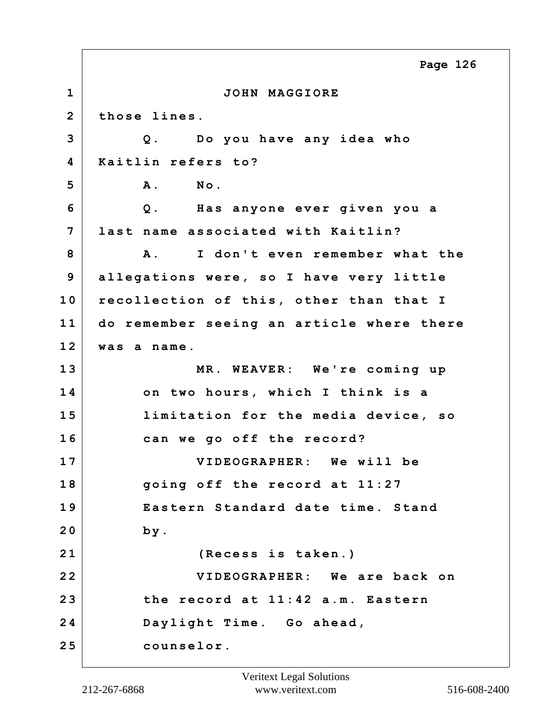**1 JOHN MAGGIORE 2 those lines. 3 Q. Do you have any idea who 4 Kaitlin refers to? 5 A. No. 6 Q. Has anyone ever given you a 7 last name associated with Kaitlin? 8 A. I don't even remember what the 9 allegations were, so I have very little 10 recollection of this, other than that I 11 do remember seeing an article where there 12 was a name. 13 MR. WEAVER: We're coming up 14 on two hours, which I think is a 15 limitation for the media device, so 16 can we go off the record? 17 VIDEOGRAPHER: We will be 18 going off the record at 11:27 19 Eastern Standard date time. Stand 20 by. 21 (Recess is taken.) 22 VIDEOGRAPHER: We are back on 23 the record at 11:42 a.m. Eastern 24 Daylight Time. Go ahead, 25 counselor. Page 126**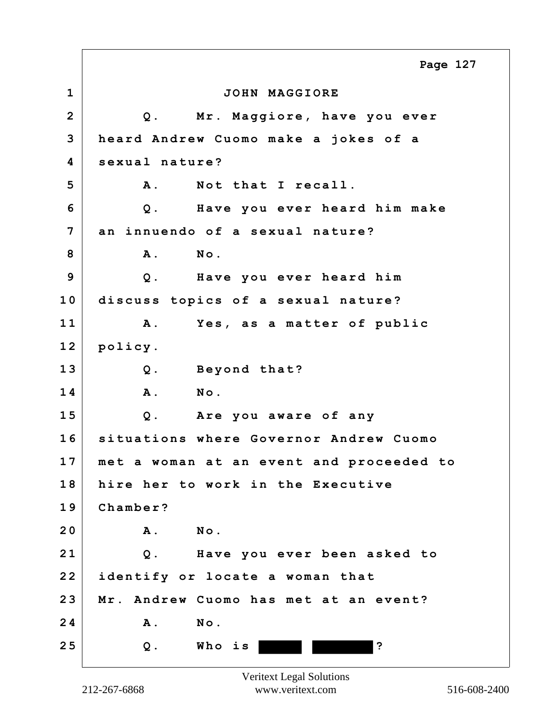**1 JOHN MAGGIORE 2 Q. Mr. Maggiore, have you ever 3 heard Andrew Cuomo make a jokes of a 4 sexual nature? 5 A. Not that I recall. 6 Q. Have you ever heard him make 7 an innuendo of a sexual nature? 8 A. No. 9 Q. Have you ever heard him 10 discuss topics of a sexual nature? 11 A. Yes, as a matter of public 12 policy. 13 Q. Beyond that? 14 A. No. 15 Q. Are you aware of any 16 situations where Governor Andrew Cuomo 17 met a woman at an event and proceeded to 18 hire her to work in the Executive 19 Chamber? 20 A. No. 21 Q. Have you ever been asked to 22 identify or locate a woman that 23 Mr. Andrew Cuomo has met at an event? 24 A. No. 25 Q. Who is ? Page 127**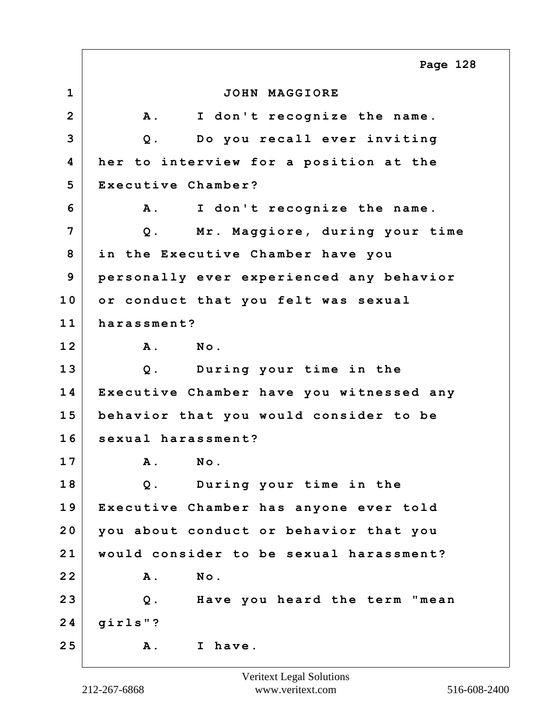**1 JOHN MAGGIORE 2 A. I don't recognize the name. 3 Q. Do you recall ever inviting 4 her to interview for a position at the 5 Executive Chamber? 6 A. I don't recognize the name. 7 Q. Mr. Maggiore, during your time 8 in the Executive Chamber have you 9 personally ever experienced any behavior 10 or conduct that you felt was sexual 11 harassment? 12 A. No. 13 Q. During your time in the 14 Executive Chamber have you witnessed any 15 behavior that you would consider to be 16 sexual harassment? 17 A. No. 18 Q. During your time in the 19 Executive Chamber has anyone ever told 20 you about conduct or behavior that you 21 would consider to be sexual harassment? 22 A. No. 23 Q. Have you heard the term "mean 24 girls"? 25 A. I have. Page 128**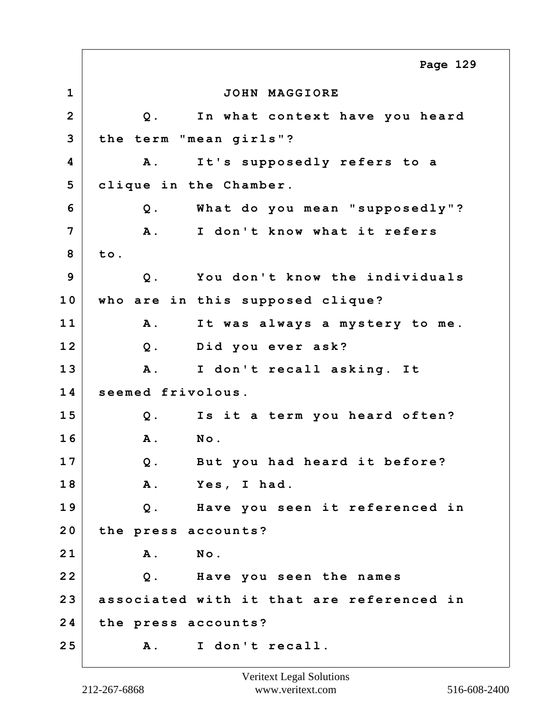**1 JOHN MAGGIORE 2 Q. In what context have you heard 3 the term "mean girls"? 4 A. It's supposedly refers to a 5 clique in the Chamber. 6 Q. What do you mean "supposedly"? 7 A. I don't know what it refers 8 to. 9 Q. You don't know the individuals 10 who are in this supposed clique? 11 A. It was always a mystery to me. 12 Q. Did you ever ask? 13 A. I don't recall asking. It 14 seemed frivolous. 15 Q. Is it a term you heard often? 16 A. No. 17 Q. But you had heard it before? 18 A. Yes, I had. 19 Q. Have you seen it referenced in 20 the press accounts? 21 A. No. 22 Q. Have you seen the names 23 associated with it that are referenced in 24 the press accounts? 25 A. I don't recall. Page 129**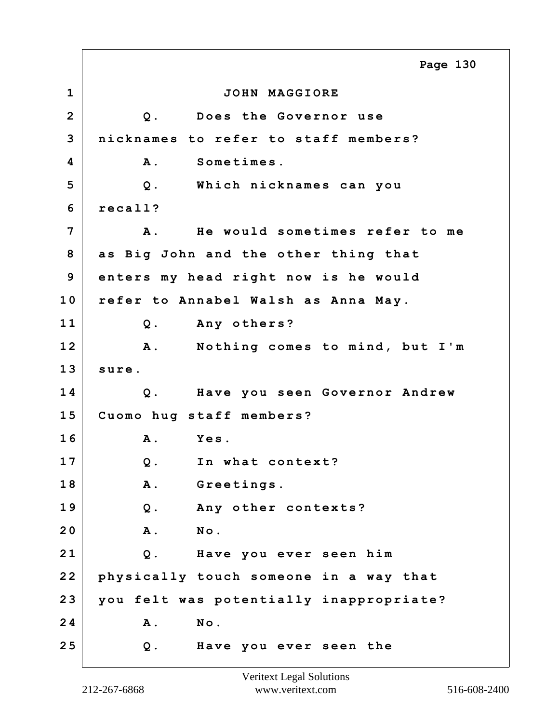**1 JOHN MAGGIORE 2 Q. Does the Governor use 3 nicknames to refer to staff members? 4 A. Sometimes. 5 Q. Which nicknames can you 6 recall? 7 A. He would sometimes refer to me 8 as Big John and the other thing that 9 enters my head right now is he would 10 refer to Annabel Walsh as Anna May. 11 Q. Any others? 12 A. Nothing comes to mind, but I'm 13 sure. 14 Q. Have you seen Governor Andrew 15 Cuomo hug staff members? 16 A. Yes. 17 Q. In what context? 18 A. Greetings. 19 Q. Any other contexts? 20 A. No. 21 Q. Have you ever seen him 22 physically touch someone in a way that 23 you felt was potentially inappropriate? 24 A. No. 25 Q. Have you ever seen the Page 130**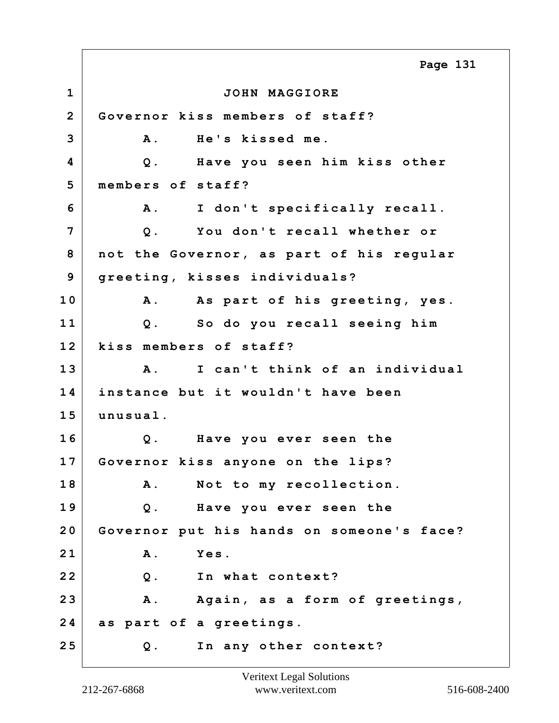**1 JOHN MAGGIORE 2 Governor kiss members of staff? 3 A. He's kissed me. 4 Q. Have you seen him kiss other 5 members of staff? 6 A. I don't specifically recall. 7 Q. You don't recall whether or 8 not the Governor, as part of his regular 9 greeting, kisses individuals? 10 A. As part of his greeting, yes. 11 Q. So do you recall seeing him 12 kiss members of staff? 13 A. I can't think of an individual 14 instance but it wouldn't have been 15 unusual. 16 Q. Have you ever seen the 17 Governor kiss anyone on the lips? 18 A. Not to my recollection. 19 Q. Have you ever seen the 20 Governor put his hands on someone's face? 21 A. Yes. 22 Q. In what context? 23 A. Again, as a form of greetings, 24 as part of a greetings. 25 Q. In any other context? Page 131**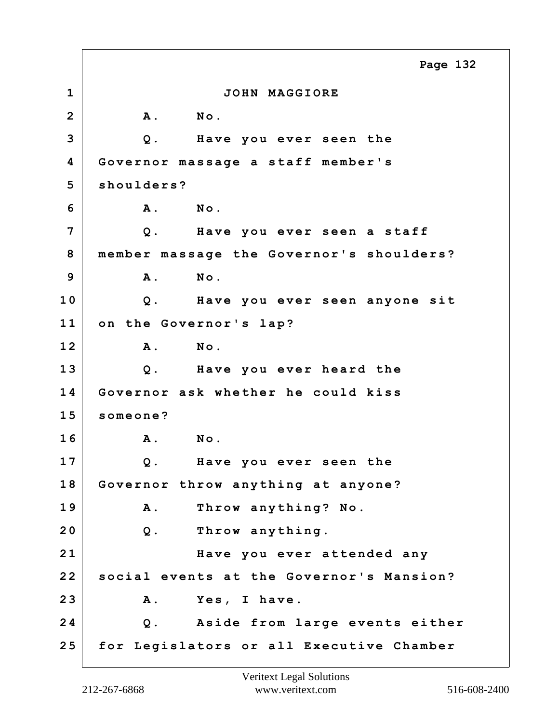**1 JOHN MAGGIORE 2 A. No. 3 Q. Have you ever seen the 4 Governor massage a staff member's 5 shoulders? 6 A. No. 7 Q. Have you ever seen a staff 8 member massage the Governor's shoulders? 9 A. No. 10 Q. Have you ever seen anyone sit 11 on the Governor's lap? 12 A. No. 13 Q. Have you ever heard the 14 Governor ask whether he could kiss 15 someone? 16 A. No. 17 Q. Have you ever seen the 18 Governor throw anything at anyone? 19 A. Throw anything? No. 20 Q. Throw anything. 21 Have you ever attended any 22 social events at the Governor's Mansion? 23 A. Yes, I have. 24 Q. Aside from large events either 25 for Legislators or all Executive Chamber Page 132**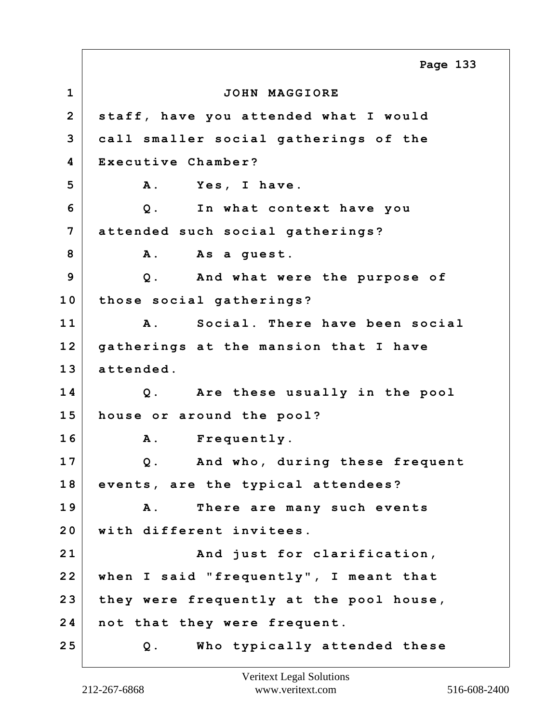**1 JOHN MAGGIORE 2 staff, have you attended what I would 3 call smaller social gatherings of the 4 Executive Chamber?** 5 A. Yes, I have. **6 Q. In what context have you 7 attended such social gatherings?** 8 A. As a guest. **9 Q. And what were the purpose of 10 those social gatherings? 11 A. Social. There have been social 12 gatherings at the mansion that I have 13 attended. 14 Q. Are these usually in the pool 15 house or around the pool? 16 A. Frequently. 17 Q. And who, during these frequent 18 events, are the typical attendees? 19 A. There are many such events 20 with different invitees.** 21 And just for clarification, **22 when I said "frequently", I meant that 23 they were frequently at the pool house, 24 not that they were frequent. 25 Q. Who typically attended these Page 133**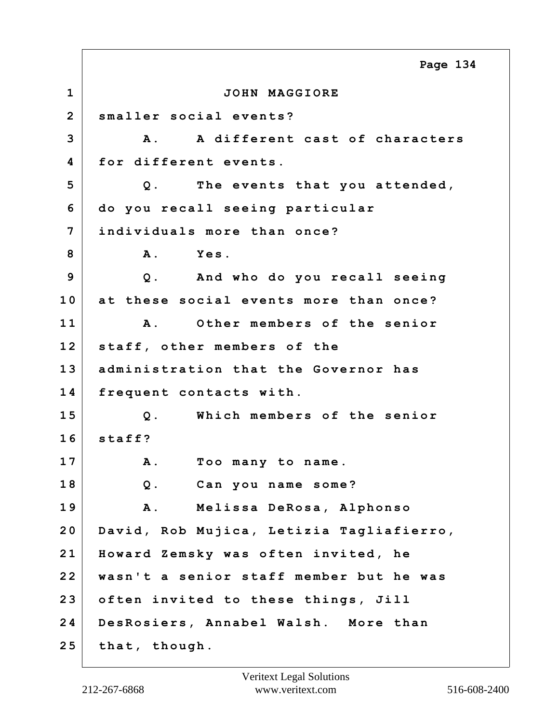**1 JOHN MAGGIORE 2 smaller social events? 3 A. A different cast of characters 4 for different events. 5 Q. The events that you attended, 6 do you recall seeing particular 7 individuals more than once? 8 A. Yes. 9 Q. And who do you recall seeing 10 at these social events more than once? 11 A. Other members of the senior 12 staff, other members of the 13 administration that the Governor has 14 frequent contacts with. 15 Q. Which members of the senior 16 staff? 17 A. Too many to name. 18 Q. Can you name some? 19 A. Melissa DeRosa, Alphonso 20 David, Rob Mujica, Letizia Tagliafierro, 21 Howard Zemsky was often invited, he 22 wasn't a senior staff member but he was 23 often invited to these things, Jill 24 DesRosiers, Annabel Walsh. More than 25 that, though. Page 134**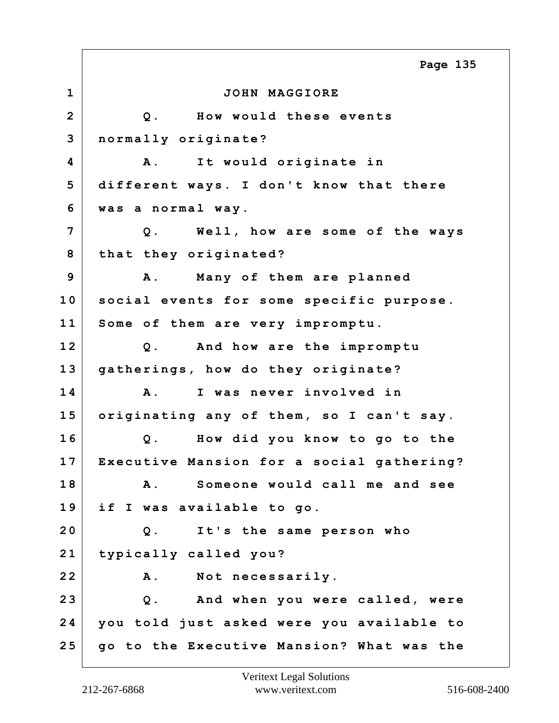**1 JOHN MAGGIORE 2 Q. How would these events 3 normally originate? 4 A. It would originate in 5 different ways. I don't know that there 6 was a normal way. 7 Q. Well, how are some of the ways 8 that they originated? 9 A. Many of them are planned 10 social events for some specific purpose. 11 Some of them are very impromptu. 12 Q. And how are the impromptu 13 gatherings, how do they originate? 14 A. I was never involved in 15 originating any of them, so I can't say. 16 Q. How did you know to go to the 17 Executive Mansion for a social gathering? 18 A. Someone would call me and see 19 if I was available to go. 20 Q. It's the same person who 21 typically called you? 22 A. Not necessarily. 23 Q. And when you were called, were 24 you told just asked were you available to 25 go to the Executive Mansion? What was the Page 135**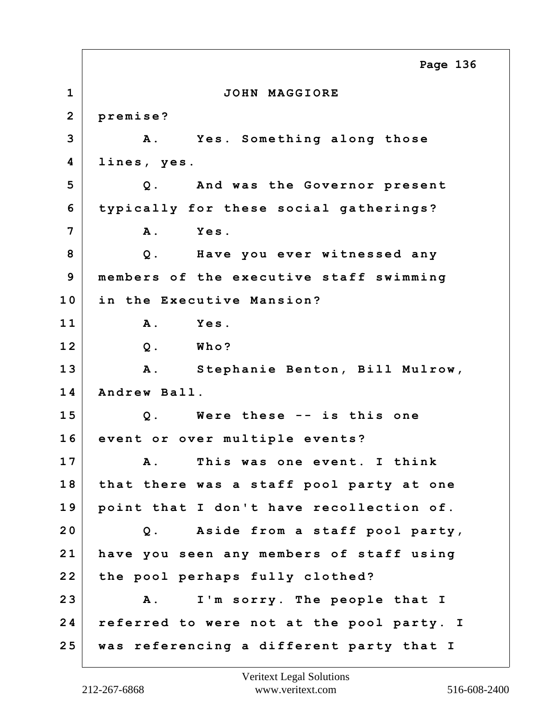**1 JOHN MAGGIORE 2 premise? 3 A. Yes. Something along those 4 lines, yes. 5 Q. And was the Governor present 6 typically for these social gatherings? 7 A. Yes. 8 Q. Have you ever witnessed any 9 members of the executive staff swimming 10 in the Executive Mansion? 11 A. Yes. 12 Q. Who? 13 A. Stephanie Benton, Bill Mulrow, 14 Andrew Ball. 15 Q. Were these -- is this one 16 event or over multiple events? 17 A. This was one event. I think 18 that there was a staff pool party at one 19 point that I don't have recollection of. 20 Q. Aside from a staff pool party, 21 have you seen any members of staff using 22 the pool perhaps fully clothed? 23 A. I'm sorry. The people that I 24 referred to were not at the pool party. I 25 was referencing a different party that I Page 136**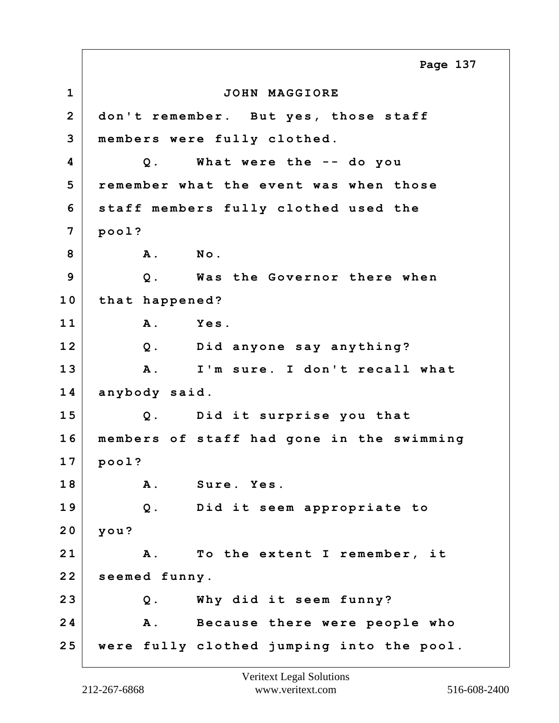**1 JOHN MAGGIORE 2 don't remember. But yes, those staff 3 members were fully clothed. 4 Q. What were the -- do you 5 remember what the event was when those 6 staff members fully clothed used the 7 pool? 8 A. No. 9 Q. Was the Governor there when 10 that happened? 11 A. Yes. 12 Q. Did anyone say anything? 13 A. I'm sure. I don't recall what 14 anybody said. 15 Q. Did it surprise you that 16 members of staff had gone in the swimming 17 pool? 18 A. Sure. Yes. 19 Q. Did it seem appropriate to 20 you? 21 A. To the extent I remember, it 22 seemed funny. 23 Q. Why did it seem funny? 24 A. Because there were people who 25 were fully clothed jumping into the pool. Page 137**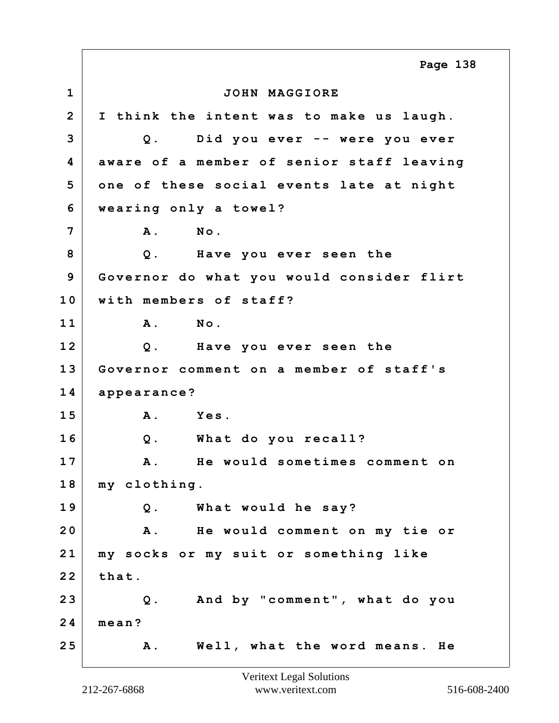**1 JOHN MAGGIORE 2 I think the intent was to make us laugh. 3 Q. Did you ever -- were you ever 4 aware of a member of senior staff leaving 5 one of these social events late at night 6 wearing only a towel? 7 A. No. 8 Q. Have you ever seen the 9 Governor do what you would consider flirt 10 with members of staff? 11 A. No. 12 Q. Have you ever seen the 13 Governor comment on a member of staff's 14 appearance? 15 A. Yes. 16 Q. What do you recall? 17 A. He would sometimes comment on 18 my clothing. 19 Q. What would he say? 20 A. He would comment on my tie or 21 my socks or my suit or something like 22 that. 23 Q. And by "comment", what do you 24 mean? 25 A. Well, what the word means. He Page 138**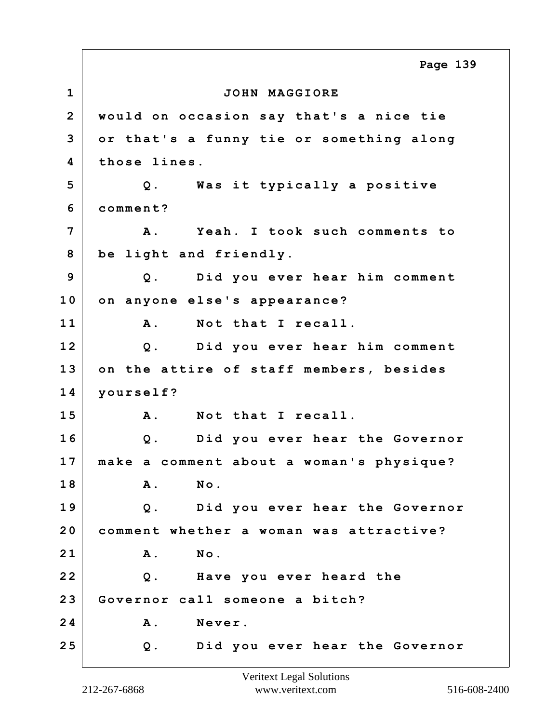**1 JOHN MAGGIORE 2 would on occasion say that's a nice tie 3 or that's a funny tie or something along 4 those lines. 5 Q. Was it typically a positive 6 comment? 7 A. Yeah. I took such comments to 8 be light and friendly. 9 Q. Did you ever hear him comment 10 on anyone else's appearance? 11 A. Not that I recall. 12 Q. Did you ever hear him comment 13 on the attire of staff members, besides 14 yourself? 15 A. Not that I recall. 16 Q. Did you ever hear the Governor 17 make a comment about a woman's physique? 18 A. No. 19 Q. Did you ever hear the Governor 20 comment whether a woman was attractive? 21 A. No. 22 Q. Have you ever heard the 23 Governor call someone a bitch?** 24 A. Never. **25 Q. Did you ever hear the Governor Page 139**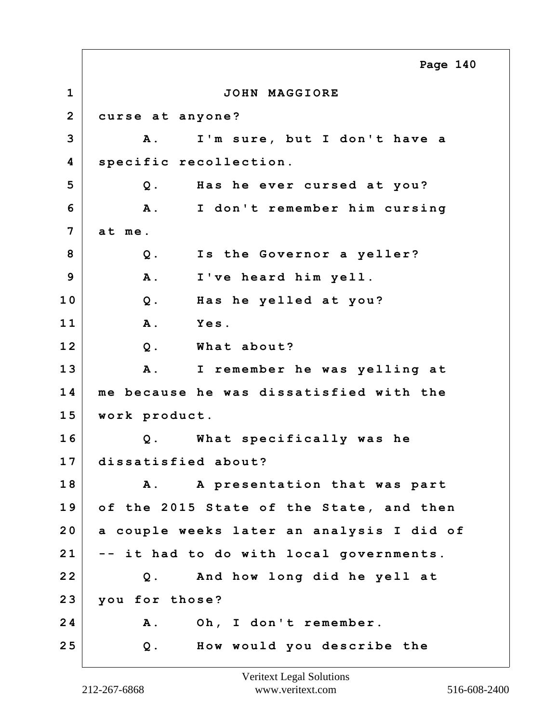**1 JOHN MAGGIORE 2 curse at anyone? 3 A. I'm sure, but I don't have a 4 specific recollection. 5 Q. Has he ever cursed at you? 6 A. I don't remember him cursing 7 at me. 8 Q. Is the Governor a yeller? 9 A. I've heard him yell. 10 Q. Has he yelled at you? 11 A. Yes. 12 Q. What about? 13 A. I remember he was yelling at 14 me because he was dissatisfied with the 15 work product. 16 Q. What specifically was he 17 dissatisfied about? 18 A. A presentation that was part 19 of the 2015 State of the State, and then 20 a couple weeks later an analysis I did of 21 -- it had to do with local governments. 22 Q. And how long did he yell at 23 you for those? 24 A. Oh, I don't remember. 25 Q. How would you describe the Page 140**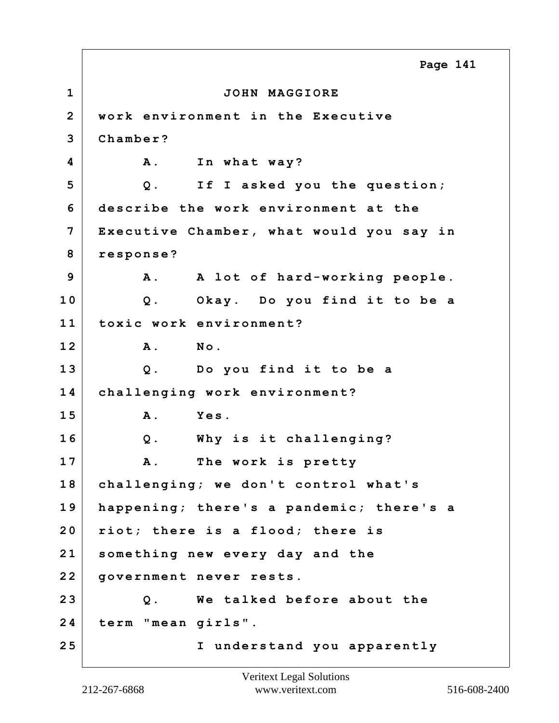**1 JOHN MAGGIORE 2 work environment in the Executive 3 Chamber? 4 A.** In what way? **5 Q. If I asked you the question; 6 describe the work environment at the 7 Executive Chamber, what would you say in 8 response? 9 A. A lot of hard-working people. 10 Q. Okay. Do you find it to be a 11 toxic work environment? 12 A. No. 13 Q. Do you find it to be a 14 challenging work environment? 15 A. Yes. 16 Q. Why is it challenging? 17 A. The work is pretty 18 challenging; we don't control what's 19 happening; there's a pandemic; there's a 20 riot; there is a flood; there is 21 something new every day and the 22 government never rests. 23 Q. We talked before about the 24 term "mean girls". 25 I understand you apparently Page 141**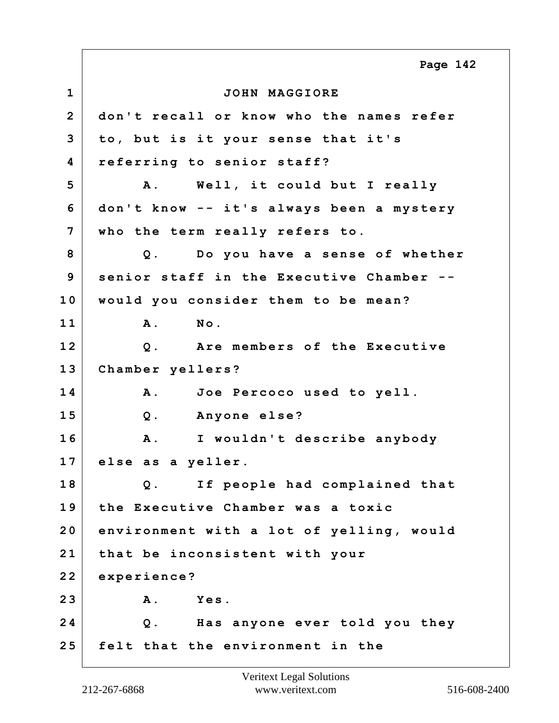**1 JOHN MAGGIORE 2 don't recall or know who the names refer 3 to, but is it your sense that it's 4 referring to senior staff? 5 A. Well, it could but I really 6 don't know -- it's always been a mystery 7 who the term really refers to. 8 Q. Do you have a sense of whether 9 senior staff in the Executive Chamber -- 10 would you consider them to be mean? 11 A. No. 12 Q. Are members of the Executive 13 Chamber yellers? 14 A. Joe Percoco used to yell. 15 Q. Anyone else? 16 A. I wouldn't describe anybody 17 else as a yeller. 18 Q. If people had complained that 19 the Executive Chamber was a toxic 20 environment with a lot of yelling, would 21 that be inconsistent with your 22 experience? 23 A. Yes. 24 Q. Has anyone ever told you they 25 felt that the environment in the Page 142**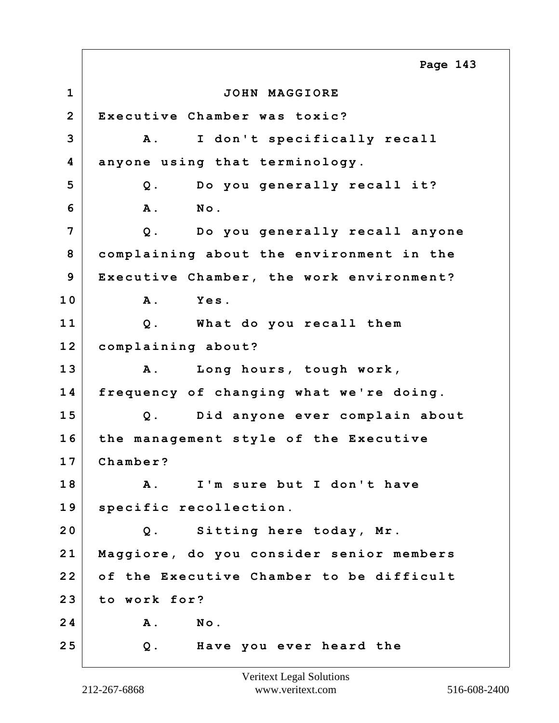**1 JOHN MAGGIORE 2 Executive Chamber was toxic? 3 A. I don't specifically recall 4 anyone using that terminology. 5 Q. Do you generally recall it? 6 A. No. 7 Q. Do you generally recall anyone 8 complaining about the environment in the 9 Executive Chamber, the work environment? 10 A. Yes. 11 Q. What do you recall them 12 complaining about? 13 A. Long hours, tough work, 14 frequency of changing what we're doing. 15 Q. Did anyone ever complain about 16 the management style of the Executive 17 Chamber? 18 A. I'm sure but I don't have 19 specific recollection. 20 Q. Sitting here today, Mr. 21 Maggiore, do you consider senior members 22 of the Executive Chamber to be difficult 23 to work for? 24 A. No. 25 Q. Have you ever heard the Page 143**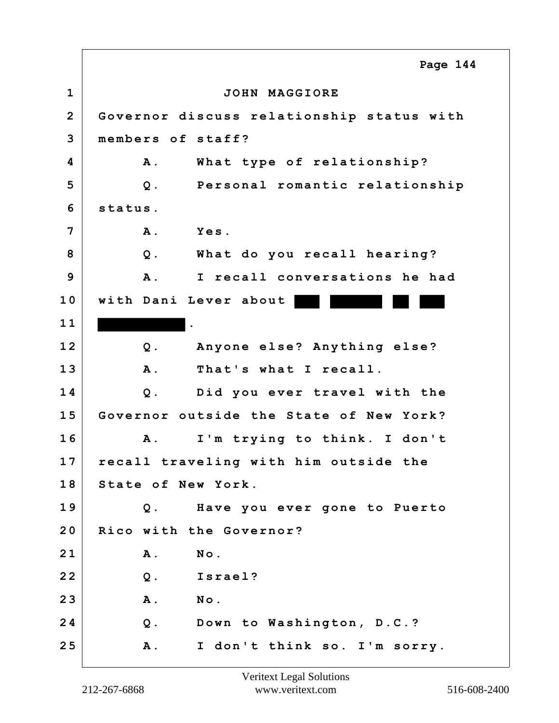**1 JOHN MAGGIORE 2 Governor discuss relationship status with 3 members of staff? 4 A. What type of relationship? 5 Q. Personal romantic relationship 6 status. 7 A. Yes. 8 Q. What do you recall hearing? 9 A. I recall conversations he had 10 with Dani Lever about 1 1 . 12 Q. Anyone else? Anything else? 13 A. That's what I recall. 14 Q. Did you ever travel with the 15 Governor outside the State of New York? 16 A. I'm trying to think. I don't 17 recall traveling with him outside the 18 State of New York. 19 Q. Have you ever gone to Puerto 20 Rico with the Governor? 21 A. No. 22 Q. Israel? 23 A. No. 24 Q. Down to Washington, D.C.? 25 A. I don't think so. I'm sorry. Page 144**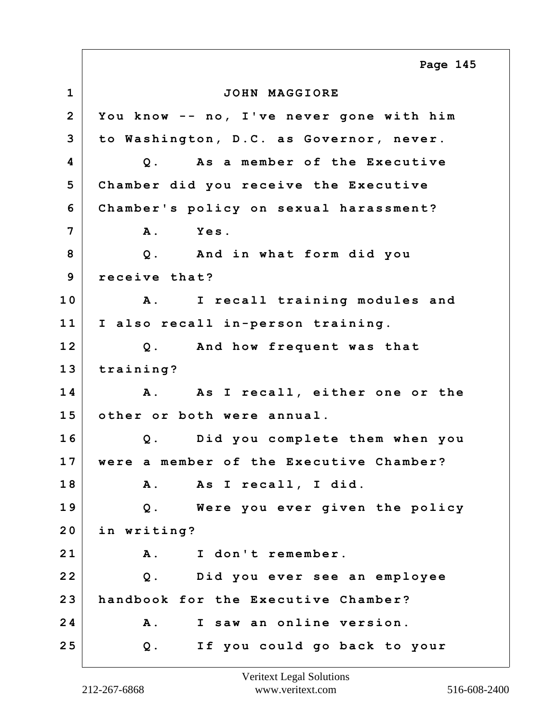**1 JOHN MAGGIORE 2 You know -- no, I've never gone with him 3 to Washington, D.C. as Governor, never. 4 Q. As a member of the Executive 5 Chamber did you receive the Executive 6 Chamber's policy on sexual harassment? 7 A. Yes. 8 Q. And in what form did you 9 receive that? 10 A. I recall training modules and 11 I also recall in-person training. 12 Q. And how frequent was that 13 training? 14 A. As I recall, either one or the 15 other or both were annual. 16 Q. Did you complete them when you 17 were a member of the Executive Chamber? 18 A. As I recall, I did. 19 Q. Were you ever given the policy 20 in writing? 21 A. I don't remember. 22 Q. Did you ever see an employee 23 handbook for the Executive Chamber? 24 A. I saw an online version. 25 Q. If you could go back to your Page 145**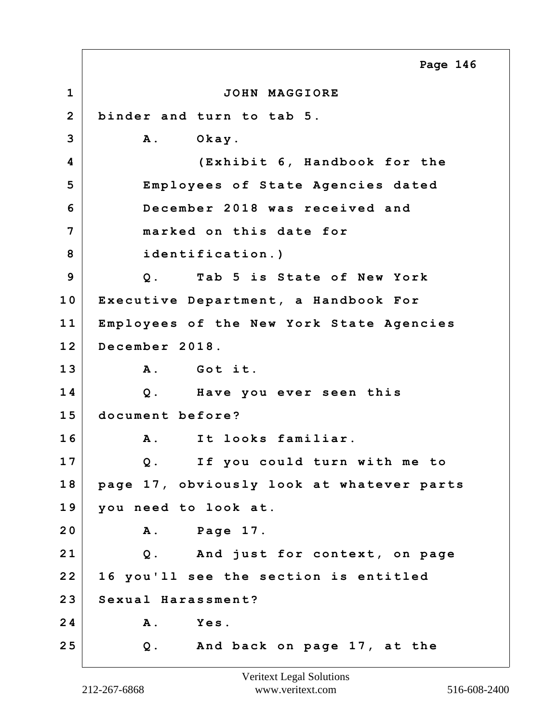**1 JOHN MAGGIORE 2 binder and turn to tab 5. 3 A. Okay. 4 (Exhibit 6, Handbook for the 5 Employees of State Agencies dated 6 December 2018 was received and 7 marked on this date for 8 identification.) 9 Q. Tab 5 is State of New York 10 Executive Department, a Handbook For 11 Employees of the New York State Agencies 12 December 2018. 13 A. Got it. 14 Q. Have you ever seen this 15 document before? 16 A. It looks familiar. 17 Q. If you could turn with me to 18 page 17, obviously look at whatever parts 19 you need to look at. 20 A. Page 17. 21 Q. And just for context, on page 22 16 you'll see the section is entitled 23 Sexual Harassment? 24 A. Yes. 25 Q. And back on page 17, at the Page 146**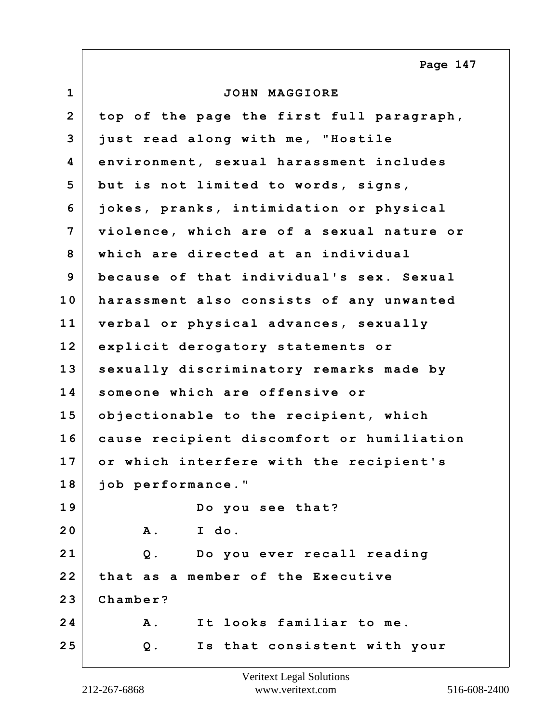**1 JOHN MAGGIORE 2 top of the page the first full paragraph, 3 just read along with me, "Hostile 4 environment, sexual harassment includes 5 but is not limited to words, signs, 6 jokes, pranks, intimidation or physical 7 violence, which are of a sexual nature or 8 which are directed at an individual 9 because of that individual's sex. Sexual 10 harassment also consists of any unwanted 11 verbal or physical advances, sexually 12 explicit derogatory statements or 13 sexually discriminatory remarks made by 14 someone which are offensive or 15 objectionable to the recipient, which 16 cause recipient discomfort or humiliation 17 or which interfere with the recipient's 18 job performance." 19 Do you see that? 20 A. I do. 21 Q. Do you ever recall reading 22 that as a member of the Executive 23 Chamber? 24 A. It looks familiar to me. 25 Q. Is that consistent with your Page 147**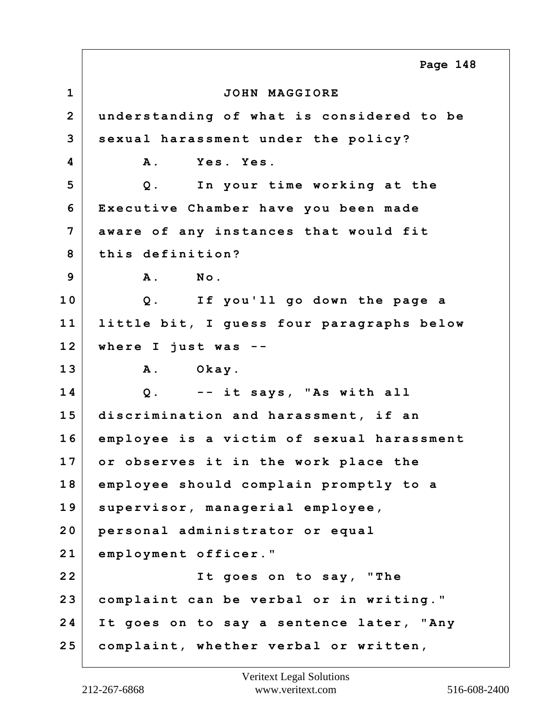**1 JOHN MAGGIORE 2 understanding of what is considered to be 3 sexual harassment under the policy? 4 A. Yes. Yes. 5 Q. In your time working at the 6 Executive Chamber have you been made 7 aware of any instances that would fit 8 this definition? 9 A. No. 10 Q. If you'll go down the page a 11 little bit, I guess four paragraphs below 12 where I just was -- 13 A. Okay. 14 Q. -- it says, "As with all 15 discrimination and harassment, if an 16 employee is a victim of sexual harassment 17 or observes it in the work place the 18 employee should complain promptly to a 19 supervisor, managerial employee, 20 personal administrator or equal 21 employment officer." 22 It goes on to say, "The 23 complaint can be verbal or in writing." 24 It goes on to say a sentence later, "Any 25 complaint, whether verbal or written, Page 148**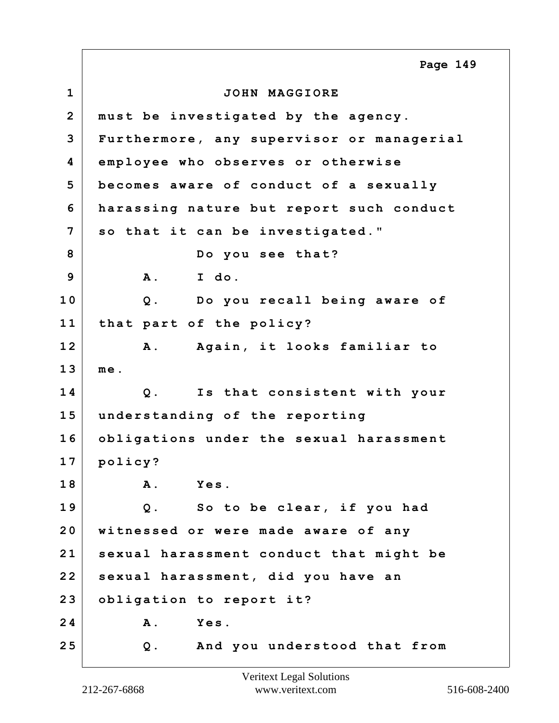**1 JOHN MAGGIORE 2 must be investigated by the agency. 3 Furthermore, any supervisor or managerial 4 employee who observes or otherwise 5 becomes aware of conduct of a sexually 6 harassing nature but report such conduct 7 so that it can be investigated." 8 Do you see that? 9 A. I do. 10 Q. Do you recall being aware of 11 that part of the policy? 12 A. Again, it looks familiar to 13 me. 14 Q. Is that consistent with your 15 understanding of the reporting 16 obligations under the sexual harassment 17 policy? 18 A. Yes. 19 Q. So to be clear, if you had 20 witnessed or were made aware of any 21 sexual harassment conduct that might be 22 sexual harassment, did you have an 23 obligation to report it? 24 A. Yes. 25 Q. And you understood that from Page 149**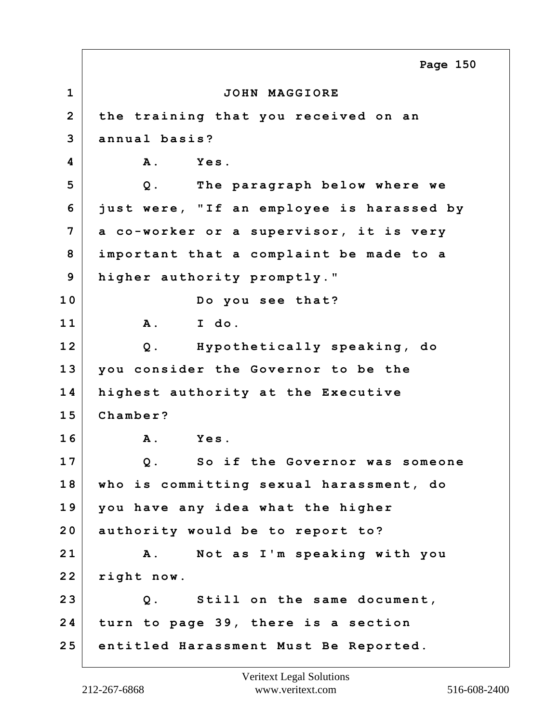**1 JOHN MAGGIORE 2 the training that you received on an 3 annual basis? 4 A. Yes. 5 Q. The paragraph below where we 6 just were, "If an employee is harassed by 7 a co-worker or a supervisor, it is very 8 important that a complaint be made to a 9 higher authority promptly." 10 Do you see that? 11 A. I do. 12 Q. Hypothetically speaking, do 13 you consider the Governor to be the 14 highest authority at the Executive 15 Chamber? 16 A. Yes. 17 Q. So if the Governor was someone 18 who is committing sexual harassment, do 19 you have any idea what the higher 20 authority would be to report to? 21 A. Not as I'm speaking with you 22 right now. 23 Q. Still on the same document, 24 turn to page 39, there is a section 25 entitled Harassment Must Be Reported. Page 150**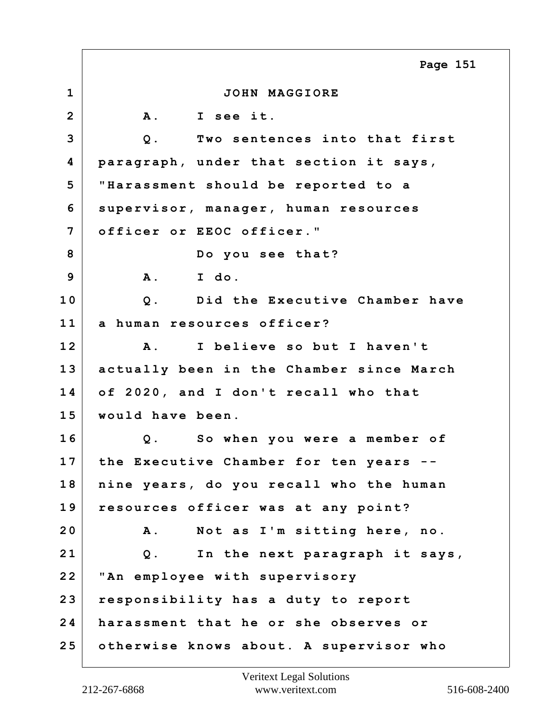**1 JOHN MAGGIORE 2 A. I see it. 3 Q. Two sentences into that first 4 paragraph, under that section it says, 5 "Harassment should be reported to a 6 supervisor, manager, human resources 7 officer or EEOC officer." 8 Do you see that? 9 A. I do. 10 Q. Did the Executive Chamber have 11 a human resources officer? 12 A. I believe so but I haven't 13 actually been in the Chamber since March 14 of 2020, and I don't recall who that 15 would have been. 16 Q. So when you were a member of 17 the Executive Chamber for ten years -- 18 nine years, do you recall who the human 19 resources officer was at any point? 20 A. Not as I'm sitting here, no. 21 Q. In the next paragraph it says, 22 "An employee with supervisory 23 responsibility has a duty to report 24 harassment that he or she observes or 25 otherwise knows about. A supervisor who Page 151**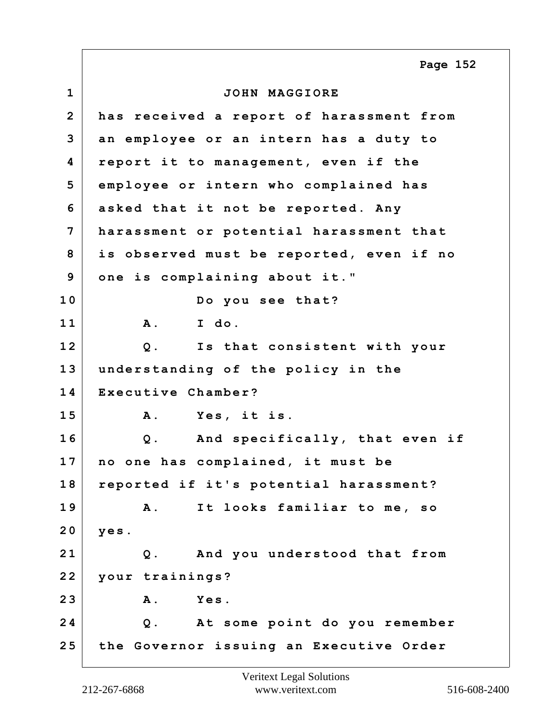**1 JOHN MAGGIORE 2 has received a report of harassment from 3 an employee or an intern has a duty to 4 report it to management, even if the 5 employee or intern who complained has 6 asked that it not be reported. Any 7 harassment or potential harassment that 8 is observed must be reported, even if no 9 one is complaining about it." 10 Do you see that? 11 A. I do. 12 Q. Is that consistent with your 13 understanding of the policy in the 14 Executive Chamber? 15 A. Yes, it is. 16 Q. And specifically, that even if 17 no one has complained, it must be 18 reported if it's potential harassment? 19 A. It looks familiar to me, so 20 yes. 21 Q. And you understood that from 22 your trainings? 23 A. Yes. 24 Q. At some point do you remember 25 the Governor issuing an Executive Order Page 152**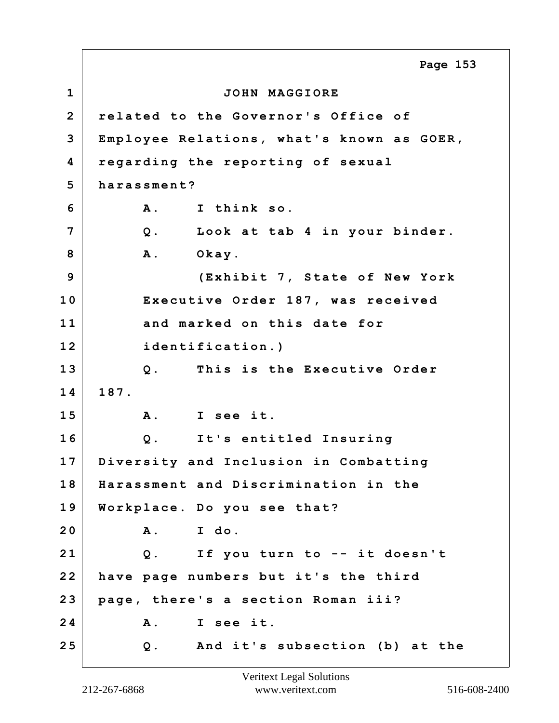**1 JOHN MAGGIORE 2 related to the Governor's Office of 3 Employee Relations, what's known as GOER, 4 regarding the reporting of sexual 5 harassment? 6 A. I think so. 7 Q. Look at tab 4 in your binder.** 8 A. Okay. **9 (Exhibit 7, State of New York 10 Executive Order 187, was received 11 and marked on this date for 12 identification.) 13 Q. This is the Executive Order 14 187. 15 A. I see it. 16 Q. It's entitled Insuring 17 Diversity and Inclusion in Combatting 18 Harassment and Discrimination in the 19 Workplace. Do you see that? 20 A. I do. 21 Q. If you turn to -- it doesn't 22 have page numbers but it's the third 23 page, there's a section Roman iii? 24 A. I see it. 25 Q. And it's subsection (b) at the Page 153**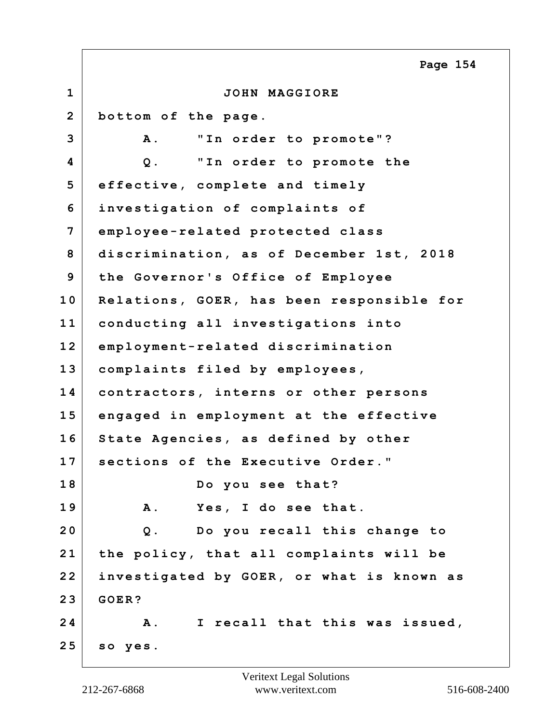|                | Page 154                                     |
|----------------|----------------------------------------------|
| $\mathbf{1}$   | JOHN MAGGIORE                                |
| $\overline{2}$ | bottom of the page.                          |
| 3              | "In order to promote"?<br><b>A</b> .         |
| 4              | "In order to promote the<br>$Q$ .            |
| 5              | effective, complete and timely               |
| 6              | investigation of complaints of               |
| 7              | employee-related protected class             |
| 8              | discrimination, as of December 1st, 2018     |
| 9              | the Governor's Office of Employee            |
| 10             | Relations, GOER, has been responsible for    |
| 11             | conducting all investigations into           |
| 12             | employment-related discrimination            |
| 13             | complaints filed by employees,               |
| 14             | contractors, interns or other persons        |
| 15             | engaged in employment at the effective       |
| 16             | State Agencies, as defined by other          |
| 17             | sections of the Executive Order."            |
| 18             | Do you see that?                             |
| 19             | Yes, I do see that.<br><b>A</b> .            |
| 20             | $Q$ .<br>Do you recall this change to        |
| 21             | the policy, that all complaints will be      |
| 22             | investigated by GOER, or what is known as    |
| 23             | GOER?                                        |
| 24             | I recall that this was issued,<br><b>A</b> . |
| 25             | so yes.                                      |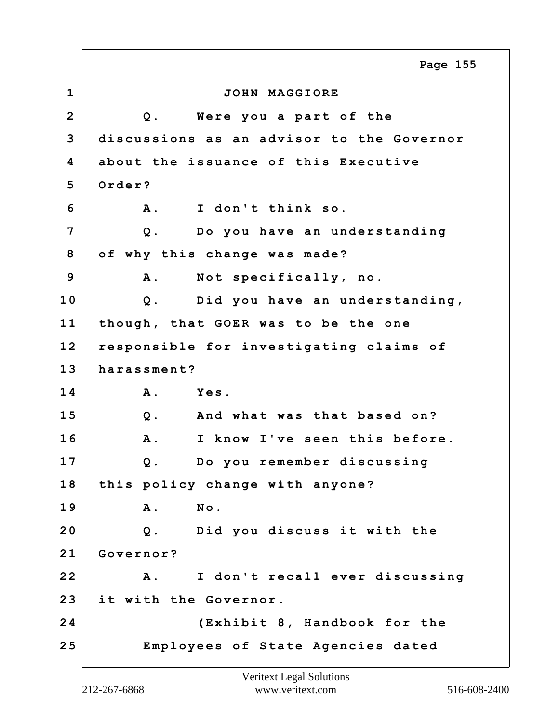**1 JOHN MAGGIORE 2 Q. Were you a part of the 3 discussions as an advisor to the Governor 4 about the issuance of this Executive 5 Order? 6 A. I don't think so. 7 Q. Do you have an understanding 8 of why this change was made? 9 A. Not specifically, no. 10 Q. Did you have an understanding, 11 though, that GOER was to be the one 12 responsible for investigating claims of 13 harassment? 14 A. Yes. 15 Q. And what was that based on? 16 A. I know I've seen this before. 17 Q. Do you remember discussing 18 this policy change with anyone? 19 A. No. 20 Q. Did you discuss it with the 21 Governor? 22 A. I don't recall ever discussing 23 it with the Governor. 24 (Exhibit 8, Handbook for the 25 Employees of State Agencies dated Page 155**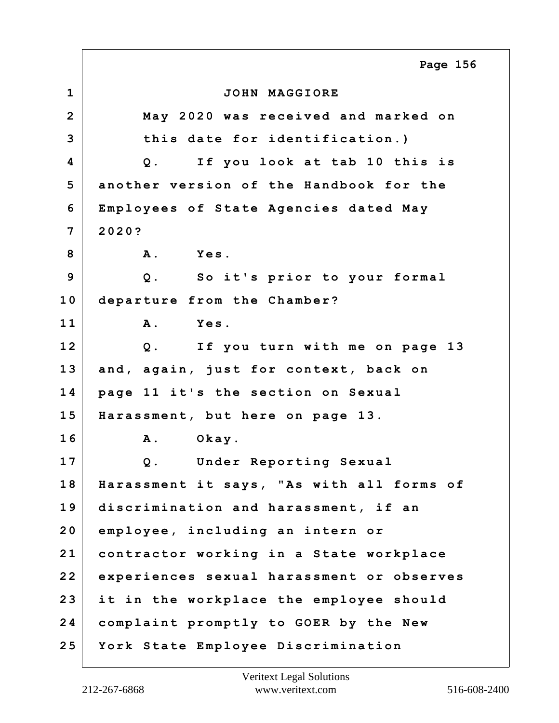**1 JOHN MAGGIORE 2 May 2020 was received and marked on 3 this date for identification.) 4 Q. If you look at tab 10 this is 5 another version of the Handbook for the 6 Employees of State Agencies dated May 7 2020? 8 A. Yes. 9 Q. So it's prior to your formal 10 departure from the Chamber? 11 A. Yes. 12 Q. If you turn with me on page 13 13 and, again, just for context, back on 14 page 11 it's the section on Sexual 15 Harassment, but here on page 13. 16 A. Okay. 17 Q. Under Reporting Sexual 18 Harassment it says, "As with all forms of 19 discrimination and harassment, if an 20 employee, including an intern or 21 contractor working in a State workplace 22 experiences sexual harassment or observes 23 it in the workplace the employee should 24 complaint promptly to GOER by the New 25 York State Employee Discrimination Page 156**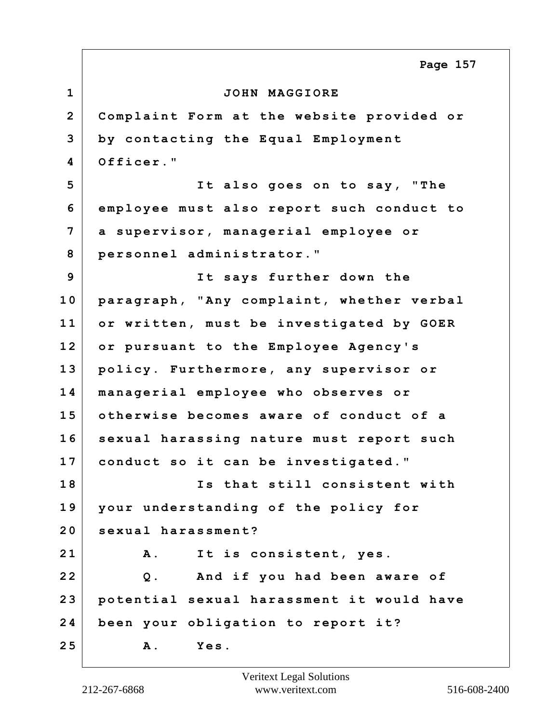**1 JOHN MAGGIORE 2 Complaint Form at the website provided or 3 by contacting the Equal Employment 4 Officer." 5 It also goes on to say, "The 6 employee must also report such conduct to 7 a supervisor, managerial employee or 8 personnel administrator." 9 It says further down the 10 paragraph, "Any complaint, whether verbal 11 or written, must be investigated by GOER 12 or pursuant to the Employee Agency's 13 policy. Furthermore, any supervisor or 14 managerial employee who observes or 15 otherwise becomes aware of conduct of a 16 sexual harassing nature must report such 17 conduct so it can be investigated." 18 Is that still consistent with 19 your understanding of the policy for 20 sexual harassment? 21 A. It is consistent, yes. 22 Q. And if you had been aware of 23 potential sexual harassment it would have 24 been your obligation to report it? 25 A. Yes. Page 157**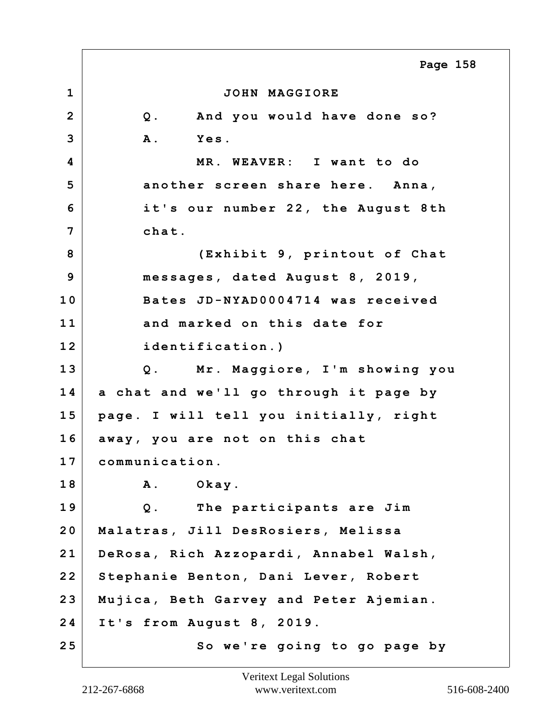**1 JOHN MAGGIORE 2 Q. And you would have done so? 3 A. Yes. 4 MR. WEAVER: I want to do 5 another screen share here. Anna, 6 it's our number 22, the August 8th 7 chat. 8 (Exhibit 9, printout of Chat 9 messages, dated August 8, 2019, 10 Bates JD-NYAD0004714 was received 11 and marked on this date for 12 identification.) 13 Q. Mr. Maggiore, I'm showing you 14 a chat and we'll go through it page by 15 page. I will tell you initially, right 16 away, you are not on this chat 17 communication. 18 A. Okay. 19 Q. The participants are Jim 20 Malatras, Jill DesRosiers, Melissa 21 DeRosa, Rich Azzopardi, Annabel Walsh, 22 Stephanie Benton, Dani Lever, Robert 23 Mujica, Beth Garvey and Peter Ajemian. 24 It's from August 8, 2019. 25 So we're going to go page by Page 158**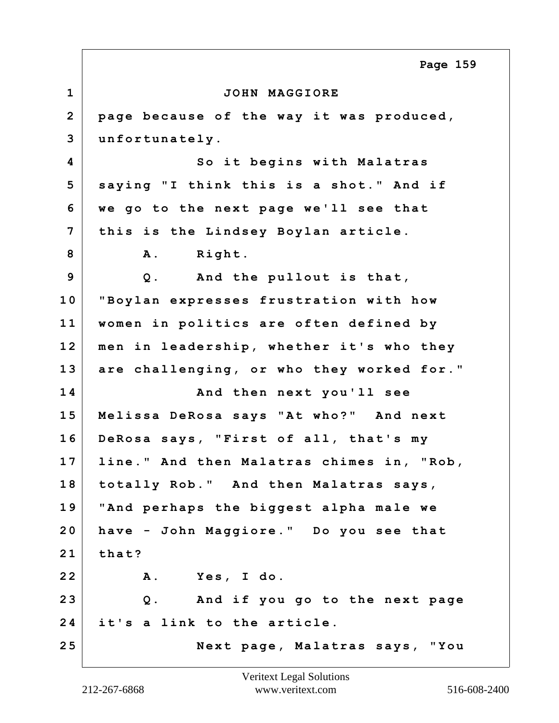**1 JOHN MAGGIORE 2 page because of the way it was produced, 3 unfortunately. 4 So it begins with Malatras 5 saying "I think this is a shot." And if 6 we go to the next page we'll see that 7 this is the Lindsey Boylan article.** 8 A. Right. **9 Q. And the pullout is that, 10 "Boylan expresses frustration with how 11 women in politics are often defined by 12 men in leadership, whether it's who they 13 are challenging, or who they worked for." 14 And then next you'll see 15 Melissa DeRosa says "At who?" And next 16 DeRosa says, "First of all, that's my 17 line." And then Malatras chimes in, "Rob, 18 totally Rob." And then Malatras says, 19 "And perhaps the biggest alpha male we 20 have - John Maggiore." Do you see that 21 that? 22 A. Yes, I do. 23 Q. And if you go to the next page 24 it's a link to the article. 25 Next page, Malatras says, "You Page 159**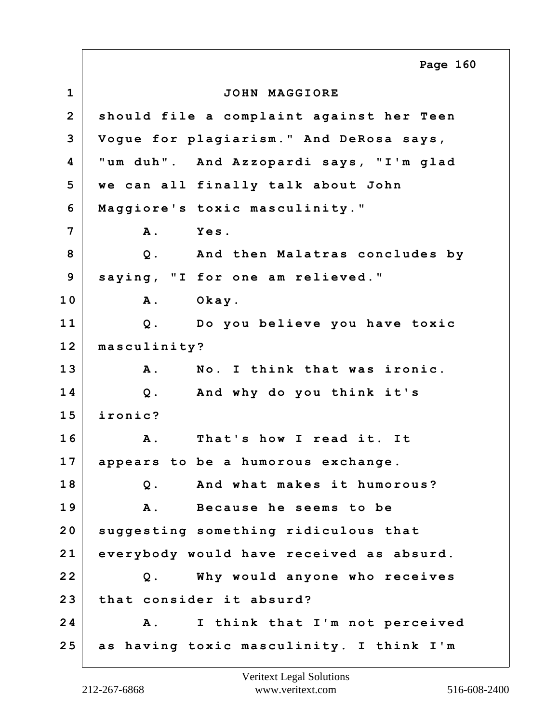**1 JOHN MAGGIORE 2 should file a complaint against her Teen 3 Vogue for plagiarism." And DeRosa says, 4 "um duh". And Azzopardi says, "I'm glad 5 we can all finally talk about John 6 Maggiore's toxic masculinity." 7 A. Yes. 8 Q. And then Malatras concludes by 9 saying, "I for one am relieved." 10 A. Okay. 11 Q. Do you believe you have toxic 12 masculinity? 13 A. No. I think that was ironic. 14 Q. And why do you think it's 15 ironic? 16 A. That's how I read it. It 17 appears to be a humorous exchange. 18 Q. And what makes it humorous? 19 A. Because he seems to be 20 suggesting something ridiculous that 21 everybody would have received as absurd. 22 Q. Why would anyone who receives 23 that consider it absurd? 24 A. I think that I'm not perceived 25 as having toxic masculinity. I think I'm Page 160**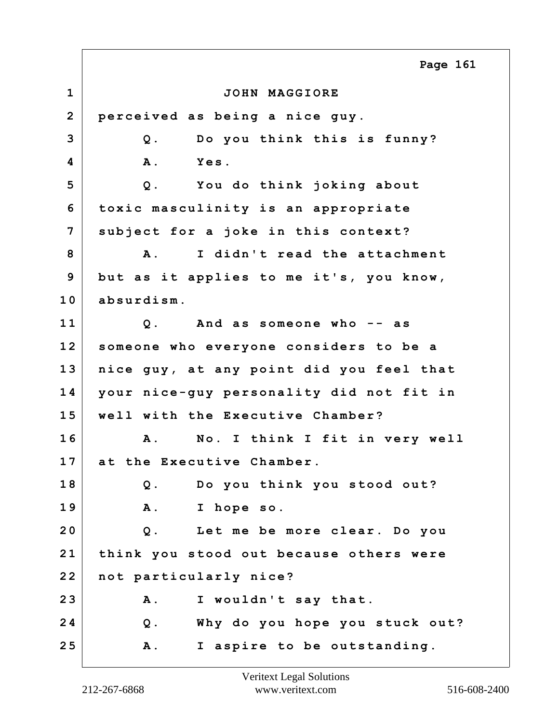**1 JOHN MAGGIORE 2 perceived as being a nice guy. 3 Q. Do you think this is funny? 4 A. Yes. 5 Q. You do think joking about 6 toxic masculinity is an appropriate 7 subject for a joke in this context? 8 A. I didn't read the attachment 9 but as it applies to me it's, you know, 10 absurdism. 11 Q. And as someone who -- as 12 someone who everyone considers to be a 13 nice guy, at any point did you feel that 14 your nice-guy personality did not fit in 15 well with the Executive Chamber? 16 A. No. I think I fit in very well 17 at the Executive Chamber. 18 Q. Do you think you stood out? 19 A. I hope so. 20 Q. Let me be more clear. Do you 21 think you stood out because others were 22 not particularly nice? 23 A. I wouldn't say that. 24 Q. Why do you hope you stuck out? 25 A. I aspire to be outstanding. Page 161**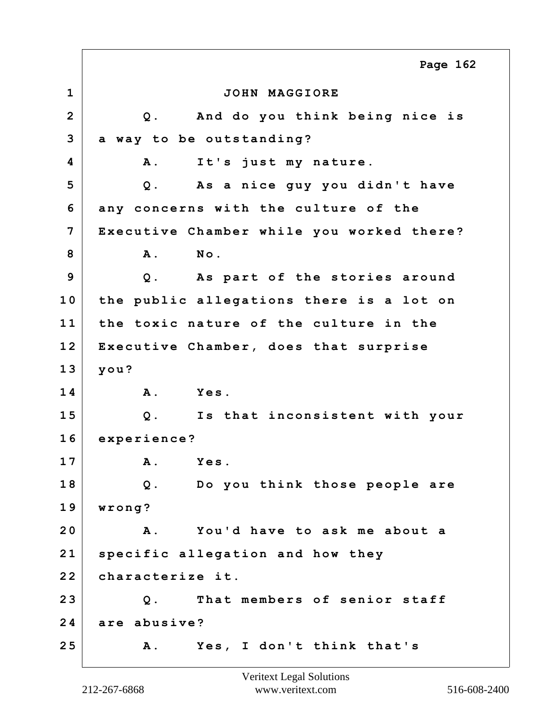**1 JOHN MAGGIORE 2 Q. And do you think being nice is 3 a way to be outstanding? 4 A. It's just my nature. 5 Q. As a nice guy you didn't have 6 any concerns with the culture of the 7 Executive Chamber while you worked there? 8 A. No. 9 Q. As part of the stories around 10 the public allegations there is a lot on 11 the toxic nature of the culture in the 12 Executive Chamber, does that surprise 13 you? 14 A. Yes. 15 Q. Is that inconsistent with your 16 experience? 17 A. Yes. 18 Q. Do you think those people are 19 wrong? 20 A. You'd have to ask me about a 21 specific allegation and how they 22 characterize it. 23 Q. That members of senior staff 24 are abusive? 25 A. Yes, I don't think that's Page 162**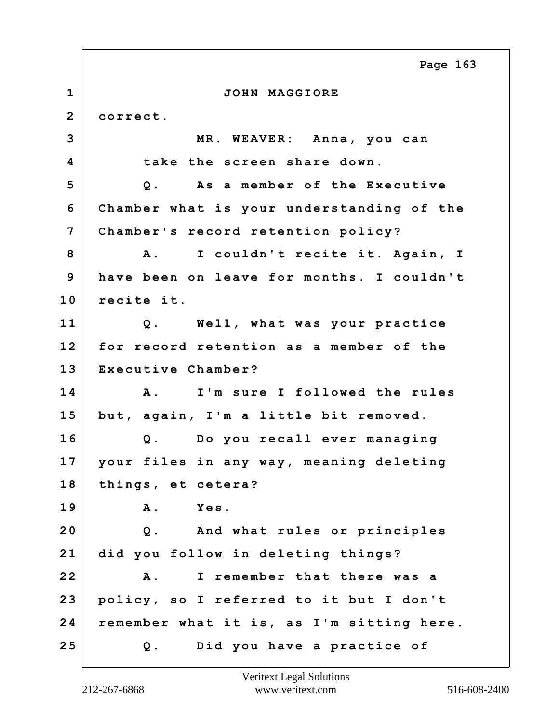**1 JOHN MAGGIORE 2 correct. 3 MR. WEAVER: Anna, you can 4 take the screen share down. 5 Q. As a member of the Executive 6 Chamber what is your understanding of the 7 Chamber's record retention policy? 8 A. I couldn't recite it. Again, I 9 have been on leave for months. I couldn't 10 recite it. 11 Q. Well, what was your practice 12 for record retention as a member of the 13 Executive Chamber? 14 A. I'm sure I followed the rules 15 but, again, I'm a little bit removed. 16 Q. Do you recall ever managing 17 your files in any way, meaning deleting 18 things, et cetera? 19 A. Yes. 20 Q. And what rules or principles 21 did you follow in deleting things? 22 A. I remember that there was a 23 policy, so I referred to it but I don't 24 remember what it is, as I'm sitting here. 25 Q. Did you have a practice of Page 163**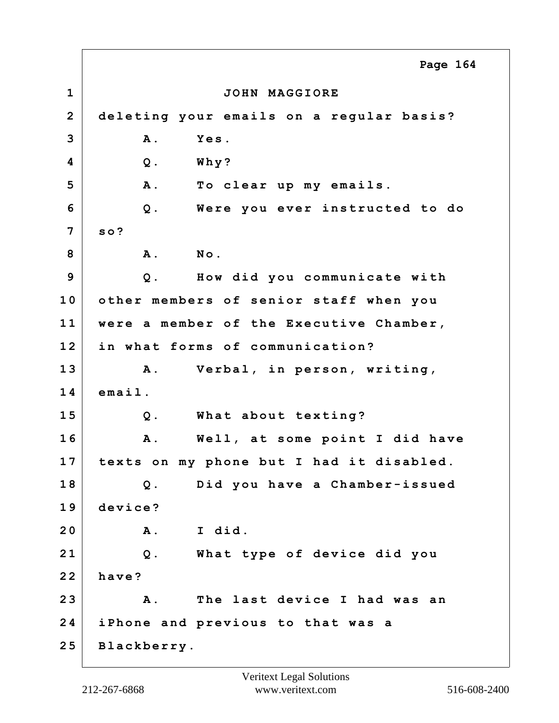**1 JOHN MAGGIORE 2 deleting your emails on a regular basis? 3 A. Yes. 4 Q. Why? 5 A. To clear up my emails. 6 Q. Were you ever instructed to do 7 so? 8 A. No. 9 Q. How did you communicate with 10 other members of senior staff when you 11 were a member of the Executive Chamber, 12 in what forms of communication? 13 A. Verbal, in person, writing, 14 email. 15 Q. What about texting? 16 A. Well, at some point I did have 17 texts on my phone but I had it disabled. 18 Q. Did you have a Chamber-issued 19 device? 20 A. I did. 21 Q. What type of device did you 22 have? 23 A. The last device I had was an 24 iPhone and previous to that was a 25 Blackberry. Page 164**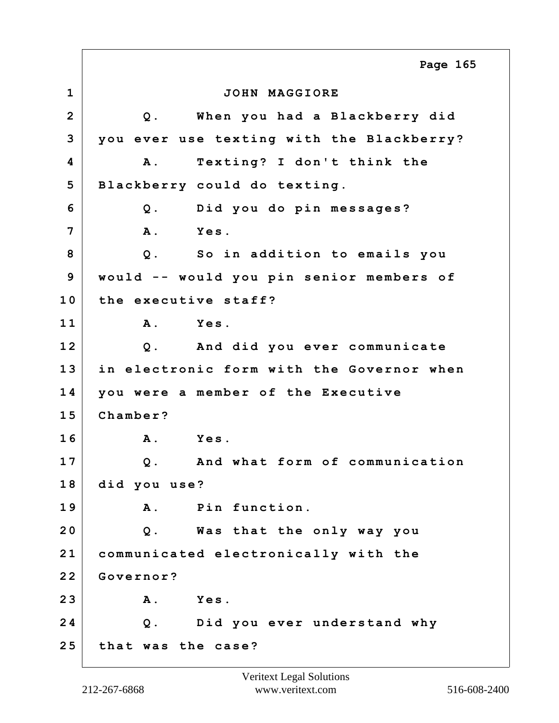**1 JOHN MAGGIORE 2 Q. When you had a Blackberry did 3 you ever use texting with the Blackberry? 4 A. Texting? I don't think the 5 Blackberry could do texting. 6 Q. Did you do pin messages? 7 A. Yes. 8 Q. So in addition to emails you 9 would -- would you pin senior members of 10 the executive staff? 11 A. Yes. 12 Q. And did you ever communicate 13 in electronic form with the Governor when 14 you were a member of the Executive 15 Chamber? 16 A. Yes. 17 Q. And what form of communication 18 did you use? 19 A. Pin function. 20 Q. Was that the only way you 21 communicated electronically with the 22 Governor? 23 A. Yes. 24 Q. Did you ever understand why 25 that was the case? Page 165**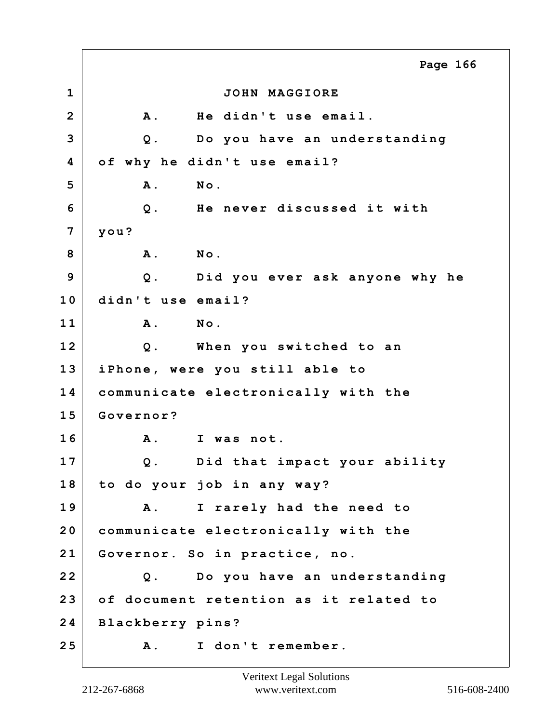**1 JOHN MAGGIORE 2 A. He didn't use email. 3 Q. Do you have an understanding 4 of why he didn't use email? 5 A. No. 6 Q. He never discussed it with 7 you? 8 A. No. 9 Q. Did you ever ask anyone why he 10 didn't use email? 11 A. No. 12 Q. When you switched to an 13 iPhone, were you still able to 14 communicate electronically with the 15 Governor? 16 A. I was not. 17 Q. Did that impact your ability 18 to do your job in any way? 19 A. I rarely had the need to 20 communicate electronically with the 21 Governor. So in practice, no. 22 Q. Do you have an understanding 23 of document retention as it related to 24 Blackberry pins? 25 A. I don't remember. Page 166**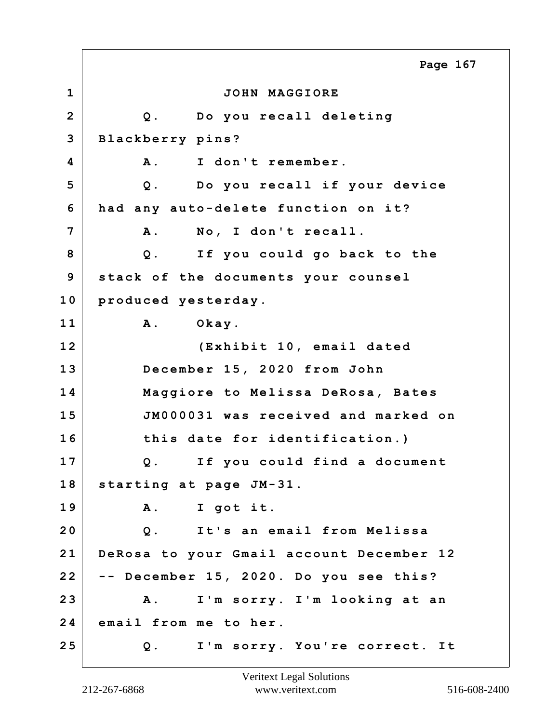**1 JOHN MAGGIORE 2 Q. Do you recall deleting 3 Blackberry pins? 4 A. I don't remember. 5 Q. Do you recall if your device 6 had any auto-delete function on it? 7 A. No, I don't recall. 8 Q. If you could go back to the 9 stack of the documents your counsel 10 produced yesterday. 11 A. Okay. 12 (Exhibit 10, email dated 13 December 15, 2020 from John 14 Maggiore to Melissa DeRosa, Bates 15 JM000031 was received and marked on 16 this date for identification.) 17 Q. If you could find a document 18 starting at page JM-31. 19 A. I got it. 20 Q. It's an email from Melissa 21 DeRosa to your Gmail account December 12 22 -- December 15, 2020. Do you see this? 23 A. I'm sorry. I'm looking at an 24 email from me to her. 25 Q. I'm sorry. You're correct. It Page 167**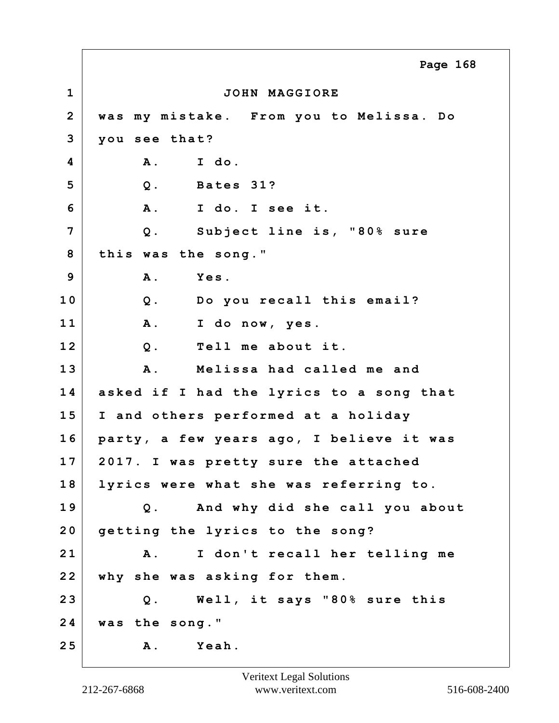**1 JOHN MAGGIORE 2 was my mistake. From you to Melissa. Do 3 you see that? 4 A. I do. 5 Q. Bates 31? 6 A. I do. I see it. 7 Q. Subject line is, "80% sure 8 this was the song." 9 A. Yes. 10 Q. Do you recall this email? 11 A. I do now, yes. 12 Q. Tell me about it. 13 A. Melissa had called me and 14 asked if I had the lyrics to a song that 15 I and others performed at a holiday 16 party, a few years ago, I believe it was 17 2017. I was pretty sure the attached 18 lyrics were what she was referring to. 19 Q. And why did she call you about 20 getting the lyrics to the song? 21 A. I don't recall her telling me 22 why she was asking for them. 23 Q. Well, it says "80% sure this 24 was the song." 25 A. Yeah. Page 168**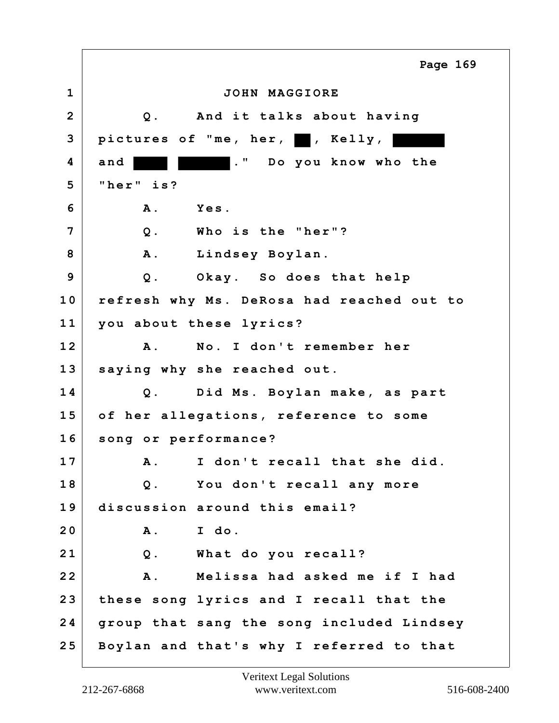**1 JOHN MAGGIORE 2 Q. And it talks about having** 3 pictures of "me, her, **b**, Kelly, **4 and ." Do you know who the 5 "her" is? 6 A. Yes. 7 Q. Who is the "her"? 8 A. Lindsey Boylan. 9 Q. Okay. So does that help 10 refresh why Ms. DeRosa had reached out to 11 you about these lyrics? 12 A. No. I don't remember her 13 saying why she reached out. 14 Q. Did Ms. Boylan make, as part 15 of her allegations, reference to some 16 song or performance? 17 A. I don't recall that she did. 18 Q. You don't recall any more 19 discussion around this email? 20 A. I do. 21 Q. What do you recall? 22 A. Melissa had asked me if I had 23 these song lyrics and I recall that the 24 group that sang the song included Lindsey 25 Boylan and that's why I referred to that Page 169**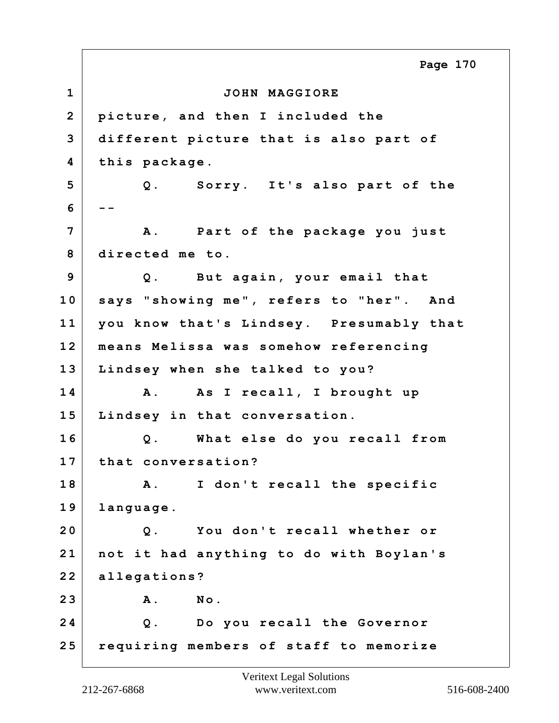**1 JOHN MAGGIORE 2 picture, and then I included the 3 different picture that is also part of 4 this package. 5 Q. Sorry. It's also part of the 6 -- 7 A. Part of the package you just 8 directed me to. 9 Q. But again, your email that 10 says "showing me", refers to "her". And 11 you know that's Lindsey. Presumably that 12 means Melissa was somehow referencing 13 Lindsey when she talked to you? 14 A. As I recall, I brought up 15 Lindsey in that conversation. 16 Q. What else do you recall from 17 that conversation? 18 A. I don't recall the specific 19 language. 20 Q. You don't recall whether or 21 not it had anything to do with Boylan's 22 allegations? 23 A. No. 24 Q. Do you recall the Governor 25 requiring members of staff to memorize Page 170**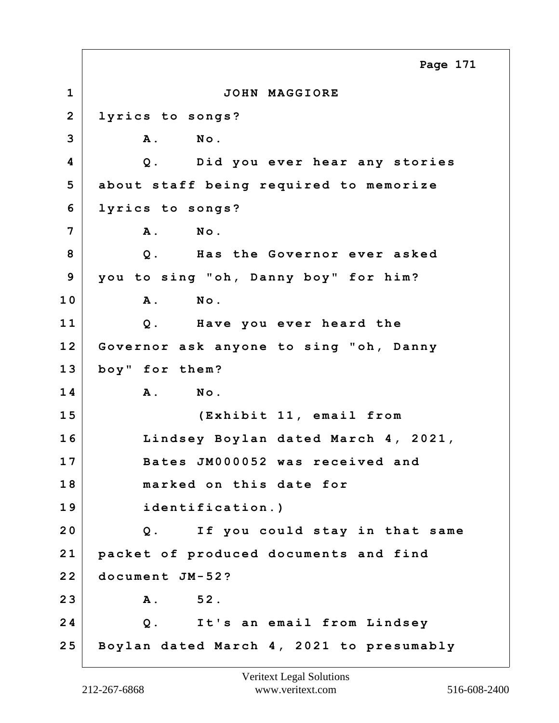**1 JOHN MAGGIORE 2 lyrics to songs? 3 A. No. 4 Q. Did you ever hear any stories 5 about staff being required to memorize 6 lyrics to songs? 7 A. No. 8 Q. Has the Governor ever asked 9 you to sing "oh, Danny boy" for him? 10 A. No. 11 Q. Have you ever heard the 12 Governor ask anyone to sing "oh, Danny 13 boy" for them? 14 A. No. 15 (Exhibit 11, email from 16 Lindsey Boylan dated March 4, 2021, 17 Bates JM000052 was received and 18 marked on this date for 19 identification.) 20 Q. If you could stay in that same 21 packet of produced documents and find 22 document JM-52? 23 A. 52. 24 Q. It's an email from Lindsey 25 Boylan dated March 4, 2021 to presumably Page 171**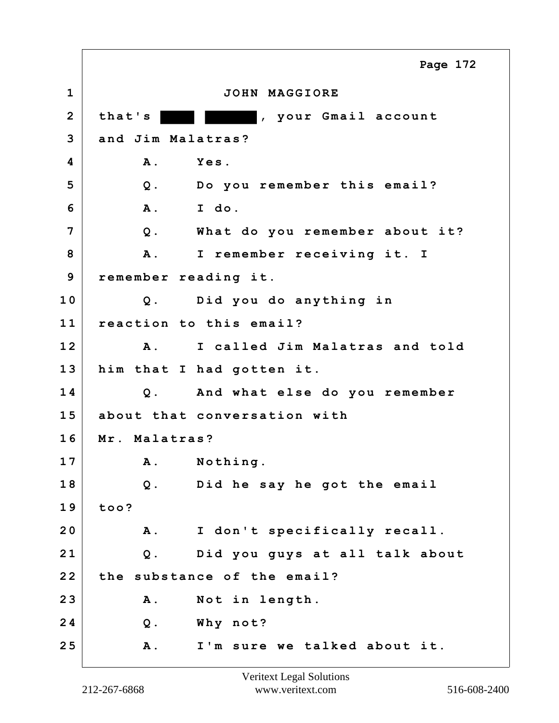**1 JOHN MAGGIORE** 2 that's **that's** , your Gmail account **3 and Jim Malatras? 4 A. Yes. 5 Q. Do you remember this email? 6 A. I do. 7 Q. What do you remember about it? 8 A. I remember receiving it. I 9 remember reading it. 10 Q. Did you do anything in 11 reaction to this email? 12 A. I called Jim Malatras and told 13 him that I had gotten it. 14 Q. And what else do you remember 15 about that conversation with 16 Mr. Malatras? 17 A. Nothing. 18 Q. Did he say he got the email 19 too? 20 A. I don't specifically recall. 21 Q. Did you guys at all talk about 22 the substance of the email? 23 A. Not in length. 24 Q. Why not? 25 A. I'm sure we talked about it. Page 172**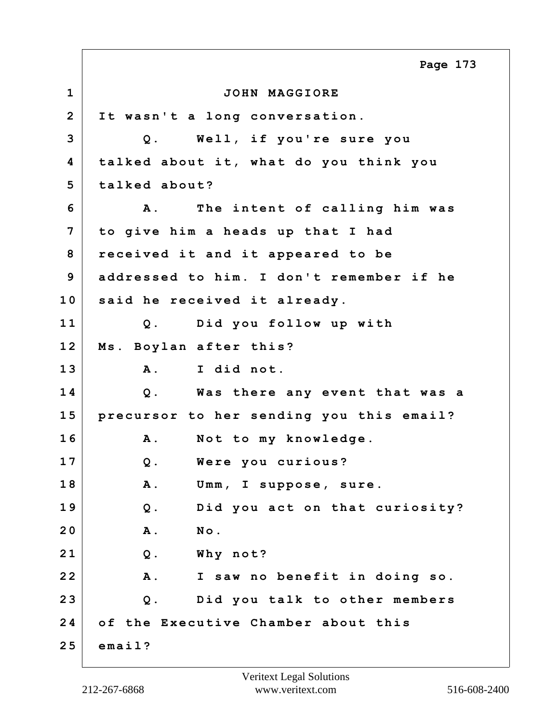**1 JOHN MAGGIORE 2 It wasn't a long conversation. 3 Q. Well, if you're sure you 4 talked about it, what do you think you 5 talked about? 6 A. The intent of calling him was 7 to give him a heads up that I had 8 received it and it appeared to be 9 addressed to him. I don't remember if he 10 said he received it already. 11 Q. Did you follow up with 12 Ms. Boylan after this? 13 A. I did not. 14 Q. Was there any event that was a 15 precursor to her sending you this email? 16 A. Not to my knowledge. 17 Q. Were you curious? 18 A. Umm, I suppose, sure. 19 Q. Did you act on that curiosity? 20 A. No. 21 Q. Why not? 22 A. I saw no benefit in doing so. 23 Q. Did you talk to other members 24 of the Executive Chamber about this 25 email? Page 173**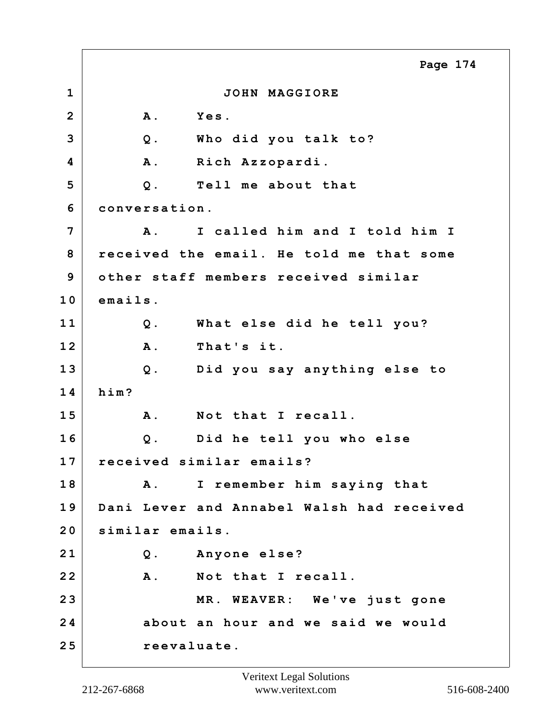**1 JOHN MAGGIORE 2 A. Yes. 3 Q. Who did you talk to? 4 A. Rich Azzopardi. 5 Q. Tell me about that 6 conversation. 7 A. I called him and I told him I 8 received the email. He told me that some 9 other staff members received similar 10 emails. 11 Q. What else did he tell you? 12 A. That's it. 13 Q. Did you say anything else to 14 him? 15 A. Not that I recall. 16 Q. Did he tell you who else 17 received similar emails? 18 A. I remember him saying that 19 Dani Lever and Annabel Walsh had received 20 similar emails. 21 Q. Anyone else? 22 A. Not that I recall. 23 MR. WEAVER: We've just gone 24 about an hour and we said we would 25 reevaluate. Page 174**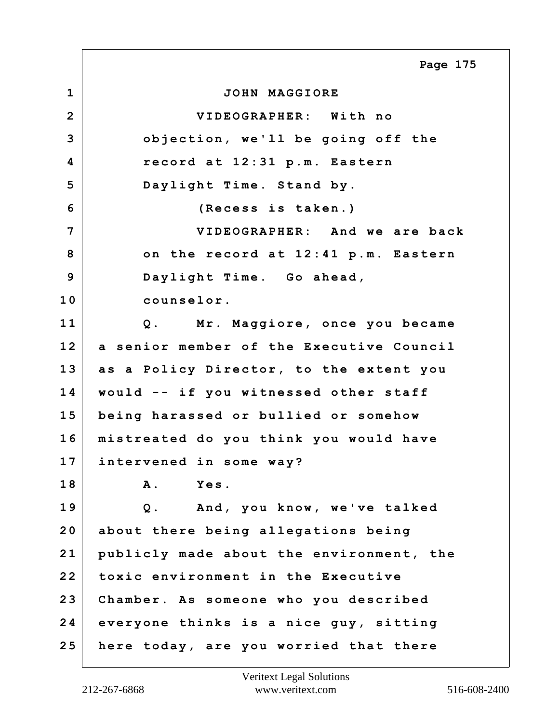**1 JOHN MAGGIORE 2 VIDEOGRAPHER: With no 3 objection, we'll be going off the 4 record at 12:31 p.m. Eastern 5 Daylight Time. Stand by. 6 (Recess is taken.) 7 VIDEOGRAPHER: And we are back 8 on the record at 12:41 p.m. Eastern 9 Daylight Time. Go ahead, 10 counselor. 11 Q. Mr. Maggiore, once you became 12 a senior member of the Executive Council 13 as a Policy Director, to the extent you 14 would -- if you witnessed other staff 15 being harassed or bullied or somehow 16 mistreated do you think you would have 17 intervened in some way? 18 A. Yes. 19 Q. And, you know, we've talked 20 about there being allegations being 21 publicly made about the environment, the 22 toxic environment in the Executive 23 Chamber. As someone who you described 24 everyone thinks is a nice guy, sitting 25 here today, are you worried that there Page 175**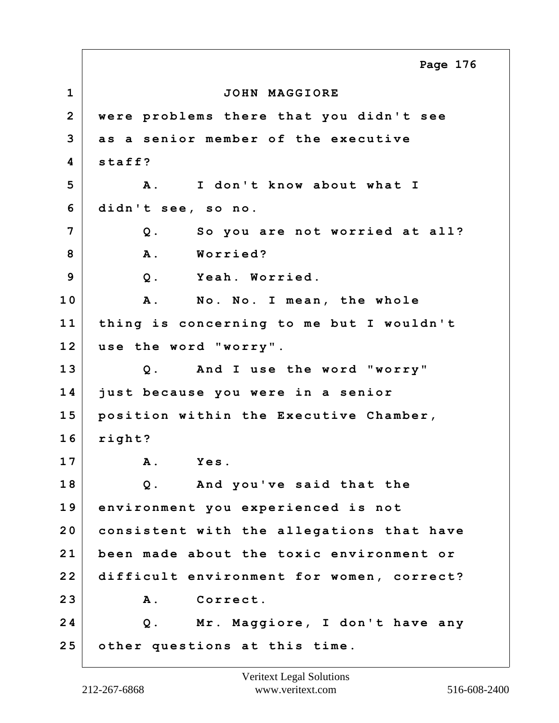**1 JOHN MAGGIORE 2 were problems there that you didn't see 3 as a senior member of the executive 4 staff? 5 A. I don't know about what I 6 didn't see, so no. 7 Q. So you are not worried at all? 8 A. Worried? 9 Q. Yeah. Worried. 10 A. No. No. I mean, the whole 11 thing is concerning to me but I wouldn't 12 use the word "worry". 13 Q. And I use the word "worry" 14 just because you were in a senior 15 position within the Executive Chamber, 16 right? 17 A. Yes. 18 Q. And you've said that the 19 environment you experienced is not 20 consistent with the allegations that have 21 been made about the toxic environment or 22 difficult environment for women, correct? 23 A. Correct. 24 Q. Mr. Maggiore, I don't have any 25 other questions at this time. Page 176**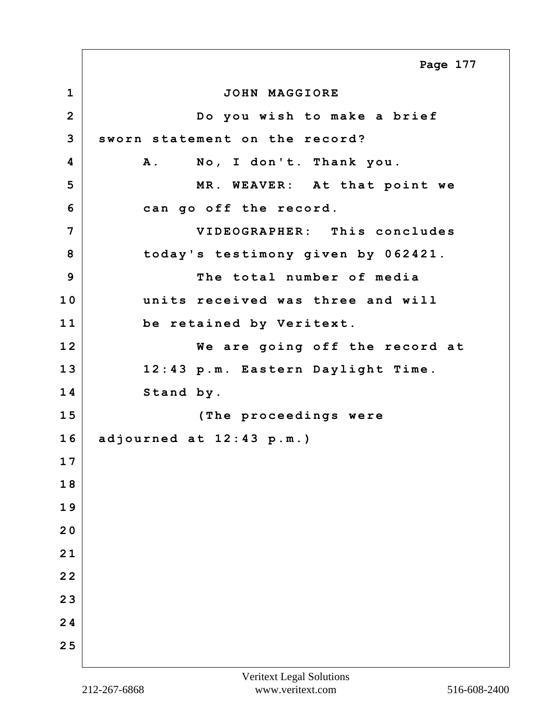**1 JOHN MAGGIORE 2 Do you wish to make a brief 3 sworn statement on the record? 4 A. No, I don't. Thank you. 5 MR. WEAVER: At that point we 6 can go off the record. 7 VIDEOGRAPHER: This concludes 8 today's testimony given by 062421. 9 The total number of media 10 units received was three and will 11 be retained by Veritext. 12 We are going off the record at 13 12:43 p.m. Eastern Daylight Time. 14 Stand by. 15 (The proceedings were 16 adjourned at 12:43 p.m.) 1 7 1 8 1 9 2 0 2 1 2 2 2 3 2 4 2 5 Page 177**